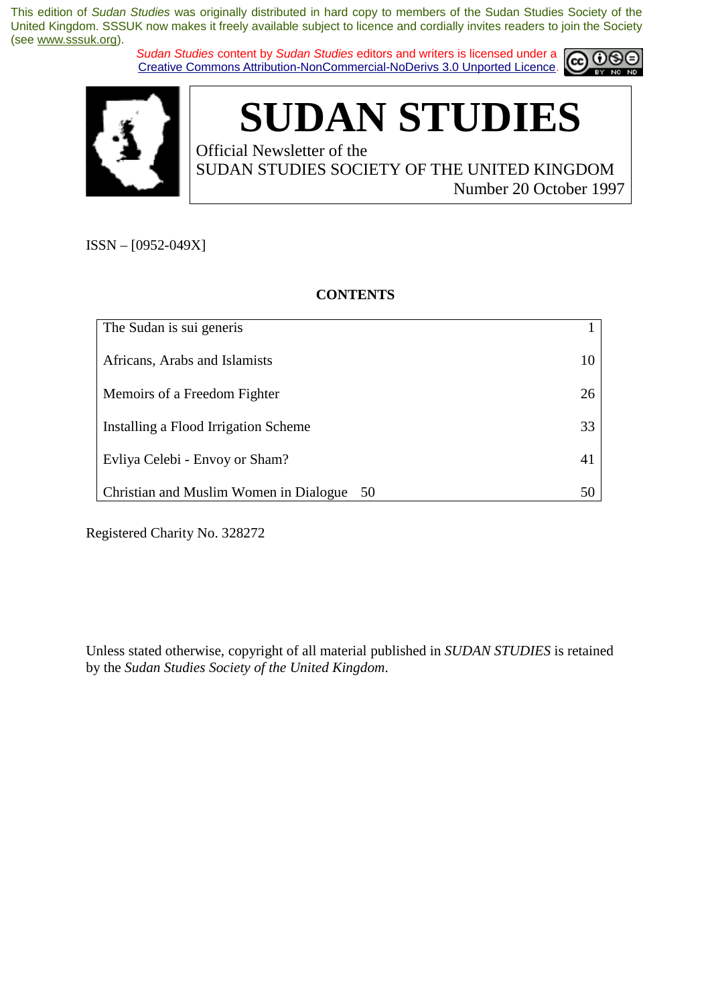*Sudan Studies* content by *Sudan Studies* editors and writers is licensed under a Creative Commons Attribution-NonCommercial-NoDerivs 3.0 Unported Licence.





# **SUDAN STUDIES**

Official Newsletter of the SUDAN STUDIES SOCIETY OF THE UNITED KINGDOM Number 20 October 1997

ISSN – [0952-049X]

**CONTENTS** 

| The Sudan is sui generis                  |    |
|-------------------------------------------|----|
| Africans, Arabs and Islamists             | 10 |
| Memoirs of a Freedom Fighter              | 26 |
| Installing a Flood Irrigation Scheme      | 33 |
| Evliya Celebi - Envoy or Sham?            | 41 |
| Christian and Muslim Women in Dialogue 50 | 50 |

Registered Charity No. 328272

Unless stated otherwise, copyright of all material published in *SUDAN STUDIES* is retained by the *Sudan Studies Society of the United Kingdom*.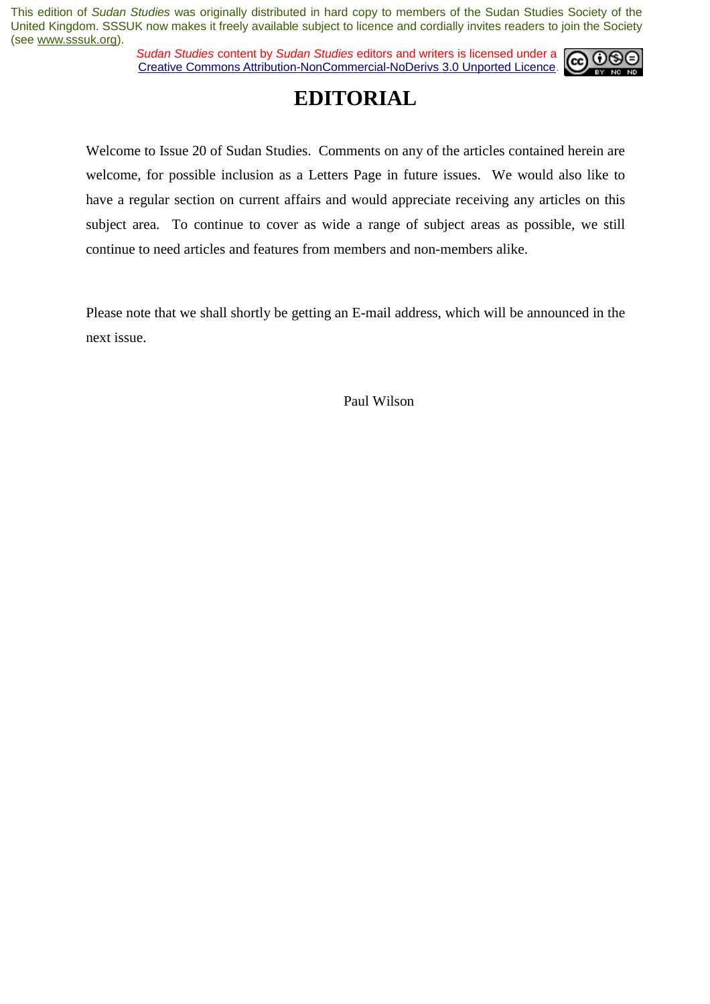*Sudan Studies* content by *Sudan Studies* editors and writers is licensed under a Creative Commons Attribution-NonCommercial-NoDerivs 3.0 Unported Licence.



### **EDITORIAL**

Welcome to Issue 20 of Sudan Studies. Comments on any of the articles contained herein are welcome, for possible inclusion as a Letters Page in future issues. We would also like to have a regular section on current affairs and would appreciate receiving any articles on this subject area. To continue to cover as wide a range of subject areas as possible, we still continue to need articles and features from members and non-members alike.

Please note that we shall shortly be getting an E-mail address, which will be announced in the next issue.

Paul Wilson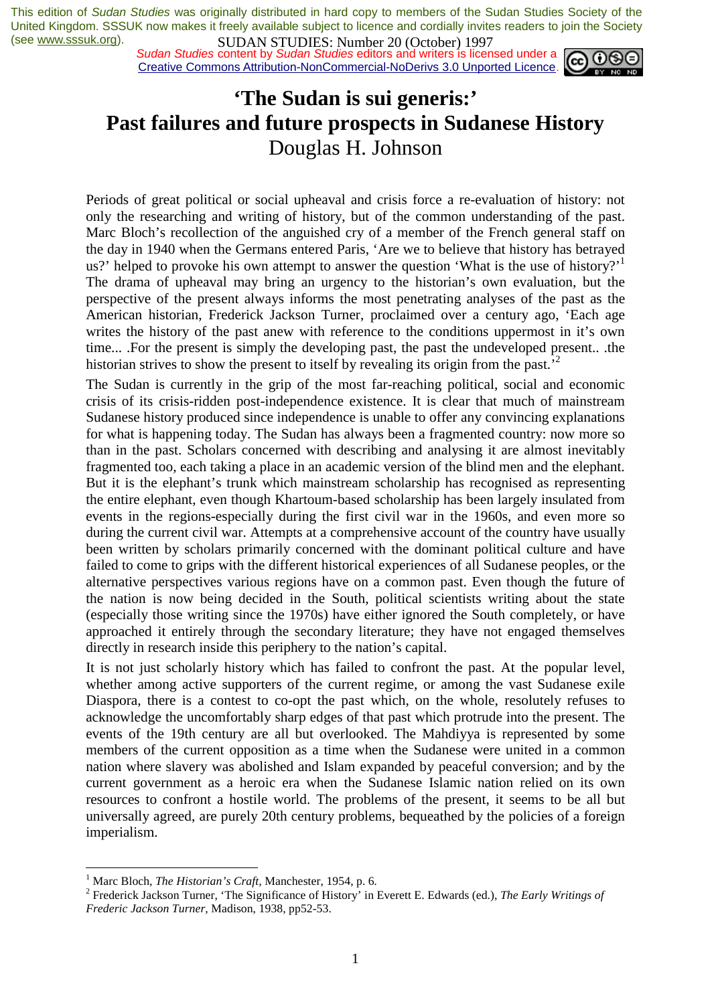*Sudan Studies* content by *Sudan Studies* editors and writers is licensed under a Creative Commons Attribution-NonCommercial-NoDerivs 3.0 Unported Licence.



# **'The Sudan is sui generis:' Past failures and future prospects in Sudanese History**  Douglas H. Johnson

Periods of great political or social upheaval and crisis force a re-evaluation of history: not only the researching and writing of history, but of the common understanding of the past. Marc Bloch's recollection of the anguished cry of a member of the French general staff on the day in 1940 when the Germans entered Paris, 'Are we to believe that history has betrayed us?' helped to provoke his own attempt to answer the question 'What is the use of history?' The drama of upheaval may bring an urgency to the historian's own evaluation, but the perspective of the present always informs the most penetrating analyses of the past as the American historian, Frederick Jackson Turner, proclaimed over a century ago, 'Each age writes the history of the past anew with reference to the conditions uppermost in it's own time... .For the present is simply the developing past, the past the undeveloped present.. .the historian strives to show the present to itself by revealing its origin from the past.<sup>2</sup>

The Sudan is currently in the grip of the most far-reaching political, social and economic crisis of its crisis-ridden post-independence existence. It is clear that much of mainstream Sudanese history produced since independence is unable to offer any convincing explanations for what is happening today. The Sudan has always been a fragmented country: now more so than in the past. Scholars concerned with describing and analysing it are almost inevitably fragmented too, each taking a place in an academic version of the blind men and the elephant. But it is the elephant's trunk which mainstream scholarship has recognised as representing the entire elephant, even though Khartoum-based scholarship has been largely insulated from events in the regions-especially during the first civil war in the 1960s, and even more so during the current civil war. Attempts at a comprehensive account of the country have usually been written by scholars primarily concerned with the dominant political culture and have failed to come to grips with the different historical experiences of all Sudanese peoples, or the alternative perspectives various regions have on a common past. Even though the future of the nation is now being decided in the South, political scientists writing about the state (especially those writing since the 1970s) have either ignored the South completely, or have approached it entirely through the secondary literature; they have not engaged themselves directly in research inside this periphery to the nation's capital.

It is not just scholarly history which has failed to confront the past. At the popular level, whether among active supporters of the current regime, or among the vast Sudanese exile Diaspora, there is a contest to co-opt the past which, on the whole, resolutely refuses to acknowledge the uncomfortably sharp edges of that past which protrude into the present. The events of the 19th century are all but overlooked. The Mahdiyya is represented by some members of the current opposition as a time when the Sudanese were united in a common nation where slavery was abolished and Islam expanded by peaceful conversion; and by the current government as a heroic era when the Sudanese Islamic nation relied on its own resources to confront a hostile world. The problems of the present, it seems to be all but universally agreed, are purely 20th century problems, bequeathed by the policies of a foreign imperialism.

<sup>&</sup>lt;sup>1</sup> Marc Bloch, *The Historian's Craft*, Manchester, 1954, p. 6.<sup>2</sup> Eredevick Jackson Turner, 'The Significance of History' in

Frederick Jackson Turner, 'The Significance of History' in Everett E. Edwards (ed.), *The Early Writings of Frederic Jackson Turner,* Madison, 1938, pp52-53.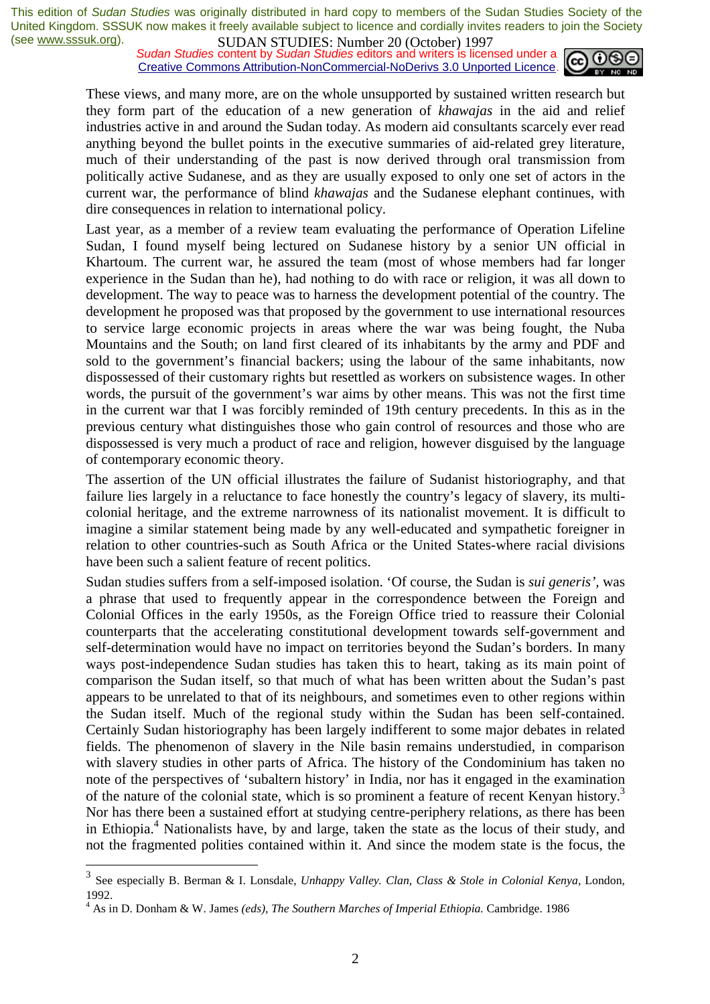**SUDAN STUDIES:** Number 20 (OCtober) 1777<br>*Sudan Studies* content by *Sudan Studies* editors and writers is licensed under a Creative Commons Attribution-NonCommercial-NoDerivs 3.0 Unported Licence.



These views, and many more, are on the whole unsupported by sustained written research but they form part of the education of a new generation of *khawajas* in the aid and relief industries active in and around the Sudan today. As modern aid consultants scarcely ever read anything beyond the bullet points in the executive summaries of aid-related grey literature, much of their understanding of the past is now derived through oral transmission from politically active Sudanese, and as they are usually exposed to only one set of actors in the current war, the performance of blind *khawajas* and the Sudanese elephant continues, with dire consequences in relation to international policy.

Last year, as a member of a review team evaluating the performance of Operation Lifeline Sudan, I found myself being lectured on Sudanese history by a senior UN official in Khartoum. The current war, he assured the team (most of whose members had far longer experience in the Sudan than he), had nothing to do with race or religion, it was all down to development. The way to peace was to harness the development potential of the country. The development he proposed was that proposed by the government to use international resources to service large economic projects in areas where the war was being fought, the Nuba Mountains and the South; on land first cleared of its inhabitants by the army and PDF and sold to the government's financial backers; using the labour of the same inhabitants, now dispossessed of their customary rights but resettled as workers on subsistence wages. In other words, the pursuit of the government's war aims by other means. This was not the first time in the current war that I was forcibly reminded of 19th century precedents. In this as in the previous century what distinguishes those who gain control of resources and those who are dispossessed is very much a product of race and religion, however disguised by the language of contemporary economic theory.

The assertion of the UN official illustrates the failure of Sudanist historiography, and that failure lies largely in a reluctance to face honestly the country's legacy of slavery, its multicolonial heritage, and the extreme narrowness of its nationalist movement. It is difficult to imagine a similar statement being made by any well-educated and sympathetic foreigner in relation to other countries-such as South Africa or the United States-where racial divisions have been such a salient feature of recent politics.

Sudan studies suffers from a self-imposed isolation. 'Of course, the Sudan is *sui generis',* was a phrase that used to frequently appear in the correspondence between the Foreign and Colonial Offices in the early 1950s, as the Foreign Office tried to reassure their Colonial counterparts that the accelerating constitutional development towards self-government and self-determination would have no impact on territories beyond the Sudan's borders. In many ways post-independence Sudan studies has taken this to heart, taking as its main point of comparison the Sudan itself, so that much of what has been written about the Sudan's past appears to be unrelated to that of its neighbours, and sometimes even to other regions within the Sudan itself. Much of the regional study within the Sudan has been self-contained. Certainly Sudan historiography has been largely indifferent to some major debates in related fields. The phenomenon of slavery in the Nile basin remains understudied, in comparison with slavery studies in other parts of Africa. The history of the Condominium has taken no note of the perspectives of 'subaltern history' in India, nor has it engaged in the examination of the nature of the colonial state, which is so prominent a feature of recent Kenyan history.<sup>3</sup> Nor has there been a sustained effort at studying centre-periphery relations, as there has been in Ethiopia.4 Nationalists have, by and large, taken the state as the locus of their study, and not the fragmented polities contained within it. And since the modem state is the focus, the

<sup>3</sup> See especially B. Berman & I. Lonsdale, *Unhappy Valley. Clan, Class & Stole in Colonial Kenya,* London, 1992.

<sup>&</sup>lt;sup>4</sup> As in D. Donham & W. James *(eds), The Southern Marches of Imperial Ethiopia*. Cambridge. 1986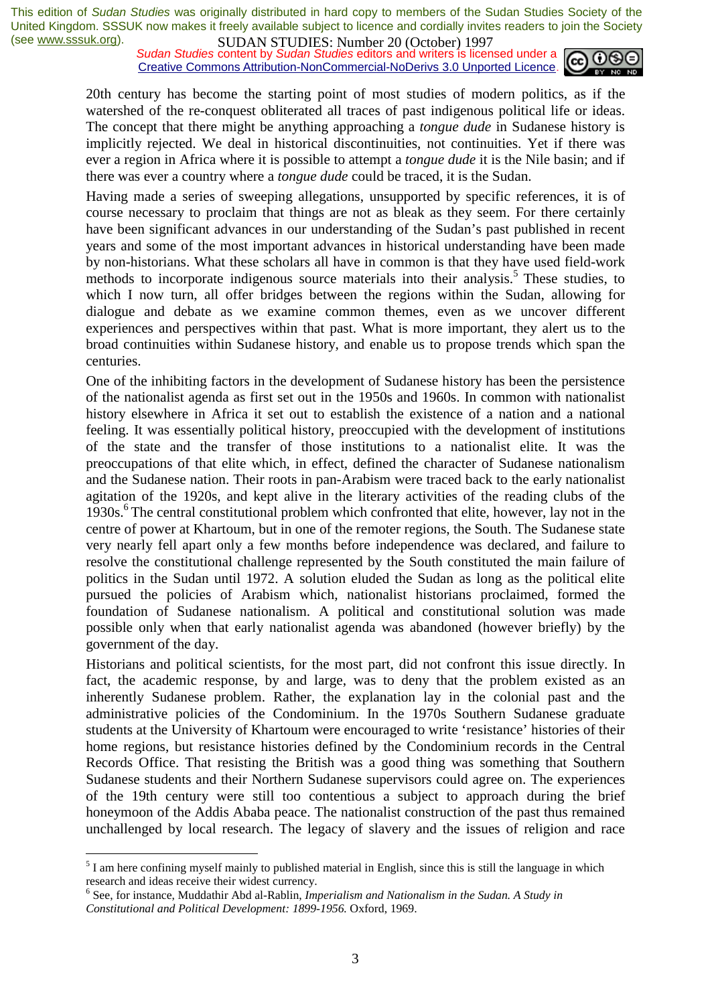*Sudan Studies* content by *Sudan Studies* editors and writers is licensed under a Creative Commons Attribution-NonCommercial-NoDerivs 3.0 Unported Licence.



20th century has become the starting point of most studies of modern politics, as if the watershed of the re-conquest obliterated all traces of past indigenous political life or ideas. The concept that there might be anything approaching a *tongue dude* in Sudanese history is implicitly rejected. We deal in historical discontinuities, not continuities. Yet if there was ever a region in Africa where it is possible to attempt a *tongue dude* it is the Nile basin; and if there was ever a country where a *tongue dude* could be traced, it is the Sudan.

Having made a series of sweeping allegations, unsupported by specific references, it is of course necessary to proclaim that things are not as bleak as they seem. For there certainly have been significant advances in our understanding of the Sudan's past published in recent years and some of the most important advances in historical understanding have been made by non-historians. What these scholars all have in common is that they have used field-work methods to incorporate indigenous source materials into their analysis.<sup>5</sup> These studies, to which I now turn, all offer bridges between the regions within the Sudan, allowing for dialogue and debate as we examine common themes, even as we uncover different experiences and perspectives within that past. What is more important, they alert us to the broad continuities within Sudanese history, and enable us to propose trends which span the centuries.

One of the inhibiting factors in the development of Sudanese history has been the persistence of the nationalist agenda as first set out in the 1950s and 1960s. In common with nationalist history elsewhere in Africa it set out to establish the existence of a nation and a national feeling. It was essentially political history, preoccupied with the development of institutions of the state and the transfer of those institutions to a nationalist elite. It was the preoccupations of that elite which, in effect, defined the character of Sudanese nationalism and the Sudanese nation. Their roots in pan-Arabism were traced back to the early nationalist agitation of the 1920s, and kept alive in the literary activities of the reading clubs of the 1930s.<sup>6</sup> The central constitutional problem which confronted that elite, however, lay not in the centre of power at Khartoum, but in one of the remoter regions, the South. The Sudanese state very nearly fell apart only a few months before independence was declared, and failure to resolve the constitutional challenge represented by the South constituted the main failure of politics in the Sudan until 1972. A solution eluded the Sudan as long as the political elite pursued the policies of Arabism which, nationalist historians proclaimed, formed the foundation of Sudanese nationalism. A political and constitutional solution was made possible only when that early nationalist agenda was abandoned (however briefly) by the government of the day.

Historians and political scientists, for the most part, did not confront this issue directly. In fact, the academic response, by and large, was to deny that the problem existed as an inherently Sudanese problem. Rather, the explanation lay in the colonial past and the administrative policies of the Condominium. In the 1970s Southern Sudanese graduate students at the University of Khartoum were encouraged to write 'resistance' histories of their home regions, but resistance histories defined by the Condominium records in the Central Records Office. That resisting the British was a good thing was something that Southern Sudanese students and their Northern Sudanese supervisors could agree on. The experiences of the 19th century were still too contentious a subject to approach during the brief honeymoon of the Addis Ababa peace. The nationalist construction of the past thus remained unchallenged by local research. The legacy of slavery and the issues of religion and race

 $<sup>5</sup>$  I am here confining myself mainly to published material in English, since this is still the language in which</sup> research and ideas receive their widest currency.

<sup>&</sup>lt;sup>6</sup> See, for instance, Muddathir Abd al-Rablin, *Imperialism and Nationalism in the Sudan. A Study in Constitutional and Political Development: 1899-1956.* Oxford, 1969.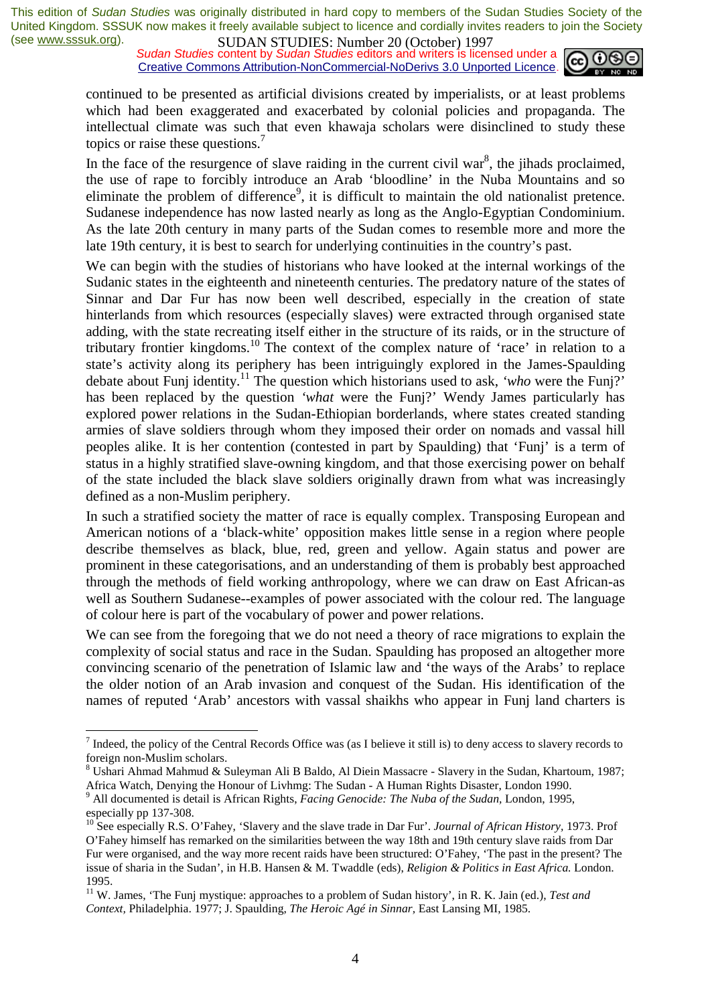*Sudan Studies* content by *Sudan Studies* editors and writers is licensed under a Creative Commons Attribution-NonCommercial-NoDerivs 3.0 Unported Licence.



continued to be presented as artificial divisions created by imperialists, or at least problems which had been exaggerated and exacerbated by colonial policies and propaganda. The intellectual climate was such that even khawaja scholars were disinclined to study these topics or raise these questions.<sup>7</sup>

In the face of the resurgence of slave raiding in the current civil war<sup>8</sup>, the jihads proclaimed, the use of rape to forcibly introduce an Arab 'bloodline' in the Nuba Mountains and so eliminate the problem of difference<sup>9</sup>, it is difficult to maintain the old nationalist pretence. Sudanese independence has now lasted nearly as long as the Anglo-Egyptian Condominium. As the late 20th century in many parts of the Sudan comes to resemble more and more the late 19th century, it is best to search for underlying continuities in the country's past.

We can begin with the studies of historians who have looked at the internal workings of the Sudanic states in the eighteenth and nineteenth centuries. The predatory nature of the states of Sinnar and Dar Fur has now been well described, especially in the creation of state hinterlands from which resources (especially slaves) were extracted through organised state adding, with the state recreating itself either in the structure of its raids, or in the structure of tributary frontier kingdoms.10 The context of the complex nature of 'race' in relation to a state's activity along its periphery has been intriguingly explored in the James-Spaulding debate about Funj identity.<sup>11</sup> The question which historians used to ask, *'who* were the Funj?' has been replaced by the question *'what* were the Funj?' Wendy James particularly has explored power relations in the Sudan-Ethiopian borderlands, where states created standing armies of slave soldiers through whom they imposed their order on nomads and vassal hill peoples alike. It is her contention (contested in part by Spaulding) that 'Funj' is a term of status in a highly stratified slave-owning kingdom, and that those exercising power on behalf of the state included the black slave soldiers originally drawn from what was increasingly defined as a non-Muslim periphery.

In such a stratified society the matter of race is equally complex. Transposing European and American notions of a 'black-white' opposition makes little sense in a region where people describe themselves as black, blue, red, green and yellow. Again status and power are prominent in these categorisations, and an understanding of them is probably best approached through the methods of field working anthropology, where we can draw on East African-as well as Southern Sudanese--examples of power associated with the colour red. The language of colour here is part of the vocabulary of power and power relations.

We can see from the foregoing that we do not need a theory of race migrations to explain the complexity of social status and race in the Sudan. Spaulding has proposed an altogether more convincing scenario of the penetration of Islamic law and 'the ways of the Arabs' to replace the older notion of an Arab invasion and conquest of the Sudan. His identification of the names of reputed 'Arab' ancestors with vassal shaikhs who appear in Funj land charters is

 $<sup>7</sup>$  Indeed, the policy of the Central Records Office was (as I believe it still is) to deny access to slavery records to</sup> foreign non-Muslim scholars.

<sup>8</sup> Ushari Ahmad Mahmud & Suleyman Ali B Baldo, Al Diein Massacre - Slavery in the Sudan, Khartoum, 1987;

Africa Watch, Denying the Honour of Livhmg: The Sudan - A Human Rights Disaster, London 1990. 9 All documented is detail is African Rights, *Facing Genocide: The Nuba of the Sudan,* London, 1995, especially pp 137-308.

<sup>10</sup> See especially R.S. O'Fahey, 'Slavery and the slave trade in Dar Fur'. *Journal of African History,* 1973. Prof O'Fahey himself has remarked on the similarities between the way 18th and 19th century slave raids from Dar Fur were organised, and the way more recent raids have been structured: O'Fahey, 'The past in the present? The issue of sharia in the Sudan', in H.B. Hansen & M. Twaddle (eds), *Religion & Politics in East Africa.* London. 1995.

<sup>11</sup> W. James, 'The Funj mystique: approaches to a problem of Sudan history', in R. K. Jain (ed.), *Test and Context,* Philadelphia. 1977; J. Spaulding, *The Heroic Agé in Sinnar,* East Lansing MI, 1985.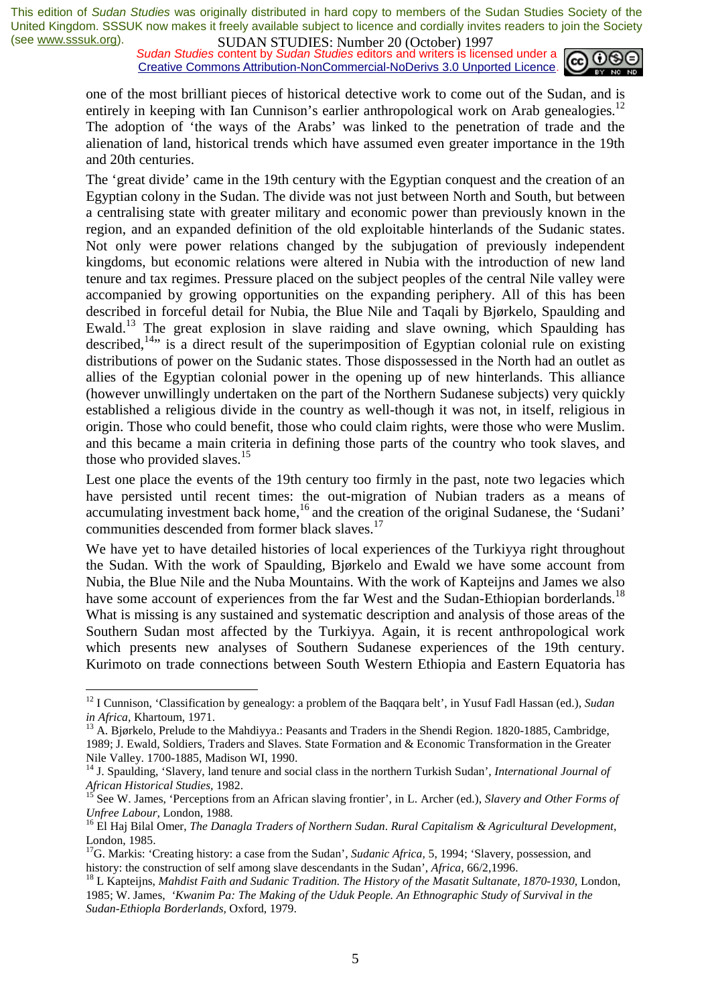*Sudan Studies* content by *Sudan Studies* editors and writers is licensed under a Creative Commons Attribution-NonCommercial-NoDerivs 3.0 Unported Licence.



one of the most brilliant pieces of historical detective work to come out of the Sudan, and is entirely in keeping with Ian Cunnison's earlier anthropological work on Arab genealogies.<sup>12</sup> The adoption of 'the ways of the Arabs' was linked to the penetration of trade and the alienation of land, historical trends which have assumed even greater importance in the 19th and 20th centuries.

The 'great divide' came in the 19th century with the Egyptian conquest and the creation of an Egyptian colony in the Sudan. The divide was not just between North and South, but between a centralising state with greater military and economic power than previously known in the region, and an expanded definition of the old exploitable hinterlands of the Sudanic states. Not only were power relations changed by the subjugation of previously independent kingdoms, but economic relations were altered in Nubia with the introduction of new land tenure and tax regimes. Pressure placed on the subject peoples of the central Nile valley were accompanied by growing opportunities on the expanding periphery. All of this has been described in forceful detail for Nubia, the Blue Nile and Taqali by Bjørkelo, Spaulding and Ewald.13 The great explosion in slave raiding and slave owning, which Spaulding has described,<sup>14</sup>" is a direct result of the superimposition of Egyptian colonial rule on existing distributions of power on the Sudanic states. Those dispossessed in the North had an outlet as allies of the Egyptian colonial power in the opening up of new hinterlands. This alliance (however unwillingly undertaken on the part of the Northern Sudanese subjects) very quickly established a religious divide in the country as well-though it was not, in itself, religious in origin. Those who could benefit, those who could claim rights, were those who were Muslim. and this became a main criteria in defining those parts of the country who took slaves, and those who provided slaves. $15$ 

Lest one place the events of the 19th century too firmly in the past, note two legacies which have persisted until recent times: the out-migration of Nubian traders as a means of accumulating investment back home, $16$  and the creation of the original Sudanese, the 'Sudani' communities descended from former black slaves.<sup>17</sup>

We have yet to have detailed histories of local experiences of the Turkiyya right throughout the Sudan. With the work of Spaulding, Bjørkelo and Ewald we have some account from Nubia, the Blue Nile and the Nuba Mountains. With the work of Kapteijns and James we also have some account of experiences from the far West and the Sudan-Ethiopian borderlands.<sup>18</sup> What is missing is any sustained and systematic description and analysis of those areas of the Southern Sudan most affected by the Turkiyya. Again, it is recent anthropological work which presents new analyses of Southern Sudanese experiences of the 19th century. Kurimoto on trade connections between South Western Ethiopia and Eastern Equatoria has

<sup>12</sup> I Cunnison, 'Classification by genealogy: a problem of the Baqqara belt', in Yusuf Fadl Hassan (ed.), *Sudan* 

*in Africa, Khartoum, 1971.* 13 A. Bjørkelo, Prelude to the Mahdiyya.: Peasants and Traders in the Shendi Region. 1820-1885, Cambridge, 1989; J. Ewald, Soldiers, Traders and Slaves. State Formation and & Economic Transformation in the Greater Nile Valley. 1700-1885, Madison WI, 1990.

<sup>14</sup> J. Spaulding, 'Slavery, land tenure and social class in the northern Turkish Sudan', *International Journal of African Historical Studies, 1982.*<br><sup>15</sup> See W. James, 'Perceptions from an African slaving frontier', in L. Archer (ed.), *Slavery and Other Forms of* 

*Unfree Labour, London, 1988.*<br><sup>16</sup> El Haj Bilal Omer, *The Danagla Traders of Northern Sudan. Rural Capitalism & Agricultural Development,* London, 1985.

<sup>&</sup>lt;sup>17</sup>G. Markis: 'Creating history: a case from the Sudan', *Sudanic Africa*, 5, 1994; 'Slavery, possession, and history: the construction of self among slave descendants in the Sudan', *Africa*, 66/2,1996.<br><sup>18</sup> L Kapteijns, *Mahdist Faith and Sudanic Tradition. The History of the Masatit Sultanate, 1870-1930, London,* 

<sup>1985;</sup> W. James, *'Kwanim Pa: The Making of the Uduk People. An Ethnographic Study of Survival in the Sudan-Ethiopla Borderlands,* Oxford, 1979.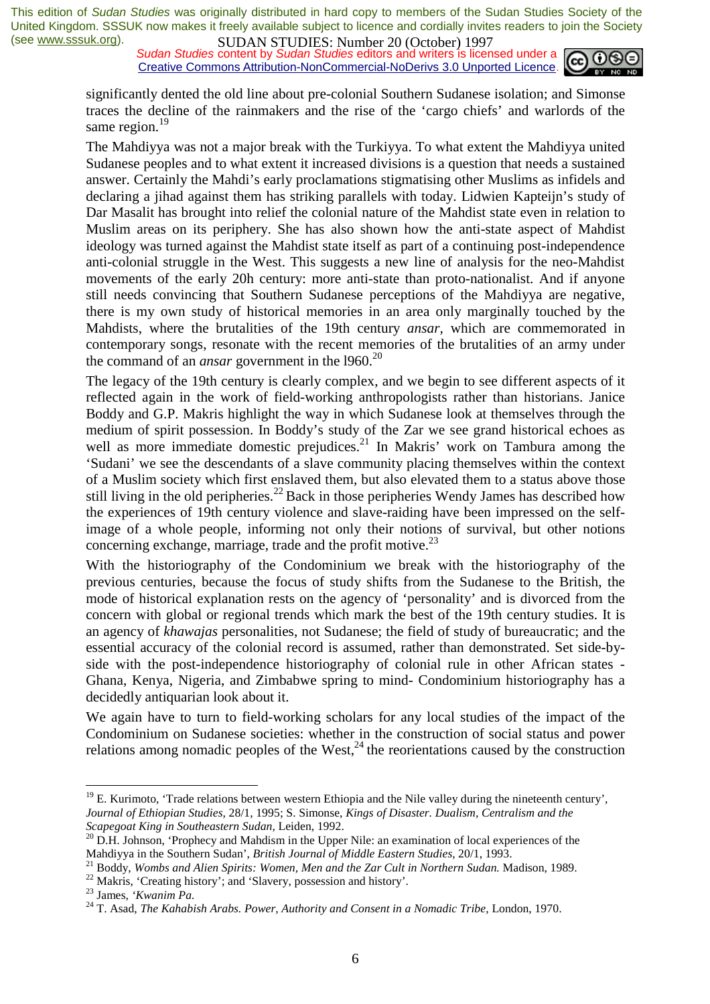*Sudan Studies* content by *Sudan Studies* editors and writers is licensed under a Creative Commons Attribution-NonCommercial-NoDerivs 3.0 Unported Licence.



significantly dented the old line about pre-colonial Southern Sudanese isolation; and Simonse traces the decline of the rainmakers and the rise of the 'cargo chiefs' and warlords of the same region.<sup>19</sup>

The Mahdiyya was not a major break with the Turkiyya. To what extent the Mahdiyya united Sudanese peoples and to what extent it increased divisions is a question that needs a sustained answer. Certainly the Mahdi's early proclamations stigmatising other Muslims as infidels and declaring a jihad against them has striking parallels with today. Lidwien Kapteijn's study of Dar Masalit has brought into relief the colonial nature of the Mahdist state even in relation to Muslim areas on its periphery. She has also shown how the anti-state aspect of Mahdist ideology was turned against the Mahdist state itself as part of a continuing post-independence anti-colonial struggle in the West. This suggests a new line of analysis for the neo-Mahdist movements of the early 20h century: more anti-state than proto-nationalist. And if anyone still needs convincing that Southern Sudanese perceptions of the Mahdiyya are negative, there is my own study of historical memories in an area only marginally touched by the Mahdists, where the brutalities of the 19th century *ansar,* which are commemorated in contemporary songs, resonate with the recent memories of the brutalities of an army under the command of an *ansar* government in the 1960.<sup>20</sup>

The legacy of the 19th century is clearly complex, and we begin to see different aspects of it reflected again in the work of field-working anthropologists rather than historians. Janice Boddy and G.P. Makris highlight the way in which Sudanese look at themselves through the medium of spirit possession. In Boddy's study of the Zar we see grand historical echoes as well as more immediate domestic prejudices.<sup>21</sup> In Makris' work on Tambura among the 'Sudani' we see the descendants of a slave community placing themselves within the context of a Muslim society which first enslaved them, but also elevated them to a status above those still living in the old peripheries.<sup>22</sup> Back in those peripheries Wendy James has described how the experiences of 19th century violence and slave-raiding have been impressed on the selfimage of a whole people, informing not only their notions of survival, but other notions concerning exchange, marriage, trade and the profit motive.<sup>23</sup>

With the historiography of the Condominium we break with the historiography of the previous centuries, because the focus of study shifts from the Sudanese to the British, the mode of historical explanation rests on the agency of 'personality' and is divorced from the concern with global or regional trends which mark the best of the 19th century studies. It is an agency of *khawajas* personalities, not Sudanese; the field of study of bureaucratic; and the essential accuracy of the colonial record is assumed, rather than demonstrated. Set side-byside with the post-independence historiography of colonial rule in other African states - Ghana, Kenya, Nigeria, and Zimbabwe spring to mind- Condominium historiography has a decidedly antiquarian look about it.

We again have to turn to field-working scholars for any local studies of the impact of the Condominium on Sudanese societies: whether in the construction of social status and power relations among nomadic peoples of the West, $^{24}$  the reorientations caused by the construction

<sup>&</sup>lt;sup>19</sup> E. Kurimoto, 'Trade relations between western Ethiopia and the Nile valley during the nineteenth century', *Journal of Ethiopian Studies,* 28/1, 1995; S. Simonse, *Kings of Disaster. Dualism, Centralism and the* 

*Scapegoat King in Southeastern Sudan, Leiden, 1992.*<br><sup>20</sup> D.H. Johnson, 'Prophecy and Mahdism in the Upper Nile: an examination of local experiences of the Mahdiyya in the Southern Sudan', *British Journal of Middle Easte* 

<sup>&</sup>lt;sup>21</sup> Boddy, *Wombs and Alien Spirits: Women, Men and the Zar Cult in Northern Sudan*. Madison, 1989.<br><sup>22</sup> Makris, 'Creating history'; and 'Slavery, possession and history'.<br><sup>23</sup> James, '*Kwanim Pa*.

<sup>&</sup>lt;sup>24</sup> T. Asad, *The Kahabish Arabs. Power, Authority and Consent in a Nomadic Tribe, London, 1970.*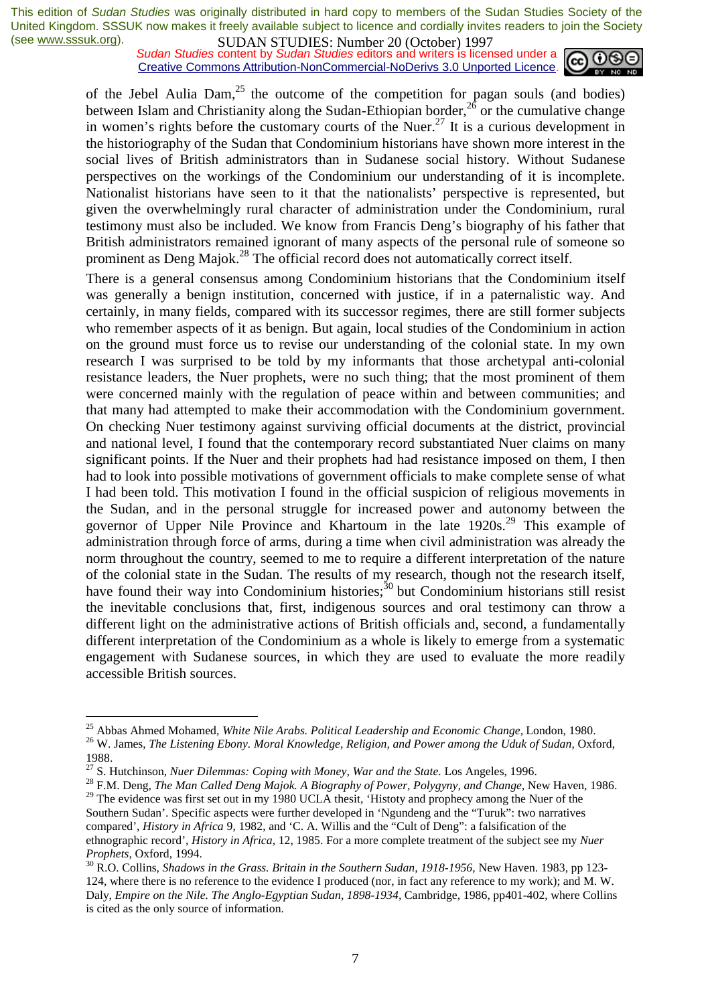*Sudan Studies* content by *Sudan Studies* editors and writers is licensed under a Creative Commons Attribution-NonCommercial-NoDerivs 3.0 Unported Licence.



of the Jebel Aulia Dam,<sup>25</sup> the outcome of the competition for pagan souls (and bodies) between Islam and Christianity along the Sudan-Ethiopian border,  $2^6$  or the cumulative change in women's rights before the customary courts of the Nuer.<sup>27</sup> It is a curious development in the historiography of the Sudan that Condominium historians have shown more interest in the social lives of British administrators than in Sudanese social history. Without Sudanese perspectives on the workings of the Condominium our understanding of it is incomplete. Nationalist historians have seen to it that the nationalists' perspective is represented, but given the overwhelmingly rural character of administration under the Condominium, rural testimony must also be included. We know from Francis Deng's biography of his father that British administrators remained ignorant of many aspects of the personal rule of someone so prominent as Deng Majok.28 The official record does not automatically correct itself.

There is a general consensus among Condominium historians that the Condominium itself was generally a benign institution, concerned with justice, if in a paternalistic way. And certainly, in many fields, compared with its successor regimes, there are still former subjects who remember aspects of it as benign. But again, local studies of the Condominium in action on the ground must force us to revise our understanding of the colonial state. In my own research I was surprised to be told by my informants that those archetypal anti-colonial resistance leaders, the Nuer prophets, were no such thing; that the most prominent of them were concerned mainly with the regulation of peace within and between communities; and that many had attempted to make their accommodation with the Condominium government. On checking Nuer testimony against surviving official documents at the district, provincial and national level, I found that the contemporary record substantiated Nuer claims on many significant points. If the Nuer and their prophets had had resistance imposed on them, I then had to look into possible motivations of government officials to make complete sense of what I had been told. This motivation I found in the official suspicion of religious movements in the Sudan, and in the personal struggle for increased power and autonomy between the governor of Upper Nile Province and Khartoum in the late 1920s.<sup>29</sup> This example of administration through force of arms, during a time when civil administration was already the norm throughout the country, seemed to me to require a different interpretation of the nature of the colonial state in the Sudan. The results of my research, though not the research itself, have found their way into Condominium histories; $30$  but Condominium historians still resist the inevitable conclusions that, first, indigenous sources and oral testimony can throw a different light on the administrative actions of British officials and, second, a fundamentally different interpretation of the Condominium as a whole is likely to emerge from a systematic engagement with Sudanese sources, in which they are used to evaluate the more readily accessible British sources.

<sup>&</sup>lt;sup>25</sup> Abbas Ahmed Mohamed, White Nile Arabs. Political Leadership and Economic Change, London, 1980. <sup>26</sup> W. James, *The Listening Ebony. Moral Knowledge, Religion, and Power among the Uduk of Sudan, Oxford,* 

<sup>1988.&</sup>lt;br><sup>27</sup> S. Hutchinson, *Nuer Dilemmas: Coping with Money, War and the State*. Los Angeles, 1996.

<sup>&</sup>lt;sup>28</sup> F.M. Deng, *The Man Called Deng Majok. A Biography of Power, Polygyny, and Change, New Haven, 1986.* <sup>29</sup> The evidence was first set out in my 1980 UCLA thesit, 'Histoty and prophecy among the Nuer of the

Southern Sudan'. Specific aspects were further developed in 'Ngundeng and the "Turuk": two narratives compared', *History in Africa* 9, 1982, and 'C. A. Willis and the "Cult of Deng": a falsification of the ethnographic record', *History in Africa,* 12, 1985. For a more complete treatment of the subject see my *Nuer* 

*Prophets, Oxford, 1994.*<br><sup>30</sup> R.O. Collins, *Shadows in the Grass. Britain in the Southern Sudan, 1918-1956, New Haven. 1983, pp 123-*124, where there is no reference to the evidence I produced (nor, in fact any reference to my work); and M. W. Daly, *Empire on the Nile. The Anglo-Egyptian Sudan, 1898-1934,* Cambridge, 1986, pp401-402, where Collins is cited as the only source of information.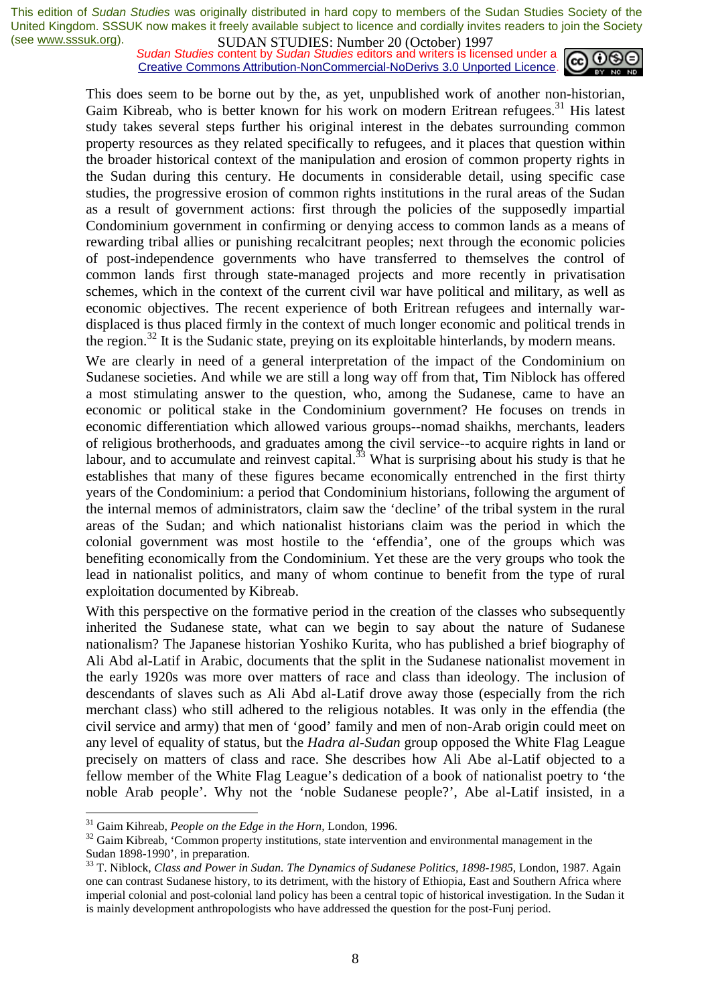**SUDAN STUDIES:** Number 20 (October) 122,<br>Sudan Studies content by Sudan Studies editors and writers is licensed under a Creative Commons Attribution-NonCommercial-NoDerivs 3.0 Unported Licence.



This does seem to be borne out by the, as yet, unpublished work of another non-historian, Gaim Kibreab, who is better known for his work on modern Eritrean refugees.<sup>31</sup> His latest study takes several steps further his original interest in the debates surrounding common property resources as they related specifically to refugees, and it places that question within the broader historical context of the manipulation and erosion of common property rights in the Sudan during this century. He documents in considerable detail, using specific case studies, the progressive erosion of common rights institutions in the rural areas of the Sudan as a result of government actions: first through the policies of the supposedly impartial Condominium government in confirming or denying access to common lands as a means of rewarding tribal allies or punishing recalcitrant peoples; next through the economic policies of post-independence governments who have transferred to themselves the control of common lands first through state-managed projects and more recently in privatisation schemes, which in the context of the current civil war have political and military, as well as economic objectives. The recent experience of both Eritrean refugees and internally wardisplaced is thus placed firmly in the context of much longer economic and political trends in the region.<sup>32</sup> It is the Sudanic state, preying on its exploitable hinterlands, by modern means.

We are clearly in need of a general interpretation of the impact of the Condominium on Sudanese societies. And while we are still a long way off from that, Tim Niblock has offered a most stimulating answer to the question, who, among the Sudanese, came to have an economic or political stake in the Condominium government? He focuses on trends in economic differentiation which allowed various groups--nomad shaikhs, merchants, leaders of religious brotherhoods, and graduates among the civil service--to acquire rights in land or labour, and to accumulate and reinvest capital. $33$  What is surprising about his study is that he establishes that many of these figures became economically entrenched in the first thirty years of the Condominium: a period that Condominium historians, following the argument of the internal memos of administrators, claim saw the 'decline' of the tribal system in the rural areas of the Sudan; and which nationalist historians claim was the period in which the colonial government was most hostile to the 'effendia', one of the groups which was benefiting economically from the Condominium. Yet these are the very groups who took the lead in nationalist politics, and many of whom continue to benefit from the type of rural exploitation documented by Kibreab.

With this perspective on the formative period in the creation of the classes who subsequently inherited the Sudanese state, what can we begin to say about the nature of Sudanese nationalism? The Japanese historian Yoshiko Kurita, who has published a brief biography of Ali Abd al-Latif in Arabic, documents that the split in the Sudanese nationalist movement in the early 1920s was more over matters of race and class than ideology. The inclusion of descendants of slaves such as Ali Abd al-Latif drove away those (especially from the rich merchant class) who still adhered to the religious notables. It was only in the effendia (the civil service and army) that men of 'good' family and men of non-Arab origin could meet on any level of equality of status, but the *Hadra al-Sudan* group opposed the White Flag League precisely on matters of class and race. She describes how Ali Abe al-Latif objected to a fellow member of the White Flag League's dedication of a book of nationalist poetry to 'the noble Arab people'. Why not the 'noble Sudanese people?', Abe al-Latif insisted, in a

<sup>&</sup>lt;sup>31</sup> Gaim Kihreab, *People on the Edge in the Horn*, London, 1996.<br><sup>32</sup> Gaim Kibreab, 'Common property institutions, state intervention and environmental management in the Sudan 1898-1990', in preparation.

<sup>&</sup>lt;sup>33</sup> T. Niblock, *Class and Power in Sudan. The Dynamics of Sudanese Politics, 1898-1985*, London, 1987. Again one can contrast Sudanese history, to its detriment, with the history of Ethiopia, East and Southern Africa where imperial colonial and post-colonial land policy has been a central topic of historical investigation. In the Sudan it is mainly development anthropologists who have addressed the question for the post-Funj period.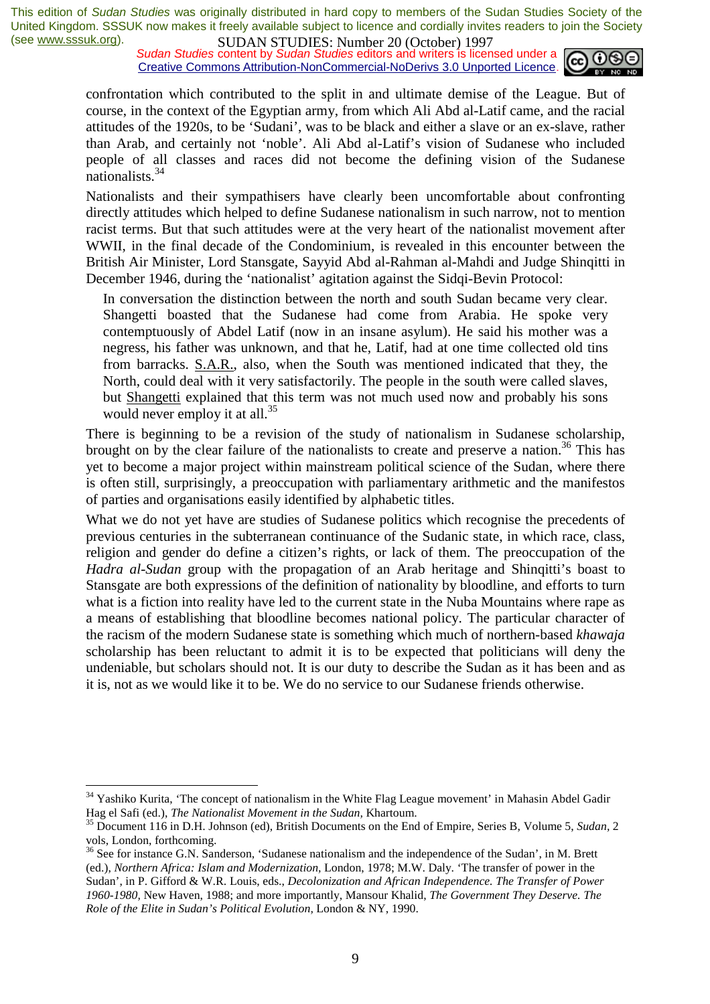*Sudan Studies* content by *Sudan Studies* editors and writers is licensed under a Creative Commons Attribution-NonCommercial-NoDerivs 3.0 Unported Licence.



confrontation which contributed to the split in and ultimate demise of the League. But of course, in the context of the Egyptian army, from which Ali Abd al-Latif came, and the racial attitudes of the 1920s, to be 'Sudani', was to be black and either a slave or an ex-slave, rather than Arab, and certainly not 'noble'. Ali Abd al-Latif's vision of Sudanese who included people of all classes and races did not become the defining vision of the Sudanese nationalists.<sup>34</sup>

Nationalists and their sympathisers have clearly been uncomfortable about confronting directly attitudes which helped to define Sudanese nationalism in such narrow, not to mention racist terms. But that such attitudes were at the very heart of the nationalist movement after WWII, in the final decade of the Condominium, is revealed in this encounter between the British Air Minister, Lord Stansgate, Sayyid Abd al-Rahman al-Mahdi and Judge Shinqitti in December 1946, during the 'nationalist' agitation against the Sidqi-Bevin Protocol:

In conversation the distinction between the north and south Sudan became very clear. Shangetti boasted that the Sudanese had come from Arabia. He spoke very contemptuously of Abdel Latif (now in an insane asylum). He said his mother was a negress, his father was unknown, and that he, Latif, had at one time collected old tins from barracks. S.A.R., also, when the South was mentioned indicated that they, the North, could deal with it very satisfactorily. The people in the south were called slaves, but Shangetti explained that this term was not much used now and probably his sons would never employ it at all.<sup>35</sup>

There is beginning to be a revision of the study of nationalism in Sudanese scholarship, brought on by the clear failure of the nationalists to create and preserve a nation.<sup>36</sup> This has yet to become a major project within mainstream political science of the Sudan, where there is often still, surprisingly, a preoccupation with parliamentary arithmetic and the manifestos of parties and organisations easily identified by alphabetic titles.

What we do not yet have are studies of Sudanese politics which recognise the precedents of previous centuries in the subterranean continuance of the Sudanic state, in which race, class, religion and gender do define a citizen's rights, or lack of them. The preoccupation of the *Hadra al-Sudan* group with the propagation of an Arab heritage and Shinqitti's boast to Stansgate are both expressions of the definition of nationality by bloodline, and efforts to turn what is a fiction into reality have led to the current state in the Nuba Mountains where rape as a means of establishing that bloodline becomes national policy. The particular character of the racism of the modern Sudanese state is something which much of northern-based *khawaja*  scholarship has been reluctant to admit it is to be expected that politicians will deny the undeniable, but scholars should not. It is our duty to describe the Sudan as it has been and as it is, not as we would like it to be. We do no service to our Sudanese friends otherwise.

<sup>&</sup>lt;sup>34</sup> Yashiko Kurita, 'The concept of nationalism in the White Flag League movement' in Mahasin Abdel Gadir

Hag el Safi (ed.), *The Nationalist Movement in the Sudan,* Khartoum. 35 Document 116 in D.H. Johnson (ed), British Documents on the End of Empire, Series B, Volume 5, *Sudan,* <sup>2</sup> vols, London, forthcoming.

<sup>&</sup>lt;sup>36</sup> See for instance G.N. Sanderson, 'Sudanese nationalism and the independence of the Sudan', in M. Brett (ed.), *Northern Africa: Islam and Modernization,* London, 1978; M.W. Daly. 'The transfer of power in the Sudan', in P. Gifford & W.R. Louis, eds., *Decolonization and African Independence. The Transfer of Power 1960-1980,* New Haven, 1988; and more importantly, Mansour Khalid, *The Government They Deserve. The Role of the Elite in Sudan's Political Evolution,* London & NY, 1990.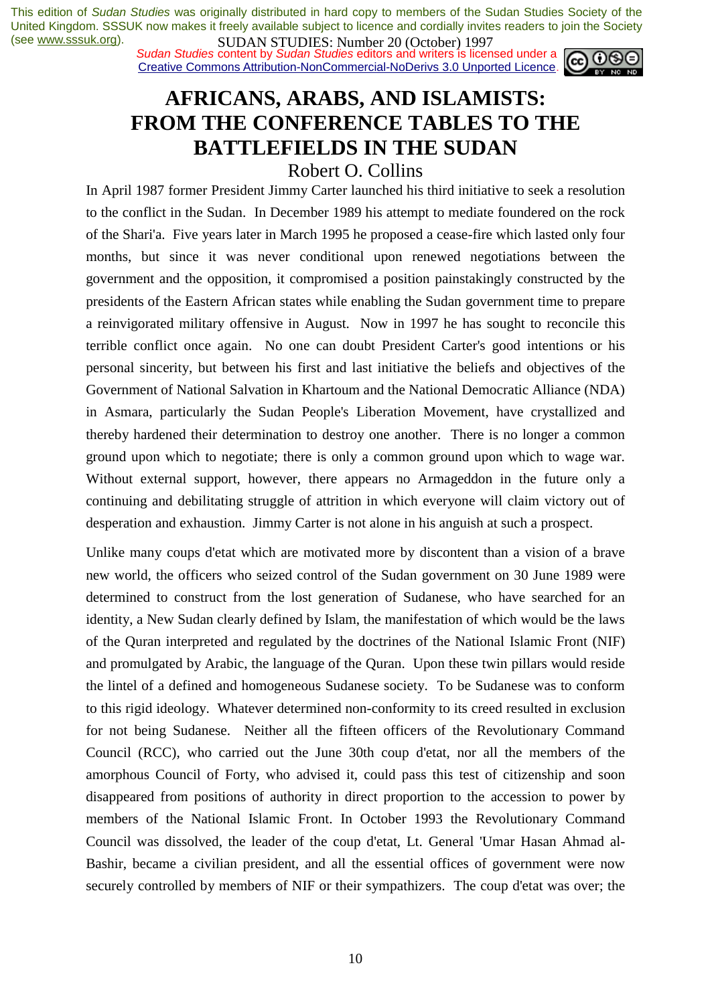*Sudan Studies* content by *Sudan Studies* editors and writers is licensed under a Creative Commons Attribution-NonCommercial-NoDerivs 3.0 Unported Licence.



# **AFRICANS, ARABS, AND ISLAMISTS: FROM THE CONFERENCE TABLES TO THE BATTLEFIELDS IN THE SUDAN**

### Robert O. Collins

In April 1987 former President Jimmy Carter launched his third initiative to seek a resolution to the conflict in the Sudan. In December 1989 his attempt to mediate foundered on the rock of the Shari'a. Five years later in March 1995 he proposed a cease-fire which lasted only four months, but since it was never conditional upon renewed negotiations between the government and the opposition, it compromised a position painstakingly constructed by the presidents of the Eastern African states while enabling the Sudan government time to prepare a reinvigorated military offensive in August. Now in 1997 he has sought to reconcile this terrible conflict once again. No one can doubt President Carter's good intentions or his personal sincerity, but between his first and last initiative the beliefs and objectives of the Government of National Salvation in Khartoum and the National Democratic Alliance (NDA) in Asmara, particularly the Sudan People's Liberation Movement, have crystallized and thereby hardened their determination to destroy one another. There is no longer a common ground upon which to negotiate; there is only a common ground upon which to wage war. Without external support, however, there appears no Armageddon in the future only a continuing and debilitating struggle of attrition in which everyone will claim victory out of desperation and exhaustion. Jimmy Carter is not alone in his anguish at such a prospect.

Unlike many coups d'etat which are motivated more by discontent than a vision of a brave new world, the officers who seized control of the Sudan government on 30 June 1989 were determined to construct from the lost generation of Sudanese, who have searched for an identity, a New Sudan clearly defined by Islam, the manifestation of which would be the laws of the Quran interpreted and regulated by the doctrines of the National Islamic Front (NIF) and promulgated by Arabic, the language of the Quran. Upon these twin pillars would reside the lintel of a defined and homogeneous Sudanese society. To be Sudanese was to conform to this rigid ideology. Whatever determined non-conformity to its creed resulted in exclusion for not being Sudanese. Neither all the fifteen officers of the Revolutionary Command Council (RCC), who carried out the June 30th coup d'etat, nor all the members of the amorphous Council of Forty, who advised it, could pass this test of citizenship and soon disappeared from positions of authority in direct proportion to the accession to power by members of the National Islamic Front. In October 1993 the Revolutionary Command Council was dissolved, the leader of the coup d'etat, Lt. General 'Umar Hasan Ahmad al-Bashir, became a civilian president, and all the essential offices of government were now securely controlled by members of NIF or their sympathizers. The coup d'etat was over; the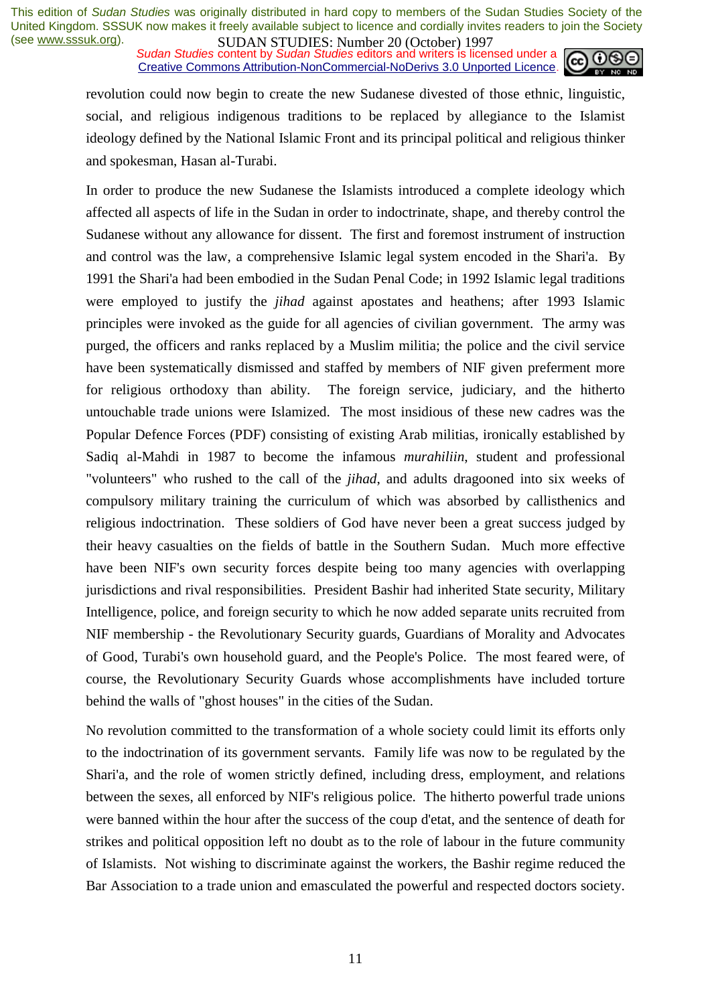**SUDAN STUDIES:** Number 20 (October) 122,<br>*Sudan Studies* content by *Sudan Studies* editors and writers is licensed under a Creative Commons Attribution-NonCommercial-NoDerivs 3.0 Unported Licence.



revolution could now begin to create the new Sudanese divested of those ethnic, linguistic, social, and religious indigenous traditions to be replaced by allegiance to the Islamist ideology defined by the National Islamic Front and its principal political and religious thinker and spokesman, Hasan al-Turabi.

In order to produce the new Sudanese the Islamists introduced a complete ideology which affected all aspects of life in the Sudan in order to indoctrinate, shape, and thereby control the Sudanese without any allowance for dissent. The first and foremost instrument of instruction and control was the law, a comprehensive Islamic legal system encoded in the Shari'a. By 1991 the Shari'a had been embodied in the Sudan Penal Code; in 1992 Islamic legal traditions were employed to justify the *jihad* against apostates and heathens; after 1993 Islamic principles were invoked as the guide for all agencies of civilian government. The army was purged, the officers and ranks replaced by a Muslim militia; the police and the civil service have been systematically dismissed and staffed by members of NIF given preferment more for religious orthodoxy than ability. The foreign service, judiciary, and the hitherto untouchable trade unions were Islamized. The most insidious of these new cadres was the Popular Defence Forces (PDF) consisting of existing Arab militias, ironically established by Sadiq al-Mahdi in 1987 to become the infamous *murahiliin*, student and professional "volunteers" who rushed to the call of the *jihad*, and adults dragooned into six weeks of compulsory military training the curriculum of which was absorbed by callisthenics and religious indoctrination. These soldiers of God have never been a great success judged by their heavy casualties on the fields of battle in the Southern Sudan. Much more effective have been NIF's own security forces despite being too many agencies with overlapping jurisdictions and rival responsibilities. President Bashir had inherited State security, Military Intelligence, police, and foreign security to which he now added separate units recruited from NIF membership - the Revolutionary Security guards, Guardians of Morality and Advocates of Good, Turabi's own household guard, and the People's Police. The most feared were, of course, the Revolutionary Security Guards whose accomplishments have included torture behind the walls of "ghost houses" in the cities of the Sudan.

No revolution committed to the transformation of a whole society could limit its efforts only to the indoctrination of its government servants. Family life was now to be regulated by the Shari'a, and the role of women strictly defined, including dress, employment, and relations between the sexes, all enforced by NIF's religious police. The hitherto powerful trade unions were banned within the hour after the success of the coup d'etat, and the sentence of death for strikes and political opposition left no doubt as to the role of labour in the future community of Islamists. Not wishing to discriminate against the workers, the Bashir regime reduced the Bar Association to a trade union and emasculated the powerful and respected doctors society.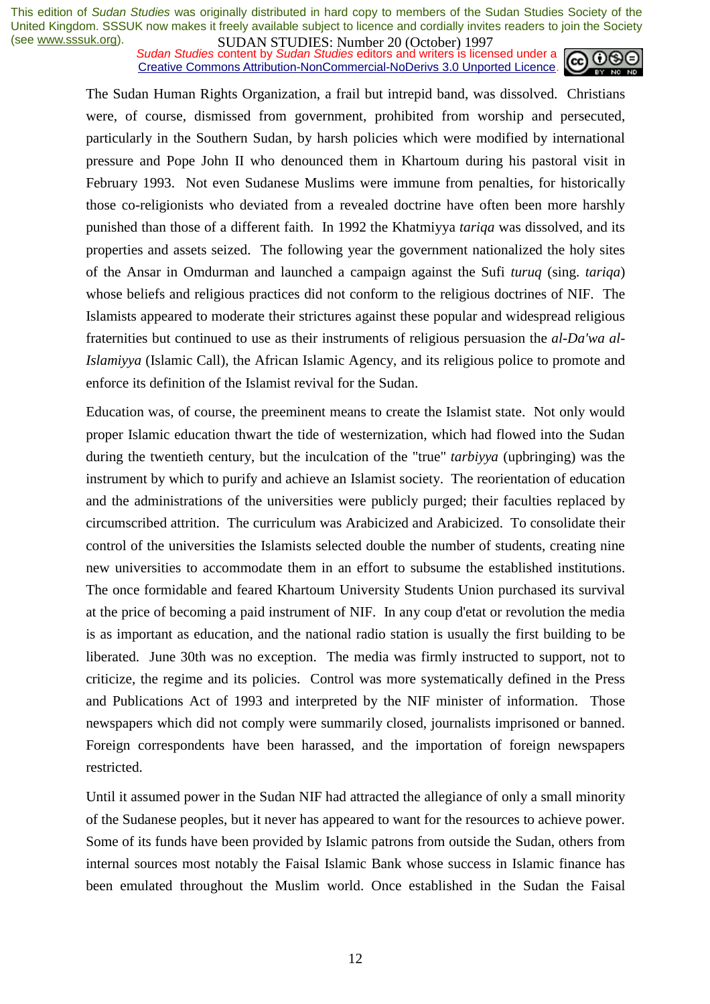**SUDAN STUDIES:** Number 20 (October) 122,<br>Sudan Studies content by Sudan Studies editors and writers is licensed under a Creative Commons Attribution-NonCommercial-NoDerivs 3.0 Unported Licence.



The Sudan Human Rights Organization, a frail but intrepid band, was dissolved. Christians were, of course, dismissed from government, prohibited from worship and persecuted, particularly in the Southern Sudan, by harsh policies which were modified by international pressure and Pope John II who denounced them in Khartoum during his pastoral visit in February 1993. Not even Sudanese Muslims were immune from penalties, for historically those co-religionists who deviated from a revealed doctrine have often been more harshly punished than those of a different faith. In 1992 the Khatmiyya *tariqa* was dissolved, and its properties and assets seized. The following year the government nationalized the holy sites of the Ansar in Omdurman and launched a campaign against the Sufi *turuq* (sing. *tariqa*) whose beliefs and religious practices did not conform to the religious doctrines of NIF. The Islamists appeared to moderate their strictures against these popular and widespread religious fraternities but continued to use as their instruments of religious persuasion the *al-Da'wa al-Islamiyya* (Islamic Call), the African Islamic Agency, and its religious police to promote and enforce its definition of the Islamist revival for the Sudan.

Education was, of course, the preeminent means to create the Islamist state. Not only would proper Islamic education thwart the tide of westernization, which had flowed into the Sudan during the twentieth century, but the inculcation of the "true" *tarbiyya* (upbringing) was the instrument by which to purify and achieve an Islamist society. The reorientation of education and the administrations of the universities were publicly purged; their faculties replaced by circumscribed attrition. The curriculum was Arabicized and Arabicized. To consolidate their control of the universities the Islamists selected double the number of students, creating nine new universities to accommodate them in an effort to subsume the established institutions. The once formidable and feared Khartoum University Students Union purchased its survival at the price of becoming a paid instrument of NIF. In any coup d'etat or revolution the media is as important as education, and the national radio station is usually the first building to be liberated. June 30th was no exception. The media was firmly instructed to support, not to criticize, the regime and its policies. Control was more systematically defined in the Press and Publications Act of 1993 and interpreted by the NIF minister of information. Those newspapers which did not comply were summarily closed, journalists imprisoned or banned. Foreign correspondents have been harassed, and the importation of foreign newspapers restricted.

Until it assumed power in the Sudan NIF had attracted the allegiance of only a small minority of the Sudanese peoples, but it never has appeared to want for the resources to achieve power. Some of its funds have been provided by Islamic patrons from outside the Sudan, others from internal sources most notably the Faisal Islamic Bank whose success in Islamic finance has been emulated throughout the Muslim world. Once established in the Sudan the Faisal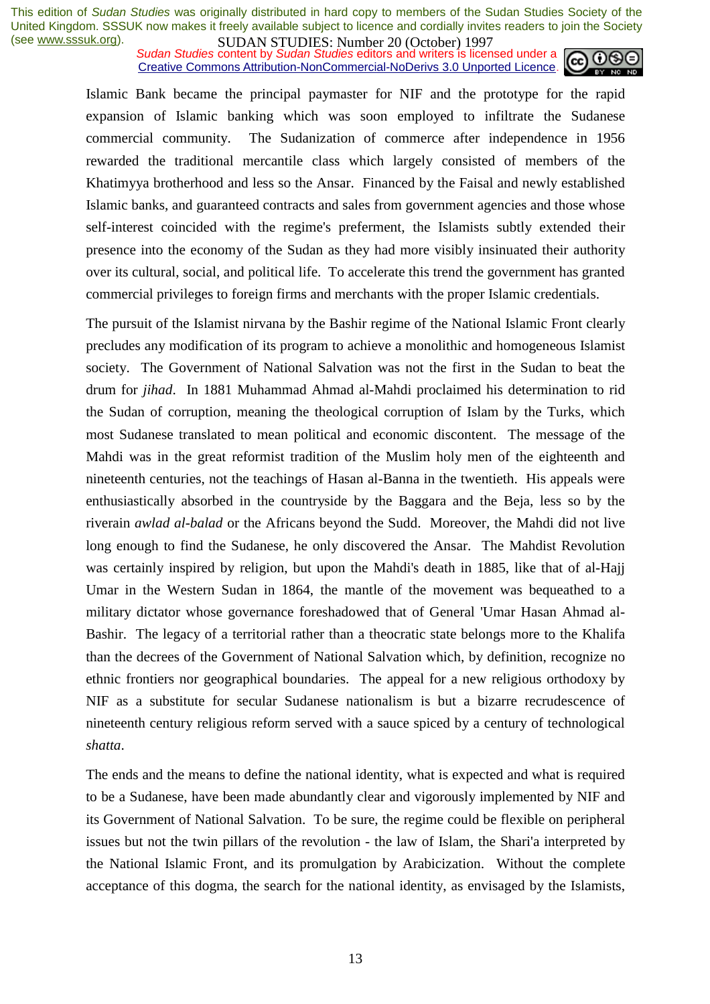*Sudan Studies* content by *Sudan Studies* editors and writers is licensed under a Creative Commons Attribution-NonCommercial-NoDerivs 3.0 Unported Licence.



Islamic Bank became the principal paymaster for NIF and the prototype for the rapid expansion of Islamic banking which was soon employed to infiltrate the Sudanese commercial community. The Sudanization of commerce after independence in 1956 rewarded the traditional mercantile class which largely consisted of members of the Khatimyya brotherhood and less so the Ansar. Financed by the Faisal and newly established Islamic banks, and guaranteed contracts and sales from government agencies and those whose self-interest coincided with the regime's preferment, the Islamists subtly extended their presence into the economy of the Sudan as they had more visibly insinuated their authority over its cultural, social, and political life. To accelerate this trend the government has granted commercial privileges to foreign firms and merchants with the proper Islamic credentials.

The pursuit of the Islamist nirvana by the Bashir regime of the National Islamic Front clearly precludes any modification of its program to achieve a monolithic and homogeneous Islamist society. The Government of National Salvation was not the first in the Sudan to beat the drum for *jihad*. In 1881 Muhammad Ahmad al-Mahdi proclaimed his determination to rid the Sudan of corruption, meaning the theological corruption of Islam by the Turks, which most Sudanese translated to mean political and economic discontent. The message of the Mahdi was in the great reformist tradition of the Muslim holy men of the eighteenth and nineteenth centuries, not the teachings of Hasan al-Banna in the twentieth. His appeals were enthusiastically absorbed in the countryside by the Baggara and the Beja, less so by the riverain *awlad al-balad* or the Africans beyond the Sudd. Moreover, the Mahdi did not live long enough to find the Sudanese, he only discovered the Ansar. The Mahdist Revolution was certainly inspired by religion, but upon the Mahdi's death in 1885, like that of al-Hajj Umar in the Western Sudan in 1864, the mantle of the movement was bequeathed to a military dictator whose governance foreshadowed that of General 'Umar Hasan Ahmad al-Bashir. The legacy of a territorial rather than a theocratic state belongs more to the Khalifa than the decrees of the Government of National Salvation which, by definition, recognize no ethnic frontiers nor geographical boundaries. The appeal for a new religious orthodoxy by NIF as a substitute for secular Sudanese nationalism is but a bizarre recrudescence of nineteenth century religious reform served with a sauce spiced by a century of technological *shatta*.

The ends and the means to define the national identity, what is expected and what is required to be a Sudanese, have been made abundantly clear and vigorously implemented by NIF and its Government of National Salvation. To be sure, the regime could be flexible on peripheral issues but not the twin pillars of the revolution - the law of Islam, the Shari'a interpreted by the National Islamic Front, and its promulgation by Arabicization. Without the complete acceptance of this dogma, the search for the national identity, as envisaged by the Islamists,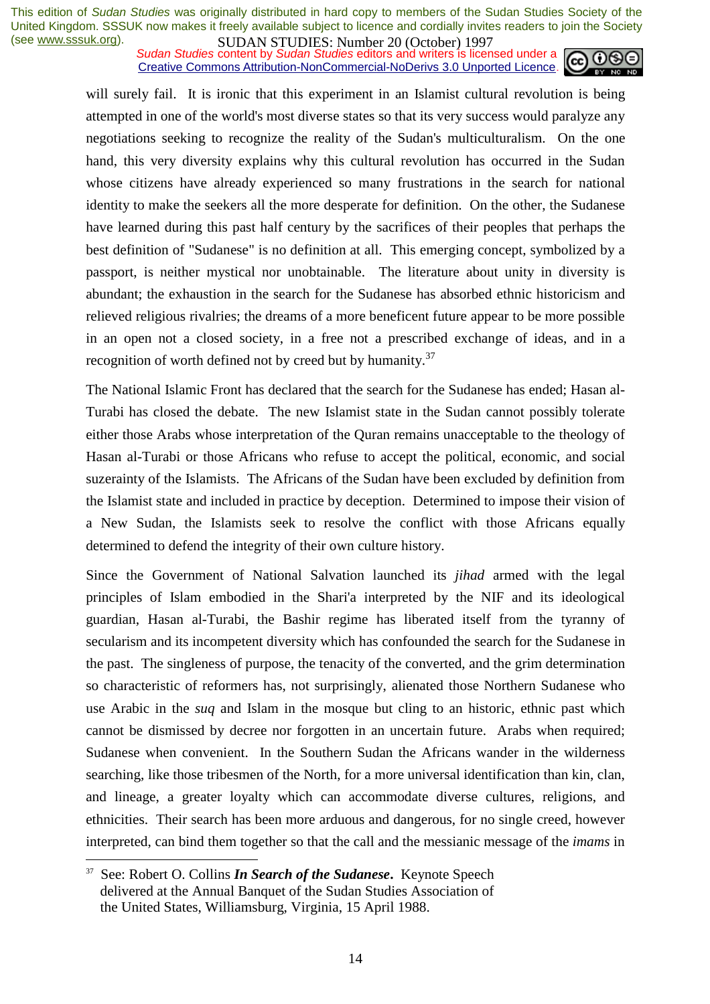**SUDAN STUDIES:** Number 20 (October) 122,<br>Sudan Studies content by Sudan Studies editors and writers is licensed under a Creative Commons Attribution-NonCommercial-NoDerivs 3.0 Unported Licence.



will surely fail. It is ironic that this experiment in an Islamist cultural revolution is being attempted in one of the world's most diverse states so that its very success would paralyze any negotiations seeking to recognize the reality of the Sudan's multiculturalism. On the one hand, this very diversity explains why this cultural revolution has occurred in the Sudan whose citizens have already experienced so many frustrations in the search for national identity to make the seekers all the more desperate for definition. On the other, the Sudanese have learned during this past half century by the sacrifices of their peoples that perhaps the best definition of "Sudanese" is no definition at all. This emerging concept, symbolized by a passport, is neither mystical nor unobtainable. The literature about unity in diversity is abundant; the exhaustion in the search for the Sudanese has absorbed ethnic historicism and relieved religious rivalries; the dreams of a more beneficent future appear to be more possible in an open not a closed society, in a free not a prescribed exchange of ideas, and in a recognition of worth defined not by creed but by humanity.<sup>37</sup>

The National Islamic Front has declared that the search for the Sudanese has ended; Hasan al-Turabi has closed the debate. The new Islamist state in the Sudan cannot possibly tolerate either those Arabs whose interpretation of the Quran remains unacceptable to the theology of Hasan al-Turabi or those Africans who refuse to accept the political, economic, and social suzerainty of the Islamists. The Africans of the Sudan have been excluded by definition from the Islamist state and included in practice by deception. Determined to impose their vision of a New Sudan, the Islamists seek to resolve the conflict with those Africans equally determined to defend the integrity of their own culture history.

Since the Government of National Salvation launched its *jihad* armed with the legal principles of Islam embodied in the Shari'a interpreted by the NIF and its ideological guardian, Hasan al-Turabi, the Bashir regime has liberated itself from the tyranny of secularism and its incompetent diversity which has confounded the search for the Sudanese in the past. The singleness of purpose, the tenacity of the converted, and the grim determination so characteristic of reformers has, not surprisingly, alienated those Northern Sudanese who use Arabic in the *suq* and Islam in the mosque but cling to an historic, ethnic past which cannot be dismissed by decree nor forgotten in an uncertain future. Arabs when required; Sudanese when convenient. In the Southern Sudan the Africans wander in the wilderness searching, like those tribesmen of the North, for a more universal identification than kin, clan, and lineage, a greater loyalty which can accommodate diverse cultures, religions, and ethnicities. Their search has been more arduous and dangerous, for no single creed, however interpreted, can bind them together so that the call and the messianic message of the *imams* in

<sup>37</sup> See: Robert O. Collins *In Search of the Sudanese***.** Keynote Speech delivered at the Annual Banquet of the Sudan Studies Association of the United States, Williamsburg, Virginia, 15 April 1988.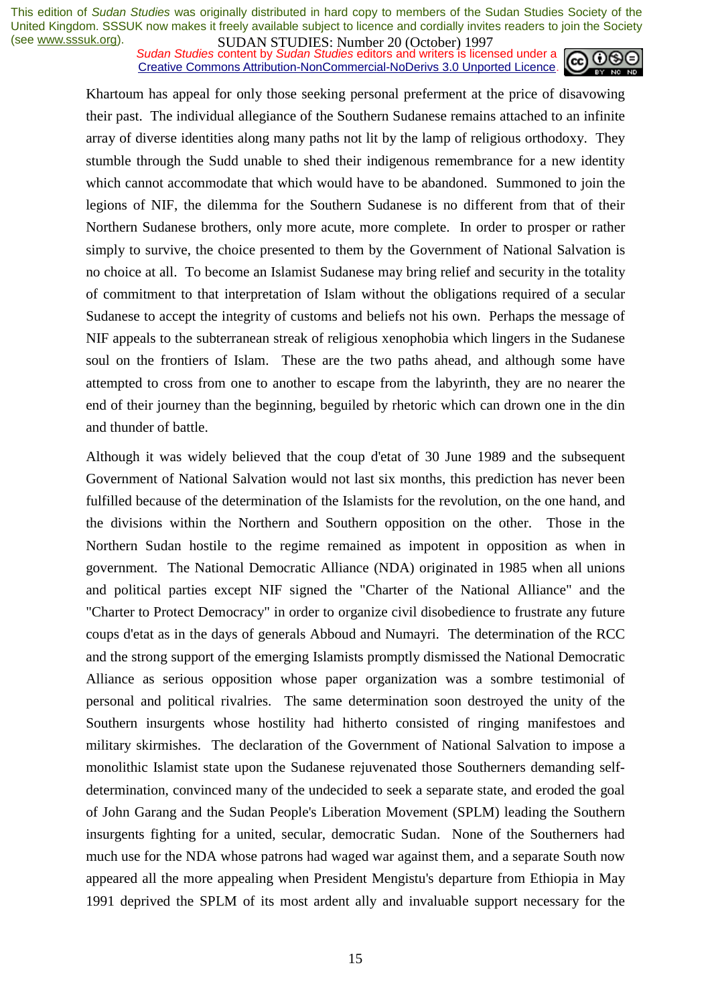**SUDAN STUDIES:** Number 20 (October) 122,<br>Sudan Studies content by Sudan Studies editors and writers is licensed under a Creative Commons Attribution-NonCommercial-NoDerivs 3.0 Unported Licence.



Khartoum has appeal for only those seeking personal preferment at the price of disavowing their past. The individual allegiance of the Southern Sudanese remains attached to an infinite array of diverse identities along many paths not lit by the lamp of religious orthodoxy. They stumble through the Sudd unable to shed their indigenous remembrance for a new identity which cannot accommodate that which would have to be abandoned. Summoned to join the legions of NIF, the dilemma for the Southern Sudanese is no different from that of their Northern Sudanese brothers, only more acute, more complete. In order to prosper or rather simply to survive, the choice presented to them by the Government of National Salvation is no choice at all. To become an Islamist Sudanese may bring relief and security in the totality of commitment to that interpretation of Islam without the obligations required of a secular Sudanese to accept the integrity of customs and beliefs not his own. Perhaps the message of NIF appeals to the subterranean streak of religious xenophobia which lingers in the Sudanese soul on the frontiers of Islam. These are the two paths ahead, and although some have attempted to cross from one to another to escape from the labyrinth, they are no nearer the end of their journey than the beginning, beguiled by rhetoric which can drown one in the din and thunder of battle.

Although it was widely believed that the coup d'etat of 30 June 1989 and the subsequent Government of National Salvation would not last six months, this prediction has never been fulfilled because of the determination of the Islamists for the revolution, on the one hand, and the divisions within the Northern and Southern opposition on the other. Those in the Northern Sudan hostile to the regime remained as impotent in opposition as when in government. The National Democratic Alliance (NDA) originated in 1985 when all unions and political parties except NIF signed the "Charter of the National Alliance" and the "Charter to Protect Democracy" in order to organize civil disobedience to frustrate any future coups d'etat as in the days of generals Abboud and Numayri. The determination of the RCC and the strong support of the emerging Islamists promptly dismissed the National Democratic Alliance as serious opposition whose paper organization was a sombre testimonial of personal and political rivalries. The same determination soon destroyed the unity of the Southern insurgents whose hostility had hitherto consisted of ringing manifestoes and military skirmishes. The declaration of the Government of National Salvation to impose a monolithic Islamist state upon the Sudanese rejuvenated those Southerners demanding selfdetermination, convinced many of the undecided to seek a separate state, and eroded the goal of John Garang and the Sudan People's Liberation Movement (SPLM) leading the Southern insurgents fighting for a united, secular, democratic Sudan. None of the Southerners had much use for the NDA whose patrons had waged war against them, and a separate South now appeared all the more appealing when President Mengistu's departure from Ethiopia in May 1991 deprived the SPLM of its most ardent ally and invaluable support necessary for the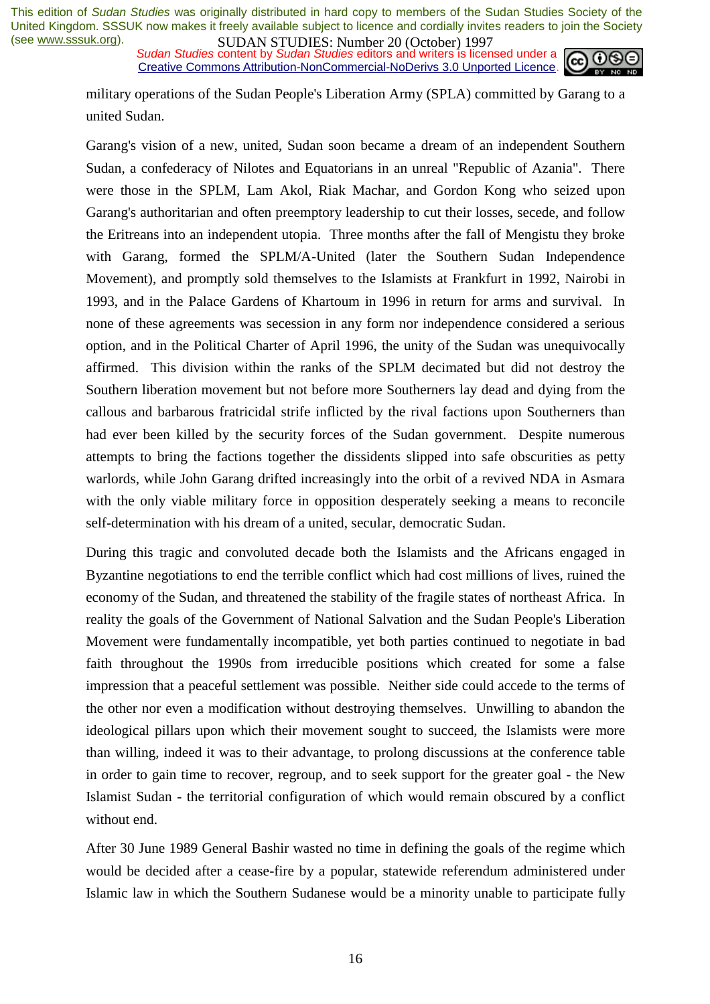**SUDAN STUDIES:** Number 20 (October) 122,<br>*Sudan Studies* content by *Sudan Studies* editors and writers is licensed under a Creative Commons Attribution-NonCommercial-NoDerivs 3.0 Unported Licence.



military operations of the Sudan People's Liberation Army (SPLA) committed by Garang to a united Sudan.

Garang's vision of a new, united, Sudan soon became a dream of an independent Southern Sudan, a confederacy of Nilotes and Equatorians in an unreal "Republic of Azania". There were those in the SPLM, Lam Akol, Riak Machar, and Gordon Kong who seized upon Garang's authoritarian and often preemptory leadership to cut their losses, secede, and follow the Eritreans into an independent utopia. Three months after the fall of Mengistu they broke with Garang, formed the SPLM/A-United (later the Southern Sudan Independence Movement), and promptly sold themselves to the Islamists at Frankfurt in 1992, Nairobi in 1993, and in the Palace Gardens of Khartoum in 1996 in return for arms and survival. In none of these agreements was secession in any form nor independence considered a serious option, and in the Political Charter of April 1996, the unity of the Sudan was unequivocally affirmed. This division within the ranks of the SPLM decimated but did not destroy the Southern liberation movement but not before more Southerners lay dead and dying from the callous and barbarous fratricidal strife inflicted by the rival factions upon Southerners than had ever been killed by the security forces of the Sudan government. Despite numerous attempts to bring the factions together the dissidents slipped into safe obscurities as petty warlords, while John Garang drifted increasingly into the orbit of a revived NDA in Asmara with the only viable military force in opposition desperately seeking a means to reconcile self-determination with his dream of a united, secular, democratic Sudan.

During this tragic and convoluted decade both the Islamists and the Africans engaged in Byzantine negotiations to end the terrible conflict which had cost millions of lives, ruined the economy of the Sudan, and threatened the stability of the fragile states of northeast Africa. In reality the goals of the Government of National Salvation and the Sudan People's Liberation Movement were fundamentally incompatible, yet both parties continued to negotiate in bad faith throughout the 1990s from irreducible positions which created for some a false impression that a peaceful settlement was possible. Neither side could accede to the terms of the other nor even a modification without destroying themselves. Unwilling to abandon the ideological pillars upon which their movement sought to succeed, the Islamists were more than willing, indeed it was to their advantage, to prolong discussions at the conference table in order to gain time to recover, regroup, and to seek support for the greater goal - the New Islamist Sudan - the territorial configuration of which would remain obscured by a conflict without end.

After 30 June 1989 General Bashir wasted no time in defining the goals of the regime which would be decided after a cease-fire by a popular, statewide referendum administered under Islamic law in which the Southern Sudanese would be a minority unable to participate fully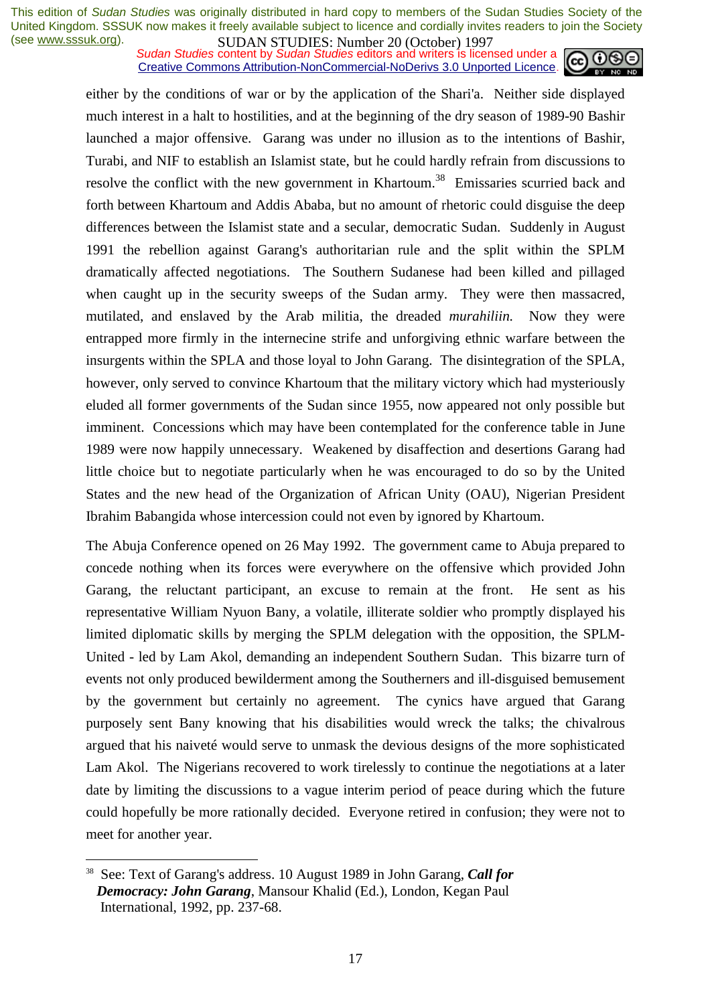*Sudan Studies* content by *Sudan Studies* editors and writers is licensed under a Creative Commons Attribution-NonCommercial-NoDerivs 3.0 Unported Licence.



either by the conditions of war or by the application of the Shari'a. Neither side displayed much interest in a halt to hostilities, and at the beginning of the dry season of 1989-90 Bashir launched a major offensive. Garang was under no illusion as to the intentions of Bashir, Turabi, and NIF to establish an Islamist state, but he could hardly refrain from discussions to resolve the conflict with the new government in Khartoum.<sup>38</sup> Emissaries scurried back and forth between Khartoum and Addis Ababa, but no amount of rhetoric could disguise the deep differences between the Islamist state and a secular, democratic Sudan. Suddenly in August 1991 the rebellion against Garang's authoritarian rule and the split within the SPLM dramatically affected negotiations. The Southern Sudanese had been killed and pillaged when caught up in the security sweeps of the Sudan army. They were then massacred, mutilated, and enslaved by the Arab militia, the dreaded *murahiliin.* Now they were entrapped more firmly in the internecine strife and unforgiving ethnic warfare between the insurgents within the SPLA and those loyal to John Garang. The disintegration of the SPLA, however, only served to convince Khartoum that the military victory which had mysteriously eluded all former governments of the Sudan since 1955, now appeared not only possible but imminent. Concessions which may have been contemplated for the conference table in June 1989 were now happily unnecessary. Weakened by disaffection and desertions Garang had little choice but to negotiate particularly when he was encouraged to do so by the United States and the new head of the Organization of African Unity (OAU), Nigerian President Ibrahim Babangida whose intercession could not even by ignored by Khartoum.

The Abuja Conference opened on 26 May 1992. The government came to Abuja prepared to concede nothing when its forces were everywhere on the offensive which provided John Garang, the reluctant participant, an excuse to remain at the front. He sent as his representative William Nyuon Bany, a volatile, illiterate soldier who promptly displayed his limited diplomatic skills by merging the SPLM delegation with the opposition, the SPLM-United - led by Lam Akol, demanding an independent Southern Sudan. This bizarre turn of events not only produced bewilderment among the Southerners and ill-disguised bemusement by the government but certainly no agreement. The cynics have argued that Garang purposely sent Bany knowing that his disabilities would wreck the talks; the chivalrous argued that his naiveté would serve to unmask the devious designs of the more sophisticated Lam Akol. The Nigerians recovered to work tirelessly to continue the negotiations at a later date by limiting the discussions to a vague interim period of peace during which the future could hopefully be more rationally decided. Everyone retired in confusion; they were not to meet for another year.

<sup>38</sup> See: Text of Garang's address. 10 August 1989 in John Garang, *Call for Democracy: John Garang*, Mansour Khalid (Ed.), London, Kegan Paul International, 1992, pp. 237-68.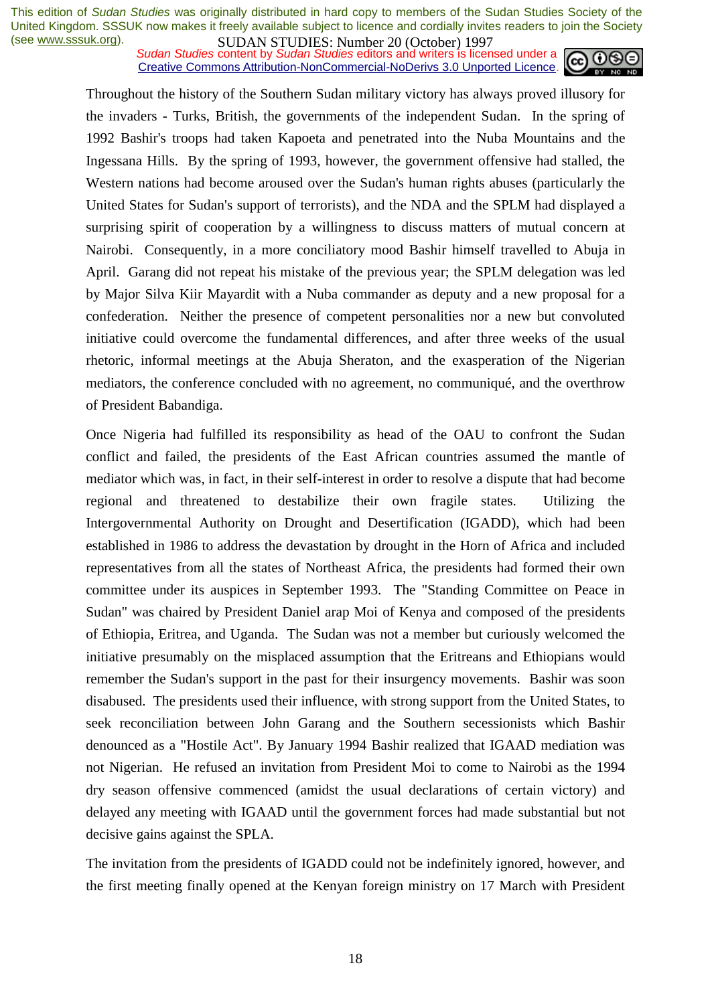**SUDAN STUDIES:** Number 20 (October) 122, Sudan Studies content by *Sudan Studies* editors and writers is licensed under a **cell 00** Creative Commons Attribution-NonCommercial-NoDerivs 3.0 Unported Licence.



Throughout the history of the Southern Sudan military victory has always proved illusory for the invaders - Turks, British, the governments of the independent Sudan. In the spring of 1992 Bashir's troops had taken Kapoeta and penetrated into the Nuba Mountains and the Ingessana Hills. By the spring of 1993, however, the government offensive had stalled, the Western nations had become aroused over the Sudan's human rights abuses (particularly the United States for Sudan's support of terrorists), and the NDA and the SPLM had displayed a surprising spirit of cooperation by a willingness to discuss matters of mutual concern at Nairobi. Consequently, in a more conciliatory mood Bashir himself travelled to Abuja in April. Garang did not repeat his mistake of the previous year; the SPLM delegation was led by Major Silva Kiir Mayardit with a Nuba commander as deputy and a new proposal for a confederation. Neither the presence of competent personalities nor a new but convoluted initiative could overcome the fundamental differences, and after three weeks of the usual rhetoric, informal meetings at the Abuja Sheraton, and the exasperation of the Nigerian mediators, the conference concluded with no agreement, no communiqué, and the overthrow of President Babandiga.

Once Nigeria had fulfilled its responsibility as head of the OAU to confront the Sudan conflict and failed, the presidents of the East African countries assumed the mantle of mediator which was, in fact, in their self-interest in order to resolve a dispute that had become regional and threatened to destabilize their own fragile states. Utilizing the Intergovernmental Authority on Drought and Desertification (IGADD), which had been established in 1986 to address the devastation by drought in the Horn of Africa and included representatives from all the states of Northeast Africa, the presidents had formed their own committee under its auspices in September 1993. The "Standing Committee on Peace in Sudan" was chaired by President Daniel arap Moi of Kenya and composed of the presidents of Ethiopia, Eritrea, and Uganda. The Sudan was not a member but curiously welcomed the initiative presumably on the misplaced assumption that the Eritreans and Ethiopians would remember the Sudan's support in the past for their insurgency movements. Bashir was soon disabused. The presidents used their influence, with strong support from the United States, to seek reconciliation between John Garang and the Southern secessionists which Bashir denounced as a "Hostile Act". By January 1994 Bashir realized that IGAAD mediation was not Nigerian. He refused an invitation from President Moi to come to Nairobi as the 1994 dry season offensive commenced (amidst the usual declarations of certain victory) and delayed any meeting with IGAAD until the government forces had made substantial but not decisive gains against the SPLA.

The invitation from the presidents of IGADD could not be indefinitely ignored, however, and the first meeting finally opened at the Kenyan foreign ministry on 17 March with President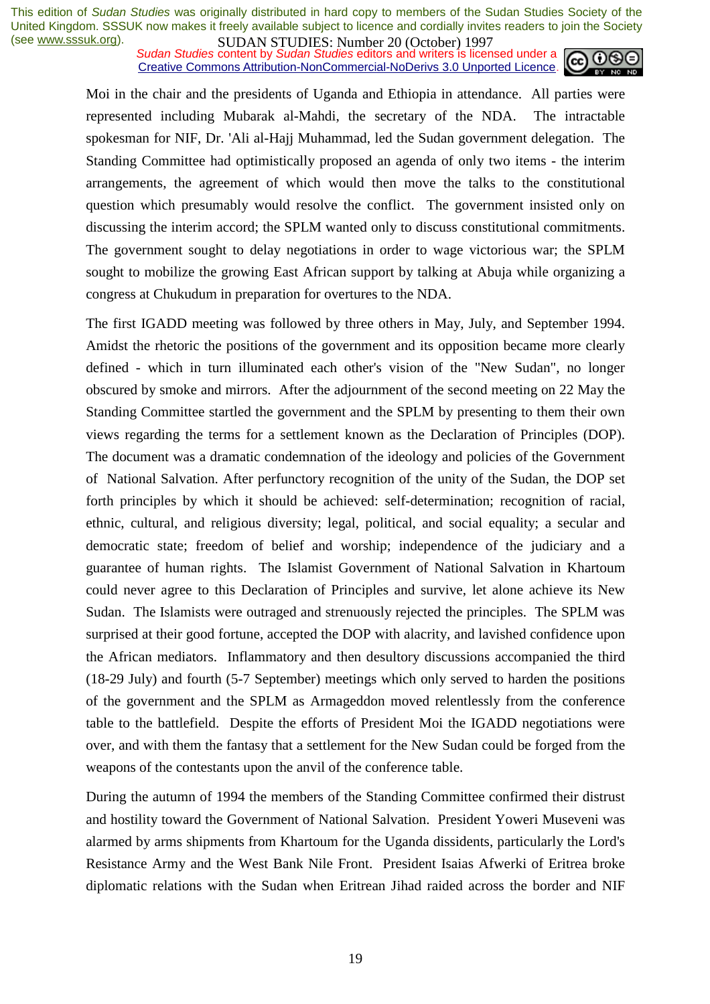*Sudan Studies* content by *Sudan Studies* editors and writers is licensed under a Creative Commons Attribution-NonCommercial-NoDerivs 3.0 Unported Licence.



Moi in the chair and the presidents of Uganda and Ethiopia in attendance. All parties were represented including Mubarak al-Mahdi, the secretary of the NDA. The intractable spokesman for NIF, Dr. 'Ali al-Hajj Muhammad, led the Sudan government delegation. The Standing Committee had optimistically proposed an agenda of only two items - the interim arrangements, the agreement of which would then move the talks to the constitutional question which presumably would resolve the conflict. The government insisted only on discussing the interim accord; the SPLM wanted only to discuss constitutional commitments. The government sought to delay negotiations in order to wage victorious war; the SPLM sought to mobilize the growing East African support by talking at Abuja while organizing a congress at Chukudum in preparation for overtures to the NDA.

The first IGADD meeting was followed by three others in May, July, and September 1994. Amidst the rhetoric the positions of the government and its opposition became more clearly defined - which in turn illuminated each other's vision of the "New Sudan", no longer obscured by smoke and mirrors. After the adjournment of the second meeting on 22 May the Standing Committee startled the government and the SPLM by presenting to them their own views regarding the terms for a settlement known as the Declaration of Principles (DOP). The document was a dramatic condemnation of the ideology and policies of the Government of National Salvation. After perfunctory recognition of the unity of the Sudan, the DOP set forth principles by which it should be achieved: self-determination; recognition of racial, ethnic, cultural, and religious diversity; legal, political, and social equality; a secular and democratic state; freedom of belief and worship; independence of the judiciary and a guarantee of human rights. The Islamist Government of National Salvation in Khartoum could never agree to this Declaration of Principles and survive, let alone achieve its New Sudan. The Islamists were outraged and strenuously rejected the principles. The SPLM was surprised at their good fortune, accepted the DOP with alacrity, and lavished confidence upon the African mediators. Inflammatory and then desultory discussions accompanied the third (18-29 July) and fourth (5-7 September) meetings which only served to harden the positions of the government and the SPLM as Armageddon moved relentlessly from the conference table to the battlefield. Despite the efforts of President Moi the IGADD negotiations were over, and with them the fantasy that a settlement for the New Sudan could be forged from the weapons of the contestants upon the anvil of the conference table.

During the autumn of 1994 the members of the Standing Committee confirmed their distrust and hostility toward the Government of National Salvation. President Yoweri Museveni was alarmed by arms shipments from Khartoum for the Uganda dissidents, particularly the Lord's Resistance Army and the West Bank Nile Front. President Isaias Afwerki of Eritrea broke diplomatic relations with the Sudan when Eritrean Jihad raided across the border and NIF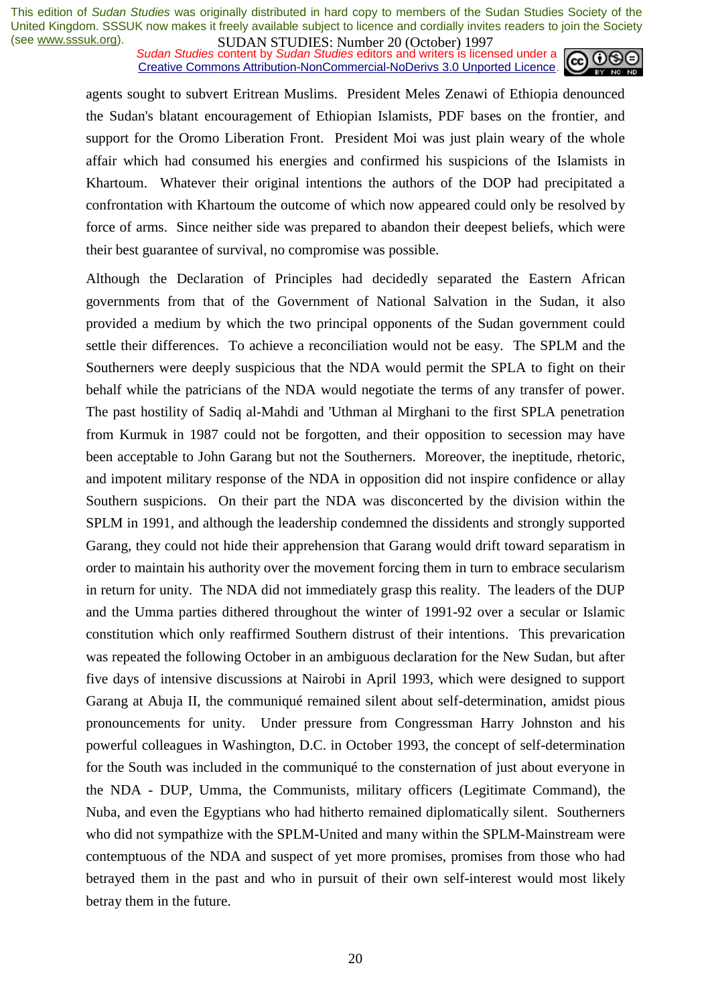**SUDAN STUDIES:** Number 20 (October) 122,<br>*Sudan Studies* content by *Sudan Studies* editors and writers is licensed under a Creative Commons Attribution-NonCommercial-NoDerivs 3.0 Unported Licence.



agents sought to subvert Eritrean Muslims. President Meles Zenawi of Ethiopia denounced the Sudan's blatant encouragement of Ethiopian Islamists, PDF bases on the frontier, and support for the Oromo Liberation Front. President Moi was just plain weary of the whole affair which had consumed his energies and confirmed his suspicions of the Islamists in Khartoum. Whatever their original intentions the authors of the DOP had precipitated a confrontation with Khartoum the outcome of which now appeared could only be resolved by force of arms. Since neither side was prepared to abandon their deepest beliefs, which were their best guarantee of survival, no compromise was possible.

Although the Declaration of Principles had decidedly separated the Eastern African governments from that of the Government of National Salvation in the Sudan, it also provided a medium by which the two principal opponents of the Sudan government could settle their differences. To achieve a reconciliation would not be easy. The SPLM and the Southerners were deeply suspicious that the NDA would permit the SPLA to fight on their behalf while the patricians of the NDA would negotiate the terms of any transfer of power. The past hostility of Sadiq al-Mahdi and 'Uthman al Mirghani to the first SPLA penetration from Kurmuk in 1987 could not be forgotten, and their opposition to secession may have been acceptable to John Garang but not the Southerners. Moreover, the ineptitude, rhetoric, and impotent military response of the NDA in opposition did not inspire confidence or allay Southern suspicions. On their part the NDA was disconcerted by the division within the SPLM in 1991, and although the leadership condemned the dissidents and strongly supported Garang, they could not hide their apprehension that Garang would drift toward separatism in order to maintain his authority over the movement forcing them in turn to embrace secularism in return for unity. The NDA did not immediately grasp this reality. The leaders of the DUP and the Umma parties dithered throughout the winter of 1991-92 over a secular or Islamic constitution which only reaffirmed Southern distrust of their intentions. This prevarication was repeated the following October in an ambiguous declaration for the New Sudan, but after five days of intensive discussions at Nairobi in April 1993, which were designed to support Garang at Abuja II, the communiqué remained silent about self-determination, amidst pious pronouncements for unity. Under pressure from Congressman Harry Johnston and his powerful colleagues in Washington, D.C. in October 1993, the concept of self-determination for the South was included in the communiqué to the consternation of just about everyone in the NDA - DUP, Umma, the Communists, military officers (Legitimate Command), the Nuba, and even the Egyptians who had hitherto remained diplomatically silent. Southerners who did not sympathize with the SPLM-United and many within the SPLM-Mainstream were contemptuous of the NDA and suspect of yet more promises, promises from those who had betrayed them in the past and who in pursuit of their own self-interest would most likely betray them in the future.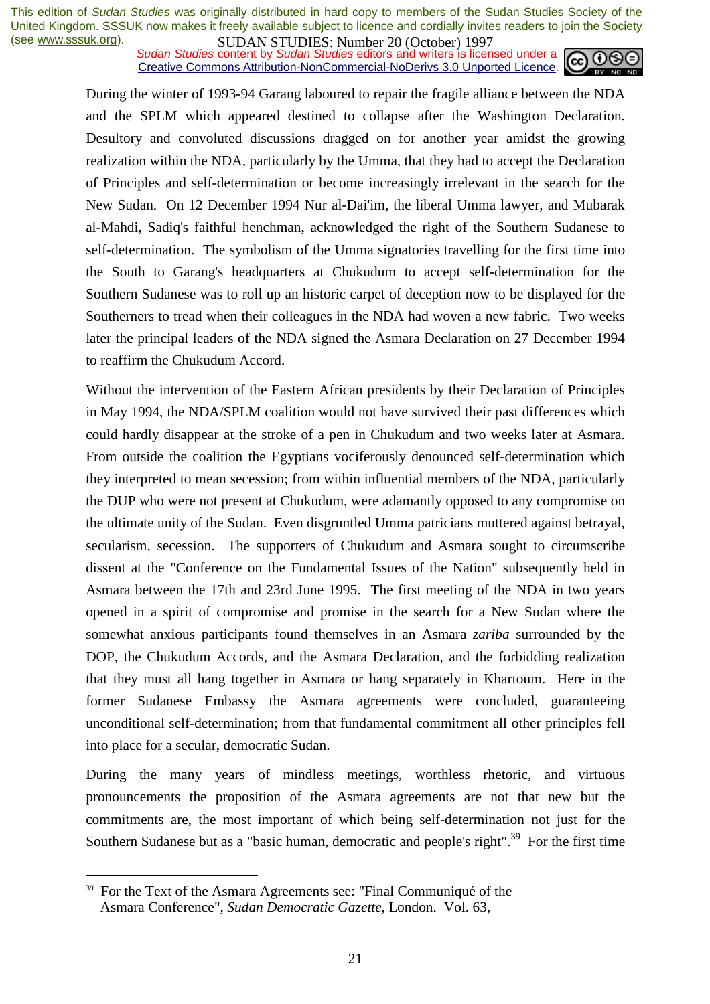*Sudan Studies* content by *Sudan Studies* editors and writers is licensed under a Creative Commons Attribution-NonCommercial-NoDerivs 3.0 Unported Licence.



During the winter of 1993-94 Garang laboured to repair the fragile alliance between the NDA and the SPLM which appeared destined to collapse after the Washington Declaration. Desultory and convoluted discussions dragged on for another year amidst the growing realization within the NDA, particularly by the Umma, that they had to accept the Declaration of Principles and self-determination or become increasingly irrelevant in the search for the New Sudan. On 12 December 1994 Nur al-Dai'im, the liberal Umma lawyer, and Mubarak al-Mahdi, Sadiq's faithful henchman, acknowledged the right of the Southern Sudanese to self-determination. The symbolism of the Umma signatories travelling for the first time into the South to Garang's headquarters at Chukudum to accept self-determination for the Southern Sudanese was to roll up an historic carpet of deception now to be displayed for the Southerners to tread when their colleagues in the NDA had woven a new fabric. Two weeks later the principal leaders of the NDA signed the Asmara Declaration on 27 December 1994 to reaffirm the Chukudum Accord.

Without the intervention of the Eastern African presidents by their Declaration of Principles in May 1994, the NDA/SPLM coalition would not have survived their past differences which could hardly disappear at the stroke of a pen in Chukudum and two weeks later at Asmara. From outside the coalition the Egyptians vociferously denounced self-determination which they interpreted to mean secession; from within influential members of the NDA, particularly the DUP who were not present at Chukudum, were adamantly opposed to any compromise on the ultimate unity of the Sudan. Even disgruntled Umma patricians muttered against betrayal, secularism, secession. The supporters of Chukudum and Asmara sought to circumscribe dissent at the "Conference on the Fundamental Issues of the Nation" subsequently held in Asmara between the 17th and 23rd June 1995. The first meeting of the NDA in two years opened in a spirit of compromise and promise in the search for a New Sudan where the somewhat anxious participants found themselves in an Asmara *zariba* surrounded by the DOP, the Chukudum Accords, and the Asmara Declaration, and the forbidding realization that they must all hang together in Asmara or hang separately in Khartoum. Here in the former Sudanese Embassy the Asmara agreements were concluded, guaranteeing unconditional self-determination; from that fundamental commitment all other principles fell into place for a secular, democratic Sudan.

During the many years of mindless meetings, worthless rhetoric, and virtuous pronouncements the proposition of the Asmara agreements are not that new but the commitments are, the most important of which being self-determination not just for the Southern Sudanese but as a "basic human, democratic and people's right".<sup>39</sup> For the first time

<sup>&</sup>lt;sup>39</sup> For the Text of the Asmara Agreements see: "Final Communiqué of the Asmara Conference", *Sudan Democratic Gazette*, London. Vol. 63,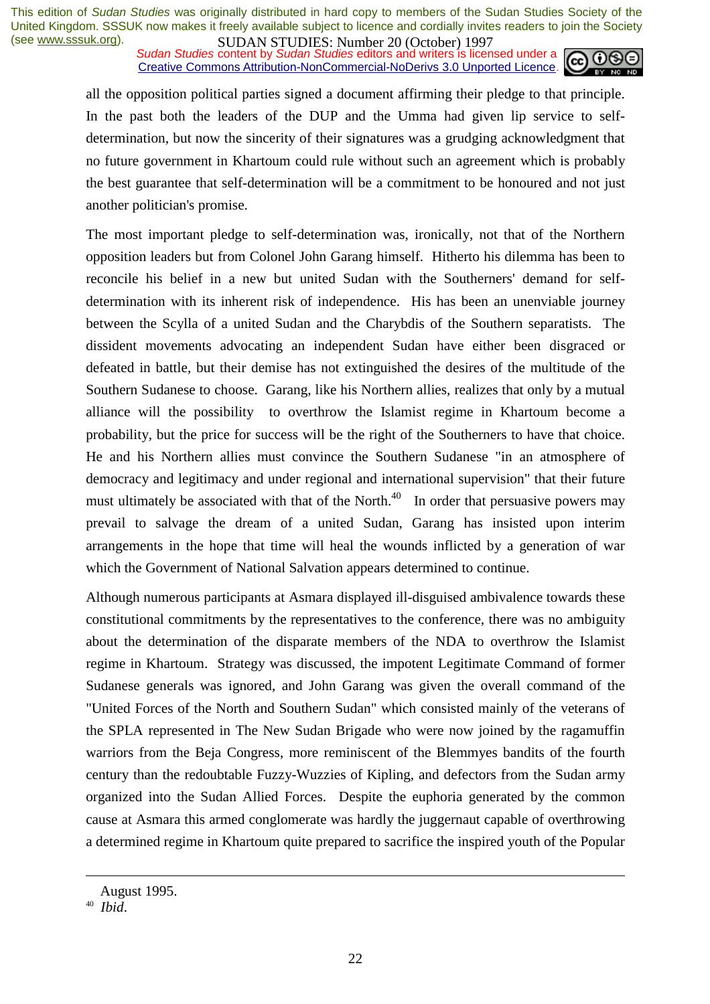**SUDAN STUDIES:** Number 20 (October) 122,<br>Sudan Studies content by Sudan Studies editors and writers is licensed under a Creative Commons Attribution-NonCommercial-NoDerivs 3.0 Unported Licence.



all the opposition political parties signed a document affirming their pledge to that principle. In the past both the leaders of the DUP and the Umma had given lip service to selfdetermination, but now the sincerity of their signatures was a grudging acknowledgment that no future government in Khartoum could rule without such an agreement which is probably the best guarantee that self-determination will be a commitment to be honoured and not just another politician's promise.

The most important pledge to self-determination was, ironically, not that of the Northern opposition leaders but from Colonel John Garang himself. Hitherto his dilemma has been to reconcile his belief in a new but united Sudan with the Southerners' demand for selfdetermination with its inherent risk of independence. His has been an unenviable journey between the Scylla of a united Sudan and the Charybdis of the Southern separatists. The dissident movements advocating an independent Sudan have either been disgraced or defeated in battle, but their demise has not extinguished the desires of the multitude of the Southern Sudanese to choose. Garang, like his Northern allies, realizes that only by a mutual alliance will the possibility to overthrow the Islamist regime in Khartoum become a probability, but the price for success will be the right of the Southerners to have that choice. He and his Northern allies must convince the Southern Sudanese "in an atmosphere of democracy and legitimacy and under regional and international supervision" that their future must ultimately be associated with that of the North.<sup>40</sup> In order that persuasive powers may prevail to salvage the dream of a united Sudan, Garang has insisted upon interim arrangements in the hope that time will heal the wounds inflicted by a generation of war which the Government of National Salvation appears determined to continue.

Although numerous participants at Asmara displayed ill-disguised ambivalence towards these constitutional commitments by the representatives to the conference, there was no ambiguity about the determination of the disparate members of the NDA to overthrow the Islamist regime in Khartoum. Strategy was discussed, the impotent Legitimate Command of former Sudanese generals was ignored, and John Garang was given the overall command of the "United Forces of the North and Southern Sudan" which consisted mainly of the veterans of the SPLA represented in The New Sudan Brigade who were now joined by the ragamuffin warriors from the Beja Congress, more reminiscent of the Blemmyes bandits of the fourth century than the redoubtable Fuzzy-Wuzzies of Kipling, and defectors from the Sudan army organized into the Sudan Allied Forces. Despite the euphoria generated by the common cause at Asmara this armed conglomerate was hardly the juggernaut capable of overthrowing a determined regime in Khartoum quite prepared to sacrifice the inspired youth of the Popular

August 1995.

<sup>40</sup> *Ibid*.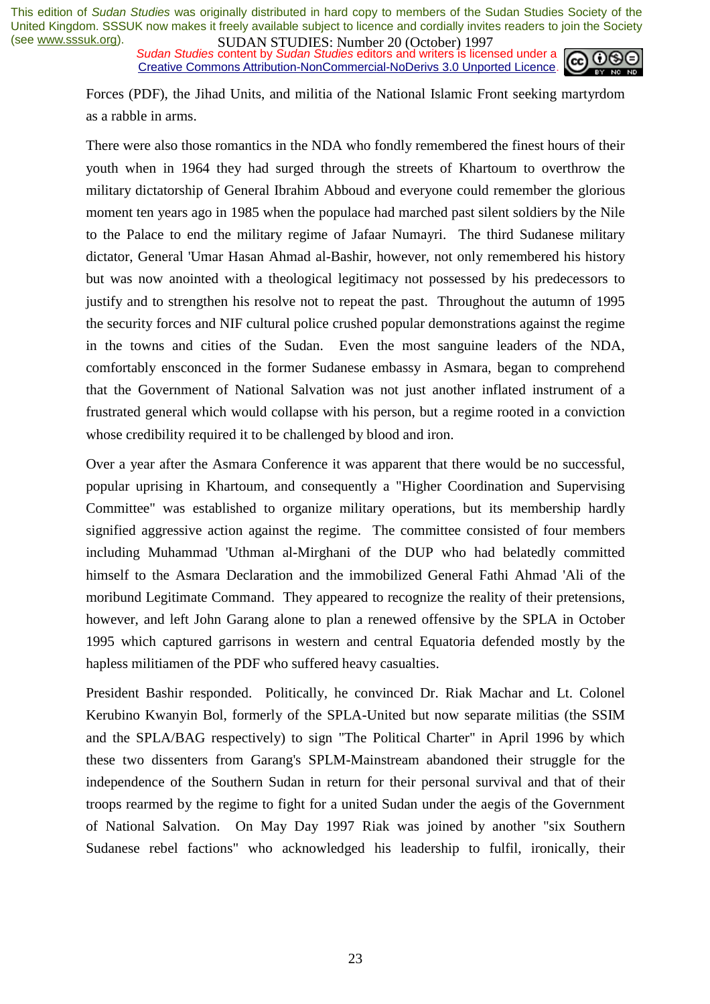*Sudan Studies* content by *Sudan Studies* editors and writers is licensed under a Creative Commons Attribution-NonCommercial-NoDerivs 3.0 Unported Licence.



Forces (PDF), the Jihad Units, and militia of the National Islamic Front seeking martyrdom as a rabble in arms.

There were also those romantics in the NDA who fondly remembered the finest hours of their youth when in 1964 they had surged through the streets of Khartoum to overthrow the military dictatorship of General Ibrahim Abboud and everyone could remember the glorious moment ten years ago in 1985 when the populace had marched past silent soldiers by the Nile to the Palace to end the military regime of Jafaar Numayri. The third Sudanese military dictator, General 'Umar Hasan Ahmad al-Bashir, however, not only remembered his history but was now anointed with a theological legitimacy not possessed by his predecessors to justify and to strengthen his resolve not to repeat the past. Throughout the autumn of 1995 the security forces and NIF cultural police crushed popular demonstrations against the regime in the towns and cities of the Sudan. Even the most sanguine leaders of the NDA, comfortably ensconced in the former Sudanese embassy in Asmara, began to comprehend that the Government of National Salvation was not just another inflated instrument of a frustrated general which would collapse with his person, but a regime rooted in a conviction whose credibility required it to be challenged by blood and iron.

Over a year after the Asmara Conference it was apparent that there would be no successful, popular uprising in Khartoum, and consequently a "Higher Coordination and Supervising Committee" was established to organize military operations, but its membership hardly signified aggressive action against the regime. The committee consisted of four members including Muhammad 'Uthman al-Mirghani of the DUP who had belatedly committed himself to the Asmara Declaration and the immobilized General Fathi Ahmad 'Ali of the moribund Legitimate Command. They appeared to recognize the reality of their pretensions, however, and left John Garang alone to plan a renewed offensive by the SPLA in October 1995 which captured garrisons in western and central Equatoria defended mostly by the hapless militiamen of the PDF who suffered heavy casualties.

President Bashir responded. Politically, he convinced Dr. Riak Machar and Lt. Colonel Kerubino Kwanyin Bol, formerly of the SPLA-United but now separate militias (the SSIM and the SPLA/BAG respectively) to sign "The Political Charter" in April 1996 by which these two dissenters from Garang's SPLM-Mainstream abandoned their struggle for the independence of the Southern Sudan in return for their personal survival and that of their troops rearmed by the regime to fight for a united Sudan under the aegis of the Government of National Salvation. On May Day 1997 Riak was joined by another "six Southern Sudanese rebel factions" who acknowledged his leadership to fulfil, ironically, their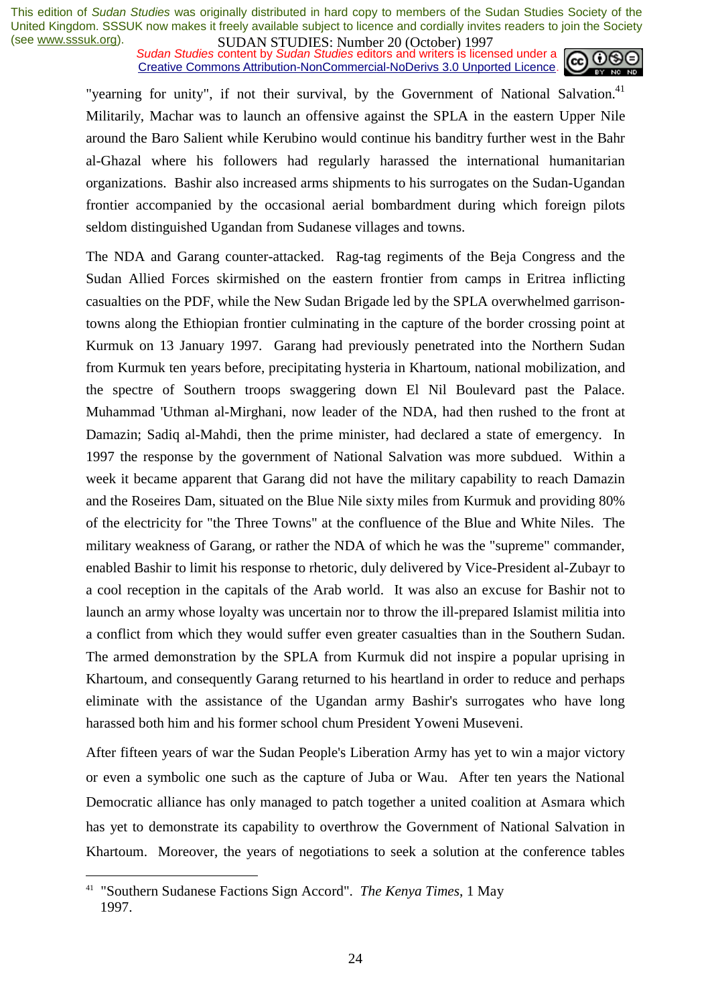*Sudan Studies* content by *Sudan Studies* editors and writers is licensed under a Creative Commons Attribution-NonCommercial-NoDerivs 3.0 Unported Licence.



"yearning for unity", if not their survival, by the Government of National Salvation.<sup>41</sup> Militarily, Machar was to launch an offensive against the SPLA in the eastern Upper Nile around the Baro Salient while Kerubino would continue his banditry further west in the Bahr al-Ghazal where his followers had regularly harassed the international humanitarian organizations. Bashir also increased arms shipments to his surrogates on the Sudan-Ugandan frontier accompanied by the occasional aerial bombardment during which foreign pilots seldom distinguished Ugandan from Sudanese villages and towns.

The NDA and Garang counter-attacked. Rag-tag regiments of the Beja Congress and the Sudan Allied Forces skirmished on the eastern frontier from camps in Eritrea inflicting casualties on the PDF, while the New Sudan Brigade led by the SPLA overwhelmed garrisontowns along the Ethiopian frontier culminating in the capture of the border crossing point at Kurmuk on 13 January 1997. Garang had previously penetrated into the Northern Sudan from Kurmuk ten years before, precipitating hysteria in Khartoum, national mobilization, and the spectre of Southern troops swaggering down El Nil Boulevard past the Palace. Muhammad 'Uthman al-Mirghani, now leader of the NDA, had then rushed to the front at Damazin; Sadiq al-Mahdi, then the prime minister, had declared a state of emergency. In 1997 the response by the government of National Salvation was more subdued. Within a week it became apparent that Garang did not have the military capability to reach Damazin and the Roseires Dam, situated on the Blue Nile sixty miles from Kurmuk and providing 80% of the electricity for "the Three Towns" at the confluence of the Blue and White Niles. The military weakness of Garang, or rather the NDA of which he was the "supreme" commander, enabled Bashir to limit his response to rhetoric, duly delivered by Vice-President al-Zubayr to a cool reception in the capitals of the Arab world. It was also an excuse for Bashir not to launch an army whose loyalty was uncertain nor to throw the ill-prepared Islamist militia into a conflict from which they would suffer even greater casualties than in the Southern Sudan. The armed demonstration by the SPLA from Kurmuk did not inspire a popular uprising in Khartoum, and consequently Garang returned to his heartland in order to reduce and perhaps eliminate with the assistance of the Ugandan army Bashir's surrogates who have long harassed both him and his former school chum President Yoweni Museveni.

After fifteen years of war the Sudan People's Liberation Army has yet to win a major victory or even a symbolic one such as the capture of Juba or Wau. After ten years the National Democratic alliance has only managed to patch together a united coalition at Asmara which has yet to demonstrate its capability to overthrow the Government of National Salvation in Khartoum. Moreover, the years of negotiations to seek a solution at the conference tables

<sup>41 &</sup>quot;Southern Sudanese Factions Sign Accord". *The Kenya Times*, 1 May 1997.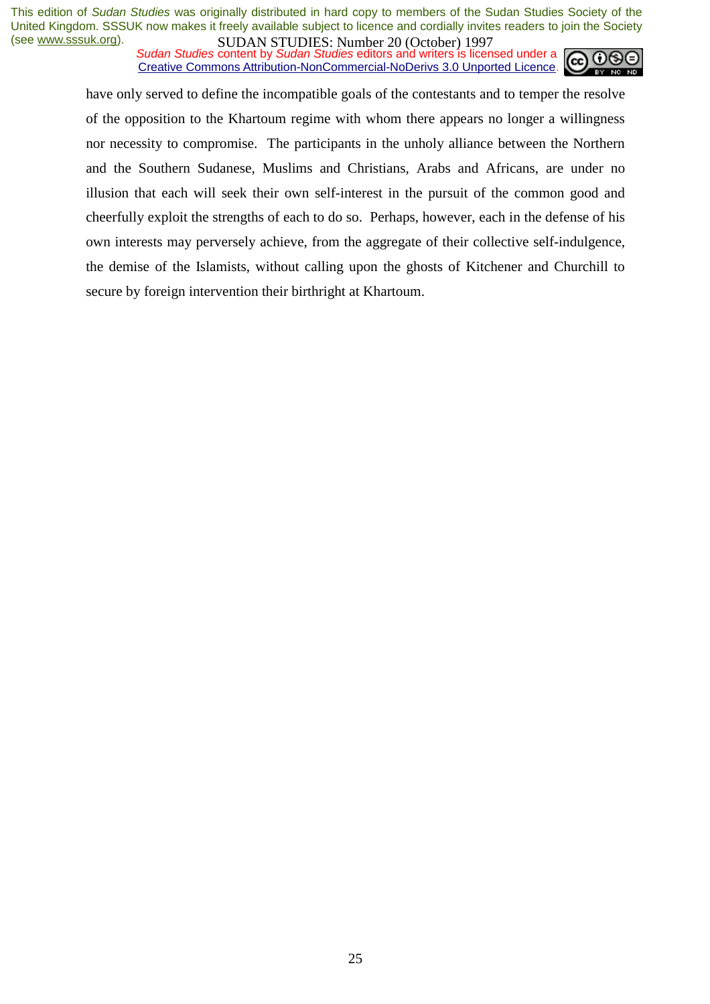*Sudan Studies* content by *Sudan Studies* editors and writers is licensed under a Creative Commons Attribution-NonCommercial-NoDerivs 3.0 Unported Licence.



have only served to define the incompatible goals of the contestants and to temper the resolve of the opposition to the Khartoum regime with whom there appears no longer a willingness nor necessity to compromise. The participants in the unholy alliance between the Northern and the Southern Sudanese, Muslims and Christians, Arabs and Africans, are under no illusion that each will seek their own self-interest in the pursuit of the common good and cheerfully exploit the strengths of each to do so. Perhaps, however, each in the defense of his own interests may perversely achieve, from the aggregate of their collective self-indulgence, the demise of the Islamists, without calling upon the ghosts of Kitchener and Churchill to secure by foreign intervention their birthright at Khartoum.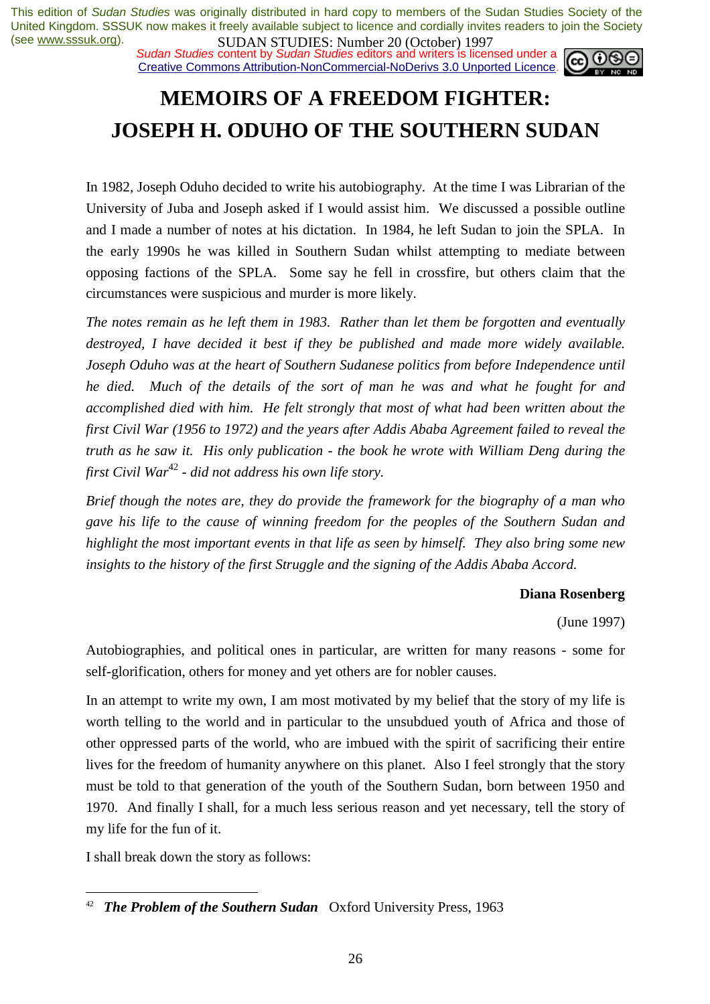*Sudan Studies* content by *Sudan Studies* editors and writers is licensed under a Creative Commons Attribution-NonCommercial-NoDerivs 3.0 Unported Licence.



# **MEMOIRS OF A FREEDOM FIGHTER: JOSEPH H. ODUHO OF THE SOUTHERN SUDAN**

In 1982, Joseph Oduho decided to write his autobiography. At the time I was Librarian of the University of Juba and Joseph asked if I would assist him. We discussed a possible outline and I made a number of notes at his dictation. In 1984, he left Sudan to join the SPLA. In the early 1990s he was killed in Southern Sudan whilst attempting to mediate between opposing factions of the SPLA. Some say he fell in crossfire, but others claim that the circumstances were suspicious and murder is more likely.

*The notes remain as he left them in 1983. Rather than let them be forgotten and eventually destroyed, I have decided it best if they be published and made more widely available. Joseph Oduho was at the heart of Southern Sudanese politics from before Independence until he died. Much of the details of the sort of man he was and what he fought for and accomplished died with him. He felt strongly that most of what had been written about the first Civil War (1956 to 1972) and the years after Addis Ababa Agreement failed to reveal the truth as he saw it. His only publication - the book he wrote with William Deng during the first Civil War*<sup>42</sup> - did not address his own life story.

*Brief though the notes are, they do provide the framework for the biography of a man who gave his life to the cause of winning freedom for the peoples of the Southern Sudan and highlight the most important events in that life as seen by himself. They also bring some new insights to the history of the first Struggle and the signing of the Addis Ababa Accord.* 

#### **Diana Rosenberg**

(June 1997)

Autobiographies, and political ones in particular, are written for many reasons - some for self-glorification, others for money and yet others are for nobler causes.

In an attempt to write my own, I am most motivated by my belief that the story of my life is worth telling to the world and in particular to the unsubdued youth of Africa and those of other oppressed parts of the world, who are imbued with the spirit of sacrificing their entire lives for the freedom of humanity anywhere on this planet. Also I feel strongly that the story must be told to that generation of the youth of the Southern Sudan, born between 1950 and 1970. And finally I shall, for a much less serious reason and yet necessary, tell the story of my life for the fun of it.

I shall break down the story as follows:

**The Problem of the Southern Sudan** Oxford University Press, 1963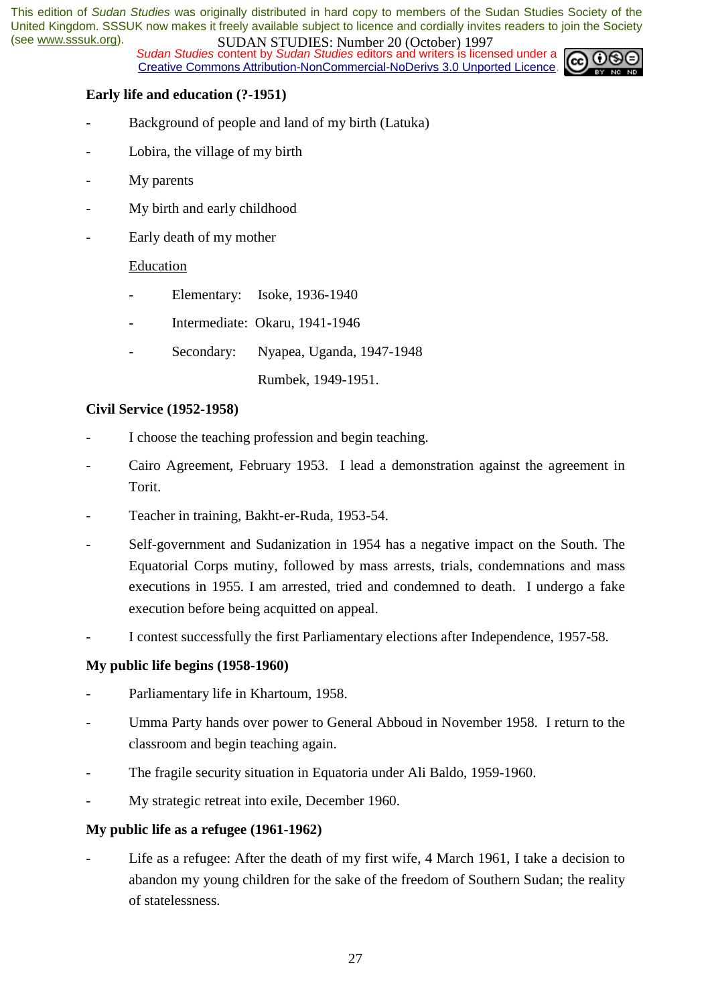*Sudan Studies* content by *Sudan Studies* editors and writers is licensed under a Creative Commons Attribution-NonCommercial-NoDerivs 3.0 Unported Licence.



#### **Early life and education (?-1951)**

- Background of people and land of my birth (Latuka)
- Lobira, the village of my birth
- My parents
- My birth and early childhood
- Early death of my mother

#### Education

- Elementary: Isoke, 1936-1940
- Intermediate: Okaru, 1941-1946
- Secondary: Nyapea, Uganda, 1947-1948
	- Rumbek, 1949-1951.

#### **Civil Service (1952-1958)**

- I choose the teaching profession and begin teaching.
- Cairo Agreement, February 1953. I lead a demonstration against the agreement in Torit.
- Teacher in training, Bakht-er-Ruda, 1953-54.
- Self-government and Sudanization in 1954 has a negative impact on the South. The Equatorial Corps mutiny, followed by mass arrests, trials, condemnations and mass executions in 1955. I am arrested, tried and condemned to death. I undergo a fake execution before being acquitted on appeal.
- I contest successfully the first Parliamentary elections after Independence, 1957-58.

#### **My public life begins (1958-1960)**

- Parliamentary life in Khartoum, 1958.
- Umma Party hands over power to General Abboud in November 1958. I return to the classroom and begin teaching again.
- The fragile security situation in Equatoria under Ali Baldo, 1959-1960.
- My strategic retreat into exile, December 1960.

#### **My public life as a refugee (1961-1962)**

Life as a refugee: After the death of my first wife, 4 March 1961, I take a decision to abandon my young children for the sake of the freedom of Southern Sudan; the reality of statelessness.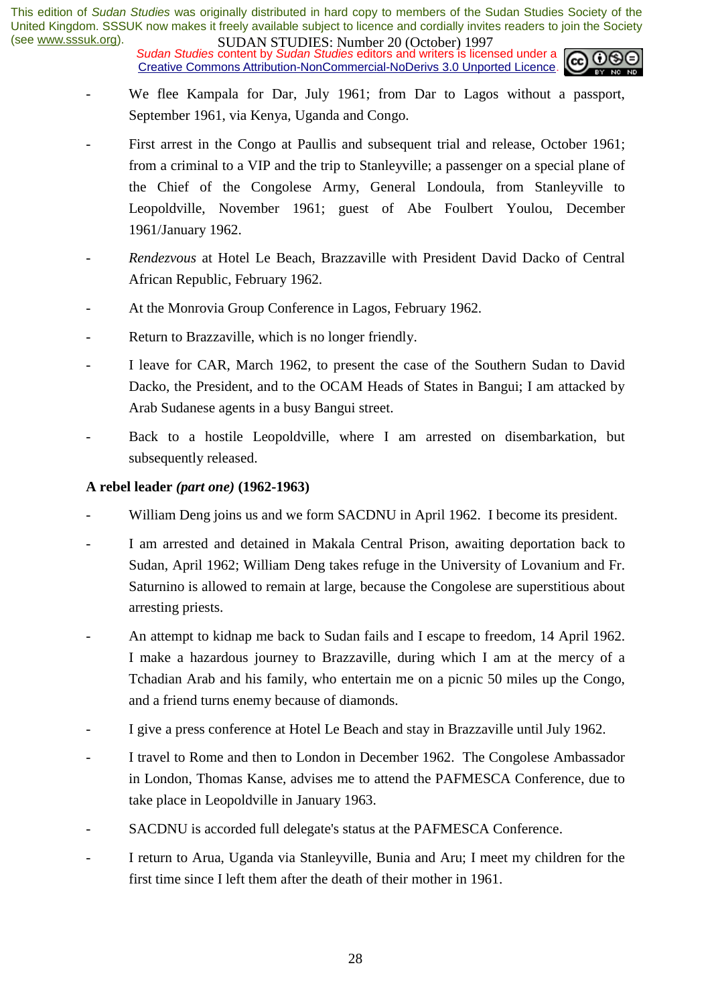**SUDAN STUDIES:** Nutting 20 (October 1777)<br>Sudan Studies content by Sudan Studies editors and writers is licensed under a Creative Commons Attribution-NonCommercial-NoDerivs 3.0 Unported Licence.



- We flee Kampala for Dar, July 1961; from Dar to Lagos without a passport, September 1961, via Kenya, Uganda and Congo.
- First arrest in the Congo at Paullis and subsequent trial and release, October 1961; from a criminal to a VIP and the trip to Stanleyville; a passenger on a special plane of the Chief of the Congolese Army, General Londoula, from Stanleyville to Leopoldville, November 1961; guest of Abe Foulbert Youlou, December 1961/January 1962.
- *Rendezvous* at Hotel Le Beach, Brazzaville with President David Dacko of Central African Republic, February 1962.
- At the Monrovia Group Conference in Lagos, February 1962.
- Return to Brazzaville, which is no longer friendly.
- I leave for CAR, March 1962, to present the case of the Southern Sudan to David Dacko, the President, and to the OCAM Heads of States in Bangui; I am attacked by Arab Sudanese agents in a busy Bangui street.
- Back to a hostile Leopoldville, where I am arrested on disembarkation, but subsequently released.

### **A rebel leader** *(part one)* **(1962-1963)**

- William Deng joins us and we form SACDNU in April 1962. I become its president.
- I am arrested and detained in Makala Central Prison, awaiting deportation back to Sudan, April 1962; William Deng takes refuge in the University of Lovanium and Fr. Saturnino is allowed to remain at large, because the Congolese are superstitious about arresting priests.
- An attempt to kidnap me back to Sudan fails and I escape to freedom, 14 April 1962. I make a hazardous journey to Brazzaville, during which I am at the mercy of a Tchadian Arab and his family, who entertain me on a picnic 50 miles up the Congo, and a friend turns enemy because of diamonds.
- I give a press conference at Hotel Le Beach and stay in Brazzaville until July 1962.
- I travel to Rome and then to London in December 1962. The Congolese Ambassador in London, Thomas Kanse, advises me to attend the PAFMESCA Conference, due to take place in Leopoldville in January 1963.
- SACDNU is accorded full delegate's status at the PAFMESCA Conference.
- I return to Arua, Uganda via Stanleyville, Bunia and Aru; I meet my children for the first time since I left them after the death of their mother in 1961.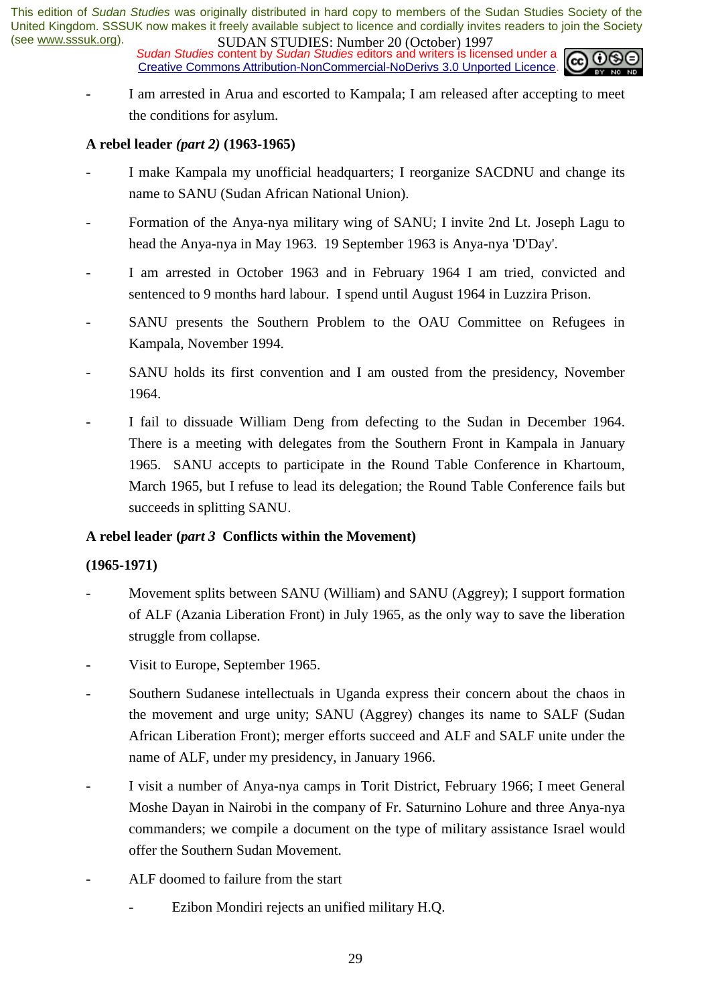*Sudan Studies* content by *Sudan Studies* editors and writers is licensed under a Creative Commons Attribution-NonCommercial-NoDerivs 3.0 Unported Licence.



I am arrested in Arua and escorted to Kampala; I am released after accepting to meet the conditions for asylum.

### **A rebel leader** *(part 2)* **(1963-1965)**

- I make Kampala my unofficial headquarters; I reorganize SACDNU and change its name to SANU (Sudan African National Union).
- Formation of the Anya-nya military wing of SANU; I invite 2nd Lt. Joseph Lagu to head the Anya-nya in May 1963. 19 September 1963 is Anya-nya 'D'Day'.
- I am arrested in October 1963 and in February 1964 I am tried, convicted and sentenced to 9 months hard labour. I spend until August 1964 in Luzzira Prison.
- SANU presents the Southern Problem to the OAU Committee on Refugees in Kampala, November 1994.
- SANU holds its first convention and I am ousted from the presidency, November 1964.
- I fail to dissuade William Deng from defecting to the Sudan in December 1964. There is a meeting with delegates from the Southern Front in Kampala in January 1965. SANU accepts to participate in the Round Table Conference in Khartoum, March 1965, but I refuse to lead its delegation; the Round Table Conference fails but succeeds in splitting SANU.

### **A rebel leader (***part 3* **Conflicts within the Movement)**

### **(1965-1971)**

- Movement splits between SANU (William) and SANU (Aggrey); I support formation of ALF (Azania Liberation Front) in July 1965, as the only way to save the liberation struggle from collapse.
- Visit to Europe, September 1965.
- Southern Sudanese intellectuals in Uganda express their concern about the chaos in the movement and urge unity; SANU (Aggrey) changes its name to SALF (Sudan African Liberation Front); merger efforts succeed and ALF and SALF unite under the name of ALF, under my presidency, in January 1966.
- I visit a number of Anya-nya camps in Torit District, February 1966; I meet General Moshe Dayan in Nairobi in the company of Fr. Saturnino Lohure and three Anya-nya commanders; we compile a document on the type of military assistance Israel would offer the Southern Sudan Movement.
- ALF doomed to failure from the start
	- Ezibon Mondiri rejects an unified military H.O.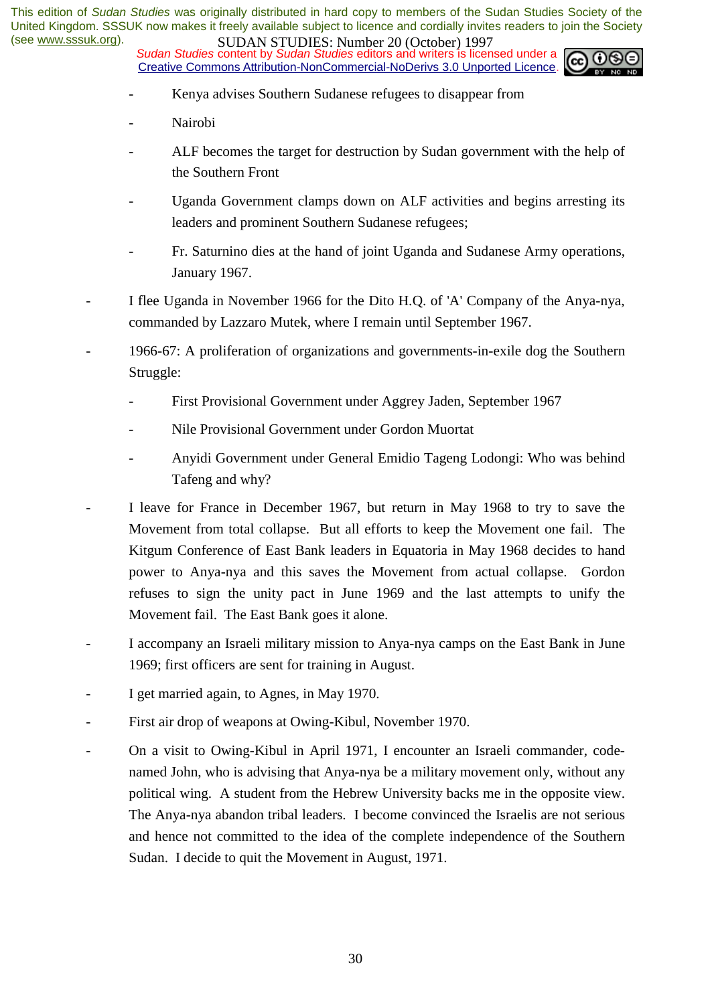*Sudan Studies* content by *Sudan Studies* editors and writers is licensed under a Creative Commons Attribution-NonCommercial-NoDerivs 3.0 Unported Licence.



- Kenya advises Southern Sudanese refugees to disappear from
- Nairobi
- ALF becomes the target for destruction by Sudan government with the help of the Southern Front
- Uganda Government clamps down on ALF activities and begins arresting its leaders and prominent Southern Sudanese refugees;
- Fr. Saturnino dies at the hand of joint Uganda and Sudanese Army operations, January 1967.
- I flee Uganda in November 1966 for the Dito H.Q. of 'A' Company of the Anya-nya, commanded by Lazzaro Mutek, where I remain until September 1967.
- 1966-67: A proliferation of organizations and governments-in-exile dog the Southern Struggle:
	- First Provisional Government under Aggrey Jaden, September 1967
	- Nile Provisional Government under Gordon Muortat
	- Anyidi Government under General Emidio Tageng Lodongi: Who was behind Tafeng and why?
- I leave for France in December 1967, but return in May 1968 to try to save the Movement from total collapse. But all efforts to keep the Movement one fail. The Kitgum Conference of East Bank leaders in Equatoria in May 1968 decides to hand power to Anya-nya and this saves the Movement from actual collapse. Gordon refuses to sign the unity pact in June 1969 and the last attempts to unify the Movement fail. The East Bank goes it alone.
- I accompany an Israeli military mission to Anya-nya camps on the East Bank in June 1969; first officers are sent for training in August.
- I get married again, to Agnes, in May 1970.
- First air drop of weapons at Owing-Kibul, November 1970.
- On a visit to Owing-Kibul in April 1971, I encounter an Israeli commander, codenamed John, who is advising that Anya-nya be a military movement only, without any political wing. A student from the Hebrew University backs me in the opposite view. The Anya-nya abandon tribal leaders. I become convinced the Israelis are not serious and hence not committed to the idea of the complete independence of the Southern Sudan. I decide to quit the Movement in August, 1971.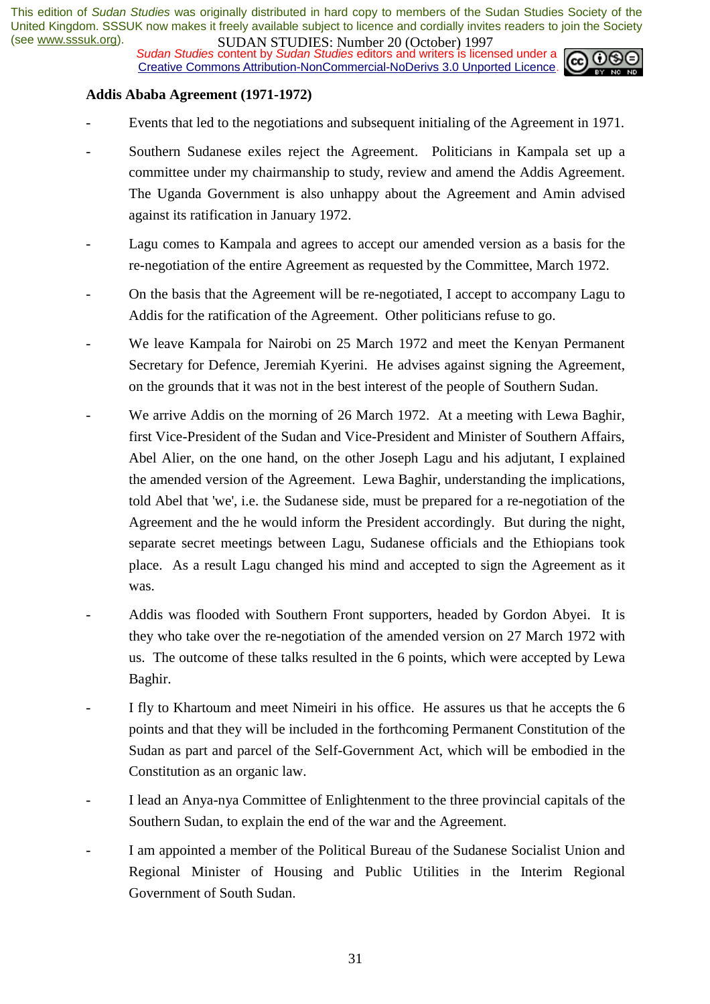**SUDAN STUDIES:** Number 20 (October) 122,<br>*Sudan Studies* content by *Sudan Studies* editors and writers is licensed under a Creative Commons Attribution-NonCommercial-NoDerivs 3.0 Unported Licence.



#### **Addis Ababa Agreement (1971-1972)**

- Events that led to the negotiations and subsequent initialing of the Agreement in 1971.
- Southern Sudanese exiles reject the Agreement. Politicians in Kampala set up a committee under my chairmanship to study, review and amend the Addis Agreement. The Uganda Government is also unhappy about the Agreement and Amin advised against its ratification in January 1972.
- Lagu comes to Kampala and agrees to accept our amended version as a basis for the re-negotiation of the entire Agreement as requested by the Committee, March 1972.
- On the basis that the Agreement will be re-negotiated, I accept to accompany Lagu to Addis for the ratification of the Agreement. Other politicians refuse to go.
- We leave Kampala for Nairobi on 25 March 1972 and meet the Kenyan Permanent Secretary for Defence, Jeremiah Kyerini. He advises against signing the Agreement, on the grounds that it was not in the best interest of the people of Southern Sudan.
- We arrive Addis on the morning of 26 March 1972. At a meeting with Lewa Baghir, first Vice-President of the Sudan and Vice-President and Minister of Southern Affairs, Abel Alier, on the one hand, on the other Joseph Lagu and his adjutant, I explained the amended version of the Agreement. Lewa Baghir, understanding the implications, told Abel that 'we', i.e. the Sudanese side, must be prepared for a re-negotiation of the Agreement and the he would inform the President accordingly. But during the night, separate secret meetings between Lagu, Sudanese officials and the Ethiopians took place. As a result Lagu changed his mind and accepted to sign the Agreement as it was.
- Addis was flooded with Southern Front supporters, headed by Gordon Abyei. It is they who take over the re-negotiation of the amended version on 27 March 1972 with us. The outcome of these talks resulted in the 6 points, which were accepted by Lewa Baghir.
- I fly to Khartoum and meet Nimeiri in his office. He assures us that he accepts the 6 points and that they will be included in the forthcoming Permanent Constitution of the Sudan as part and parcel of the Self-Government Act, which will be embodied in the Constitution as an organic law.
- I lead an Anya-nya Committee of Enlightenment to the three provincial capitals of the Southern Sudan, to explain the end of the war and the Agreement.
- I am appointed a member of the Political Bureau of the Sudanese Socialist Union and Regional Minister of Housing and Public Utilities in the Interim Regional Government of South Sudan.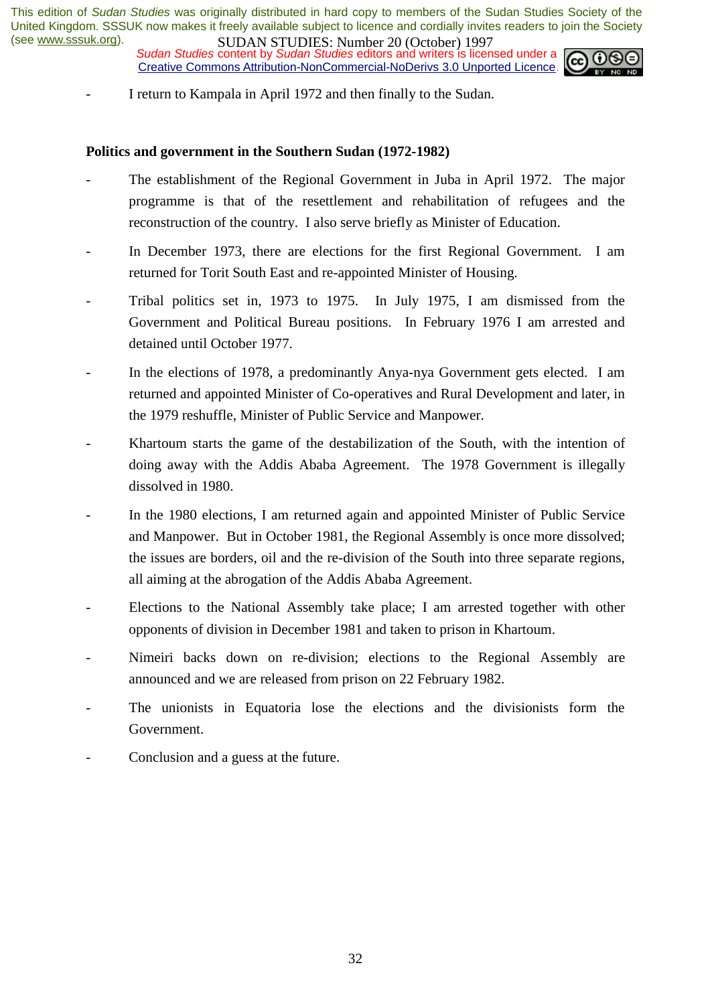**SUDAN STUDIES:** Number 20 (October) 122,<br>Sudan Studies content by Sudan Studies editors and writers is licensed under a Creative Commons Attribution-NonCommercial-NoDerivs 3.0 Unported Licence.



I return to Kampala in April 1972 and then finally to the Sudan.

#### **Politics and government in the Southern Sudan (1972-1982)**

- The establishment of the Regional Government in Juba in April 1972. The major programme is that of the resettlement and rehabilitation of refugees and the reconstruction of the country. I also serve briefly as Minister of Education.
- In December 1973, there are elections for the first Regional Government. I am returned for Torit South East and re-appointed Minister of Housing.
- Tribal politics set in, 1973 to 1975. In July 1975, I am dismissed from the Government and Political Bureau positions. In February 1976 I am arrested and detained until October 1977.
- In the elections of 1978, a predominantly Anya-nya Government gets elected. I am returned and appointed Minister of Co-operatives and Rural Development and later, in the 1979 reshuffle, Minister of Public Service and Manpower.
- Khartoum starts the game of the destabilization of the South, with the intention of doing away with the Addis Ababa Agreement. The 1978 Government is illegally dissolved in 1980.
- In the 1980 elections, I am returned again and appointed Minister of Public Service and Manpower. But in October 1981, the Regional Assembly is once more dissolved; the issues are borders, oil and the re-division of the South into three separate regions, all aiming at the abrogation of the Addis Ababa Agreement.
- Elections to the National Assembly take place; I am arrested together with other opponents of division in December 1981 and taken to prison in Khartoum.
- Nimeiri backs down on re-division; elections to the Regional Assembly are announced and we are released from prison on 22 February 1982.
- The unionists in Equatoria lose the elections and the divisionists form the Government.
- Conclusion and a guess at the future.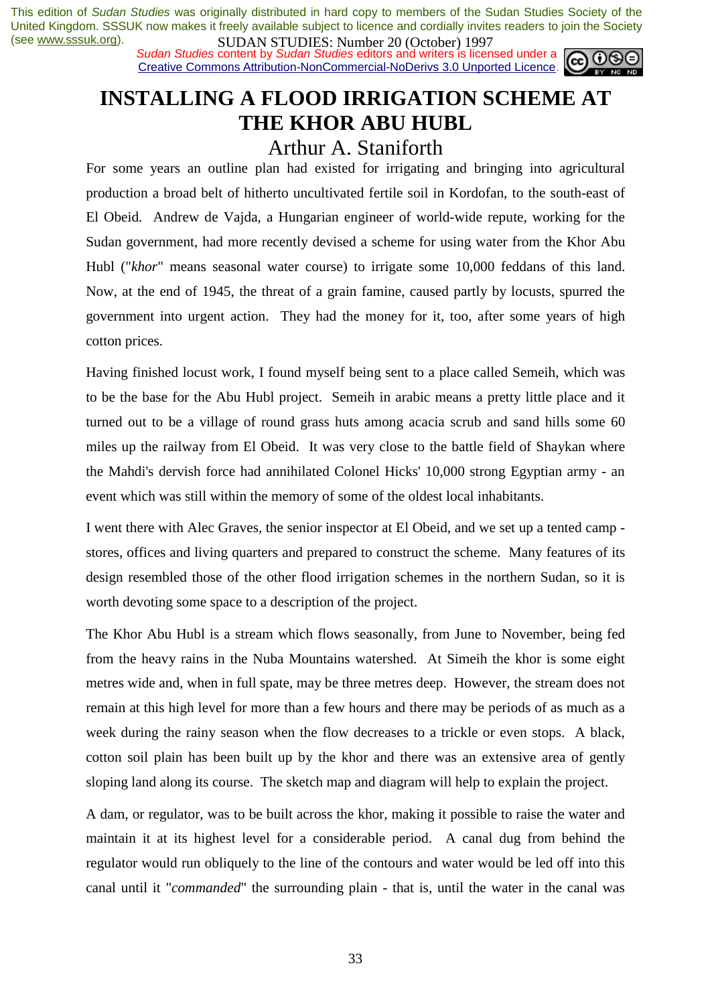*Sudan Studies* content by *Sudan Studies* editors and writers is licensed under a Creative Commons Attribution-NonCommercial-NoDerivs 3.0 Unported Licence.



# **INSTALLING A FLOOD IRRIGATION SCHEME AT THE KHOR ABU HUBL**

# Arthur A. Staniforth

For some years an outline plan had existed for irrigating and bringing into agricultural production a broad belt of hitherto uncultivated fertile soil in Kordofan, to the south-east of El Obeid. Andrew de Vajda, a Hungarian engineer of world-wide repute, working for the Sudan government, had more recently devised a scheme for using water from the Khor Abu Hubl ("*khor*" means seasonal water course) to irrigate some 10,000 feddans of this land. Now, at the end of 1945, the threat of a grain famine, caused partly by locusts, spurred the government into urgent action. They had the money for it, too, after some years of high cotton prices.

Having finished locust work, I found myself being sent to a place called Semeih, which was to be the base for the Abu Hubl project. Semeih in arabic means a pretty little place and it turned out to be a village of round grass huts among acacia scrub and sand hills some 60 miles up the railway from El Obeid. It was very close to the battle field of Shaykan where the Mahdi's dervish force had annihilated Colonel Hicks' 10,000 strong Egyptian army - an event which was still within the memory of some of the oldest local inhabitants.

I went there with Alec Graves, the senior inspector at El Obeid, and we set up a tented camp stores, offices and living quarters and prepared to construct the scheme. Many features of its design resembled those of the other flood irrigation schemes in the northern Sudan, so it is worth devoting some space to a description of the project.

The Khor Abu Hubl is a stream which flows seasonally, from June to November, being fed from the heavy rains in the Nuba Mountains watershed. At Simeih the khor is some eight metres wide and, when in full spate, may be three metres deep. However, the stream does not remain at this high level for more than a few hours and there may be periods of as much as a week during the rainy season when the flow decreases to a trickle or even stops. A black, cotton soil plain has been built up by the khor and there was an extensive area of gently sloping land along its course. The sketch map and diagram will help to explain the project.

A dam, or regulator, was to be built across the khor, making it possible to raise the water and maintain it at its highest level for a considerable period. A canal dug from behind the regulator would run obliquely to the line of the contours and water would be led off into this canal until it "*commanded*" the surrounding plain - that is, until the water in the canal was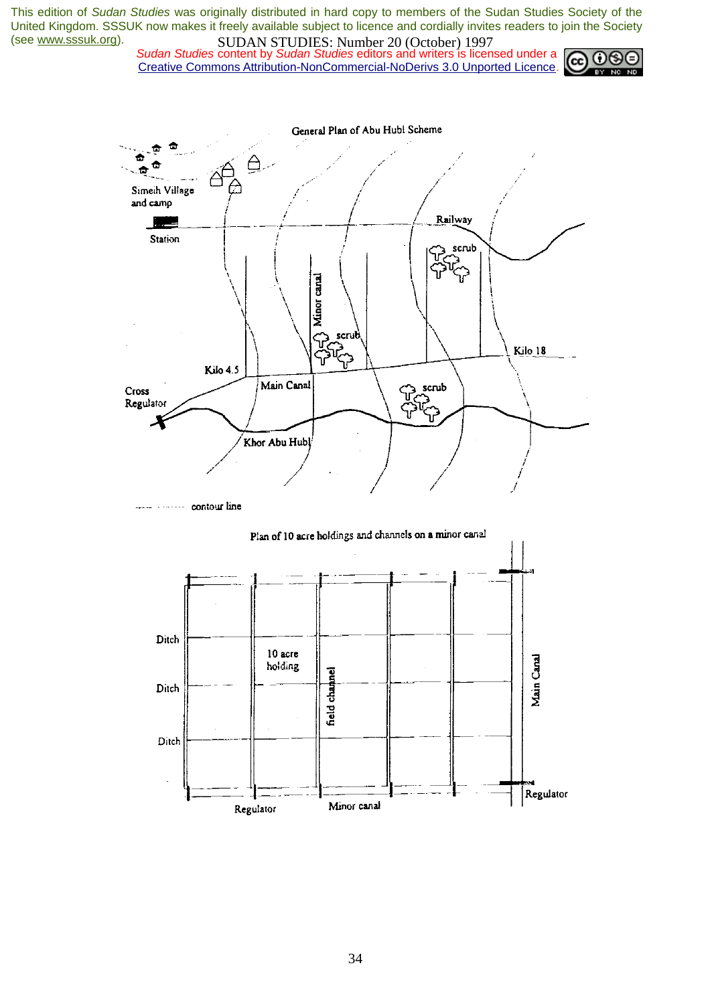*Sudan Studies* content by *Sudan Studies* editors and writers is licensed under a Creative Commons Attribution-NonCommercial-NoDerivs 3.0 Unported Licence.





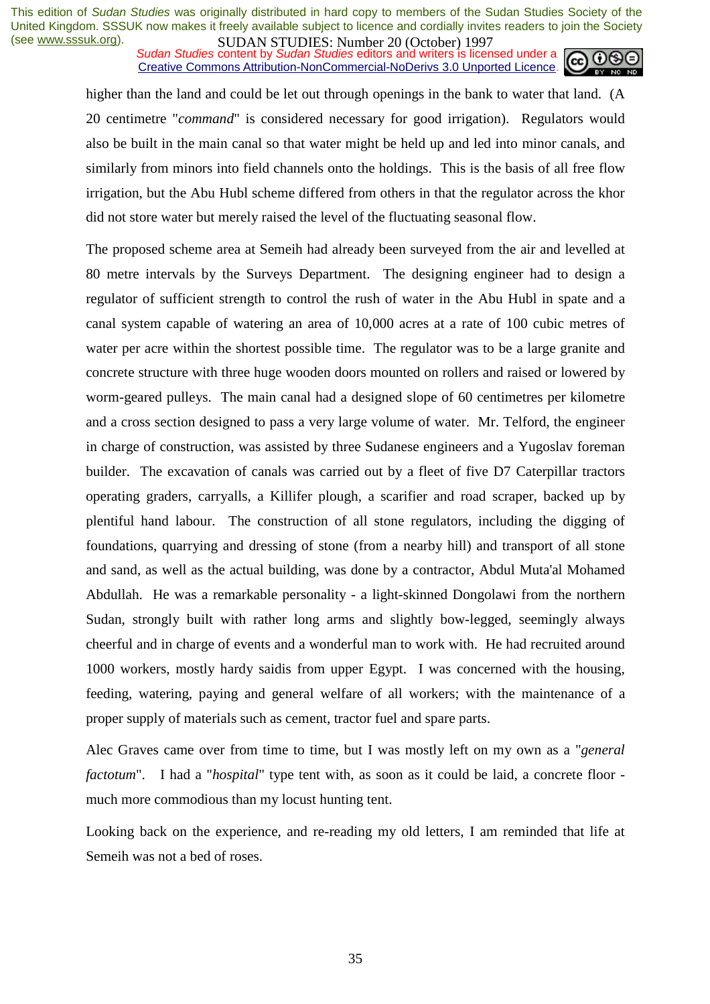*Sudan Studies* content by *Sudan Studies* editors and writers is licensed under a Creative Commons Attribution-NonCommercial-NoDerivs 3.0 Unported Licence.



higher than the land and could be let out through openings in the bank to water that land. (A 20 centimetre "*command*" is considered necessary for good irrigation). Regulators would also be built in the main canal so that water might be held up and led into minor canals, and similarly from minors into field channels onto the holdings. This is the basis of all free flow irrigation, but the Abu Hubl scheme differed from others in that the regulator across the khor did not store water but merely raised the level of the fluctuating seasonal flow.

The proposed scheme area at Semeih had already been surveyed from the air and levelled at 80 metre intervals by the Surveys Department. The designing engineer had to design a regulator of sufficient strength to control the rush of water in the Abu Hubl in spate and a canal system capable of watering an area of 10,000 acres at a rate of 100 cubic metres of water per acre within the shortest possible time. The regulator was to be a large granite and concrete structure with three huge wooden doors mounted on rollers and raised or lowered by worm-geared pulleys. The main canal had a designed slope of 60 centimetres per kilometre and a cross section designed to pass a very large volume of water. Mr. Telford, the engineer in charge of construction, was assisted by three Sudanese engineers and a Yugoslav foreman builder. The excavation of canals was carried out by a fleet of five D7 Caterpillar tractors operating graders, carryalls, a Killifer plough, a scarifier and road scraper, backed up by plentiful hand labour. The construction of all stone regulators, including the digging of foundations, quarrying and dressing of stone (from a nearby hill) and transport of all stone and sand, as well as the actual building, was done by a contractor, Abdul Muta'al Mohamed Abdullah. He was a remarkable personality - a light-skinned Dongolawi from the northern Sudan, strongly built with rather long arms and slightly bow-legged, seemingly always cheerful and in charge of events and a wonderful man to work with. He had recruited around 1000 workers, mostly hardy saidis from upper Egypt. I was concerned with the housing, feeding, watering, paying and general welfare of all workers; with the maintenance of a proper supply of materials such as cement, tractor fuel and spare parts.

Alec Graves came over from time to time, but I was mostly left on my own as a "*general factotum*". I had a "*hospital*" type tent with, as soon as it could be laid, a concrete floor much more commodious than my locust hunting tent.

Looking back on the experience, and re-reading my old letters, I am reminded that life at Semeih was not a bed of roses.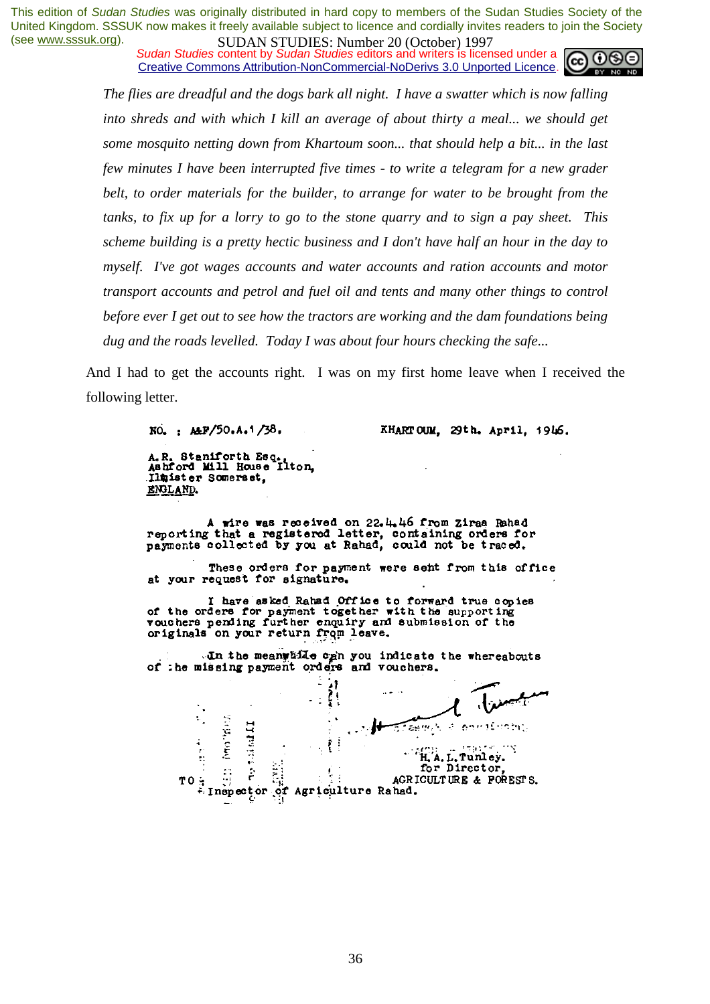*Sudan Studies* content by *Sudan Studies* editors and writers is licensed under a Creative Commons Attribution-NonCommercial-NoDerivs 3.0 Unported Licence.



*The flies are dreadful and the dogs bark all night. I have a swatter which is now falling*  into shreds and with which I kill an average of about thirty a meal... we should get *some mosquito netting down from Khartoum soon... that should help a bit... in the last few minutes I have been interrupted five times - to write a telegram for a new grader belt, to order materials for the builder, to arrange for water to be brought from the tanks, to fix up for a lorry to go to the stone quarry and to sign a pay sheet. This scheme building is a pretty hectic business and I don't have half an hour in the day to myself. I've got wages accounts and water accounts and ration accounts and motor transport accounts and petrol and fuel oil and tents and many other things to control before ever I get out to see how the tractors are working and the dam foundations being dug and the roads levelled. Today I was about four hours checking the safe...* 

And I had to get the accounts right. I was on my first home leave when I received the following letter.

NO. : ALF/50.A.1/38.

KHARTOUM, 29th. April, 1946.

A.R. Staniforth Esq., iton, Ilmister Somerset. ENGLAND.

A wire was received on 22.4.46 from Ziraa Rahad reporting that a registered letter, containing orders for payments collected by you at Rahad, could not be traced.

These orders for payment were sent from this office at your request for signature.

I have asked Rahad Office to forward true copies<br>of the orders for payment together with the supporting<br>vouchers pending further enquiry and submission of the<br>originals on your return from leave.

In the meanwhile can you indicate the whereabouts of the missing payment orders and vouchers.

 $\frac{1}{2}$ **Underly** સિત છે.<br>સંસ્થાન **The Proper** H. A. L. Tunley.  $\frac{1}{\epsilon}$ for Director. ÷, AGRICULTURE & FORESTS. Inspector Agriculture Rahad. ∙of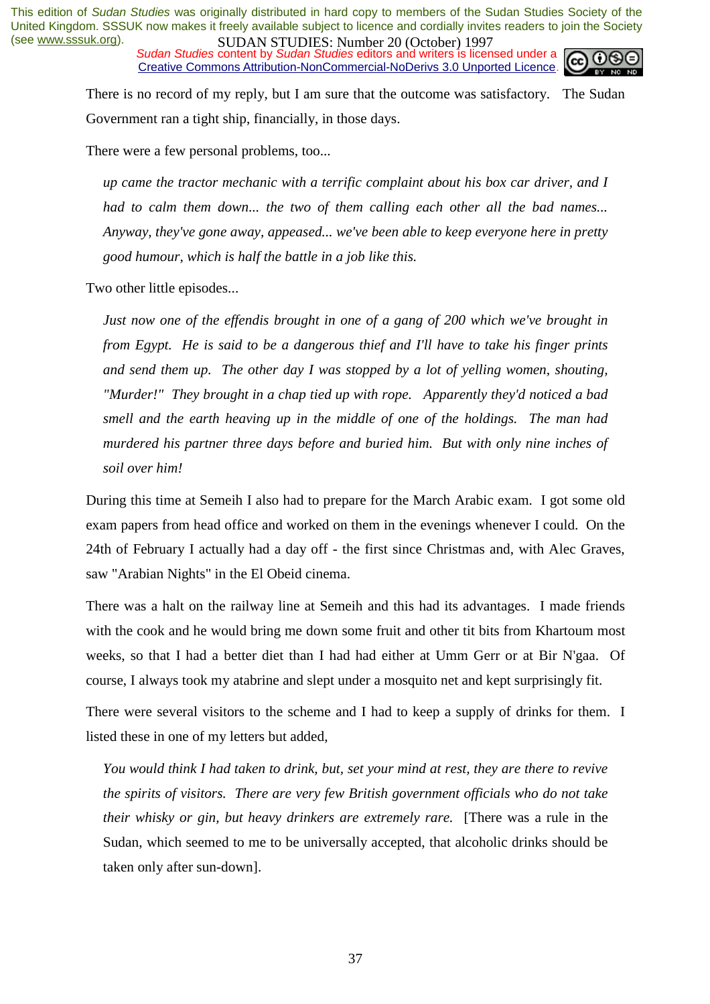*Sudan Studies* content by *Sudan Studies* editors and writers is licensed under a Creative Commons Attribution-NonCommercial-NoDerivs 3.0 Unported Licence.



There is no record of my reply, but I am sure that the outcome was satisfactory. The Sudan Government ran a tight ship, financially, in those days.

There were a few personal problems, too...

*up came the tractor mechanic with a terrific complaint about his box car driver, and I had to calm them down... the two of them calling each other all the bad names... Anyway, they've gone away, appeased... we've been able to keep everyone here in pretty good humour, which is half the battle in a job like this.* 

Two other little episodes...

*Just now one of the effendis brought in one of a gang of 200 which we've brought in from Egypt. He is said to be a dangerous thief and I'll have to take his finger prints and send them up. The other day I was stopped by a lot of yelling women, shouting, "Murder!" They brought in a chap tied up with rope. Apparently they'd noticed a bad smell and the earth heaving up in the middle of one of the holdings. The man had murdered his partner three days before and buried him. But with only nine inches of soil over him!* 

During this time at Semeih I also had to prepare for the March Arabic exam. I got some old exam papers from head office and worked on them in the evenings whenever I could. On the 24th of February I actually had a day off - the first since Christmas and, with Alec Graves, saw "Arabian Nights" in the El Obeid cinema.

There was a halt on the railway line at Semeih and this had its advantages. I made friends with the cook and he would bring me down some fruit and other tit bits from Khartoum most weeks, so that I had a better diet than I had had either at Umm Gerr or at Bir N'gaa. Of course, I always took my atabrine and slept under a mosquito net and kept surprisingly fit.

There were several visitors to the scheme and I had to keep a supply of drinks for them. I listed these in one of my letters but added,

*You would think I had taken to drink, but, set your mind at rest, they are there to revive the spirits of visitors. There are very few British government officials who do not take their whisky or gin, but heavy drinkers are extremely rare.* [There was a rule in the Sudan, which seemed to me to be universally accepted, that alcoholic drinks should be taken only after sun-down].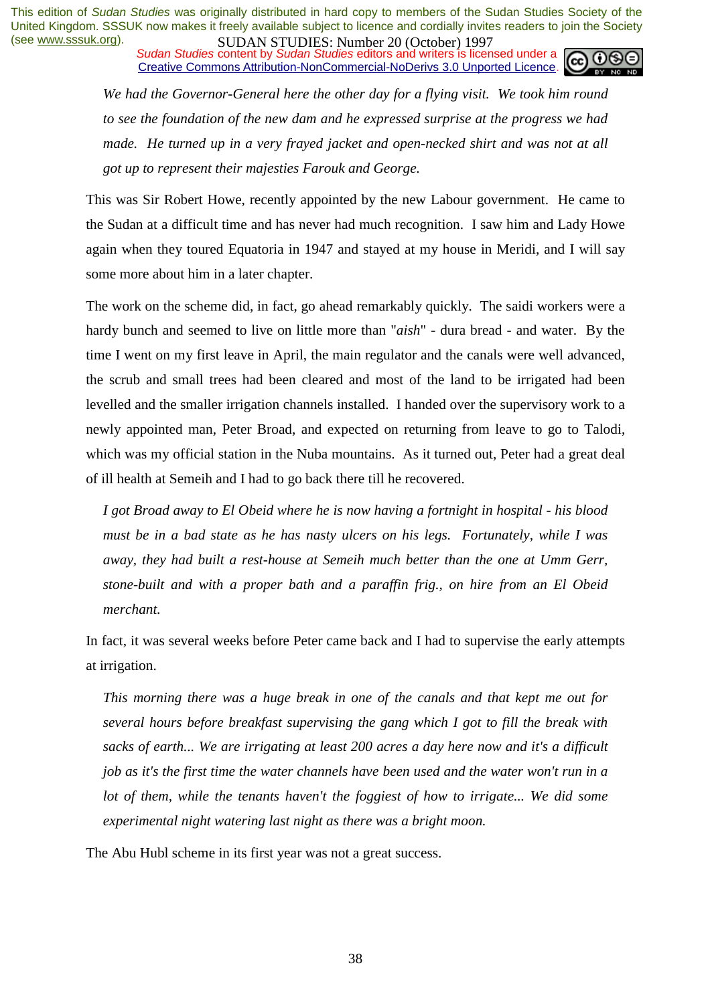*Sudan Studies* content by *Sudan Studies* editors and writers is licensed under a Creative Commons Attribution-NonCommercial-NoDerivs 3.0 Unported Licence.

*We had the Governor-General here the other day for a flying visit. We took him round to see the foundation of the new dam and he expressed surprise at the progress we had made. He turned up in a very frayed jacket and open-necked shirt and was not at all got up to represent their majesties Farouk and George.* 

This was Sir Robert Howe, recently appointed by the new Labour government. He came to the Sudan at a difficult time and has never had much recognition. I saw him and Lady Howe again when they toured Equatoria in 1947 and stayed at my house in Meridi, and I will say some more about him in a later chapter.

The work on the scheme did, in fact, go ahead remarkably quickly. The saidi workers were a hardy bunch and seemed to live on little more than "*aish*" - dura bread - and water. By the time I went on my first leave in April, the main regulator and the canals were well advanced, the scrub and small trees had been cleared and most of the land to be irrigated had been levelled and the smaller irrigation channels installed. I handed over the supervisory work to a newly appointed man, Peter Broad, and expected on returning from leave to go to Talodi, which was my official station in the Nuba mountains. As it turned out, Peter had a great deal of ill health at Semeih and I had to go back there till he recovered.

*I got Broad away to El Obeid where he is now having a fortnight in hospital - his blood must be in a bad state as he has nasty ulcers on his legs. Fortunately, while I was away, they had built a rest-house at Semeih much better than the one at Umm Gerr, stone-built and with a proper bath and a paraffin frig., on hire from an El Obeid merchant.* 

In fact, it was several weeks before Peter came back and I had to supervise the early attempts at irrigation.

*This morning there was a huge break in one of the canals and that kept me out for several hours before breakfast supervising the gang which I got to fill the break with sacks of earth... We are irrigating at least 200 acres a day here now and it's a difficult job as it's the first time the water channels have been used and the water won't run in a lot of them, while the tenants haven't the foggiest of how to irrigate... We did some experimental night watering last night as there was a bright moon.* 

The Abu Hubl scheme in its first year was not a great success.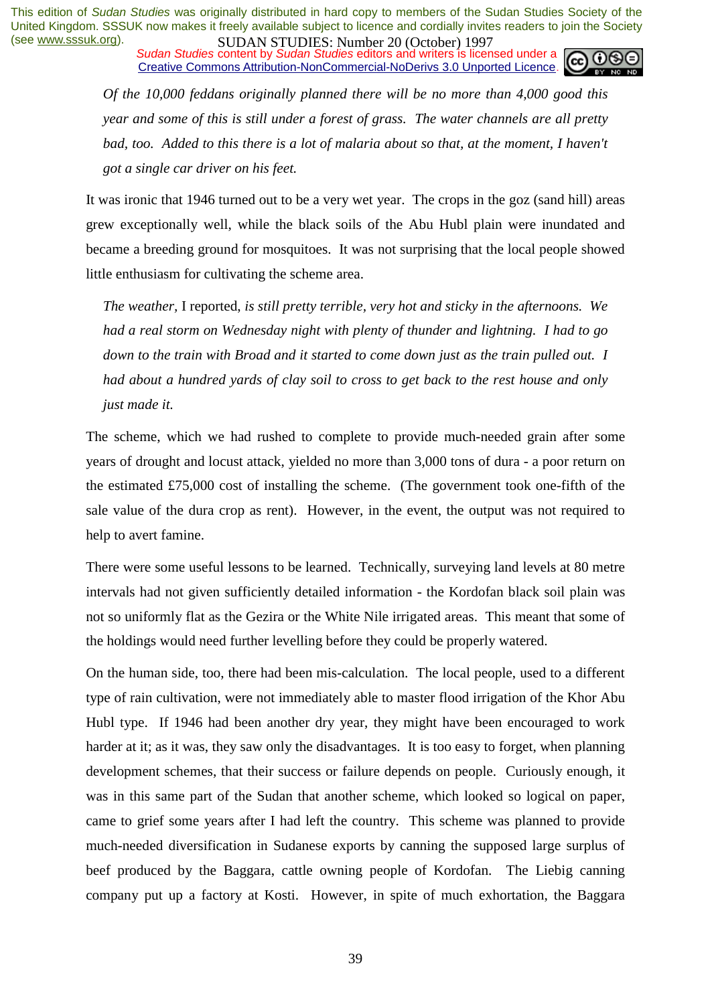*Sudan Studies* content by *Sudan Studies* editors and writers is licensed under a Creative Commons Attribution-NonCommercial-NoDerivs 3.0 Unported Licence.

> *Of the 10,000 feddans originally planned there will be no more than 4,000 good this year and some of this is still under a forest of grass. The water channels are all pretty bad, too. Added to this there is a lot of malaria about so that, at the moment, I haven't got a single car driver on his feet.*

It was ironic that 1946 turned out to be a very wet year. The crops in the goz (sand hill) areas grew exceptionally well, while the black soils of the Abu Hubl plain were inundated and became a breeding ground for mosquitoes. It was not surprising that the local people showed little enthusiasm for cultivating the scheme area.

*The weather,* I reported, *is still pretty terrible, very hot and sticky in the afternoons. We had a real storm on Wednesday night with plenty of thunder and lightning. I had to go down to the train with Broad and it started to come down just as the train pulled out. I had about a hundred yards of clay soil to cross to get back to the rest house and only just made it.* 

The scheme, which we had rushed to complete to provide much-needed grain after some years of drought and locust attack, yielded no more than 3,000 tons of dura - a poor return on the estimated £75,000 cost of installing the scheme. (The government took one-fifth of the sale value of the dura crop as rent). However, in the event, the output was not required to help to avert famine.

There were some useful lessons to be learned. Technically, surveying land levels at 80 metre intervals had not given sufficiently detailed information - the Kordofan black soil plain was not so uniformly flat as the Gezira or the White Nile irrigated areas. This meant that some of the holdings would need further levelling before they could be properly watered.

On the human side, too, there had been mis-calculation. The local people, used to a different type of rain cultivation, were not immediately able to master flood irrigation of the Khor Abu Hubl type. If 1946 had been another dry year, they might have been encouraged to work harder at it; as it was, they saw only the disadvantages. It is too easy to forget, when planning development schemes, that their success or failure depends on people. Curiously enough, it was in this same part of the Sudan that another scheme, which looked so logical on paper, came to grief some years after I had left the country. This scheme was planned to provide much-needed diversification in Sudanese exports by canning the supposed large surplus of beef produced by the Baggara, cattle owning people of Kordofan. The Liebig canning company put up a factory at Kosti. However, in spite of much exhortation, the Baggara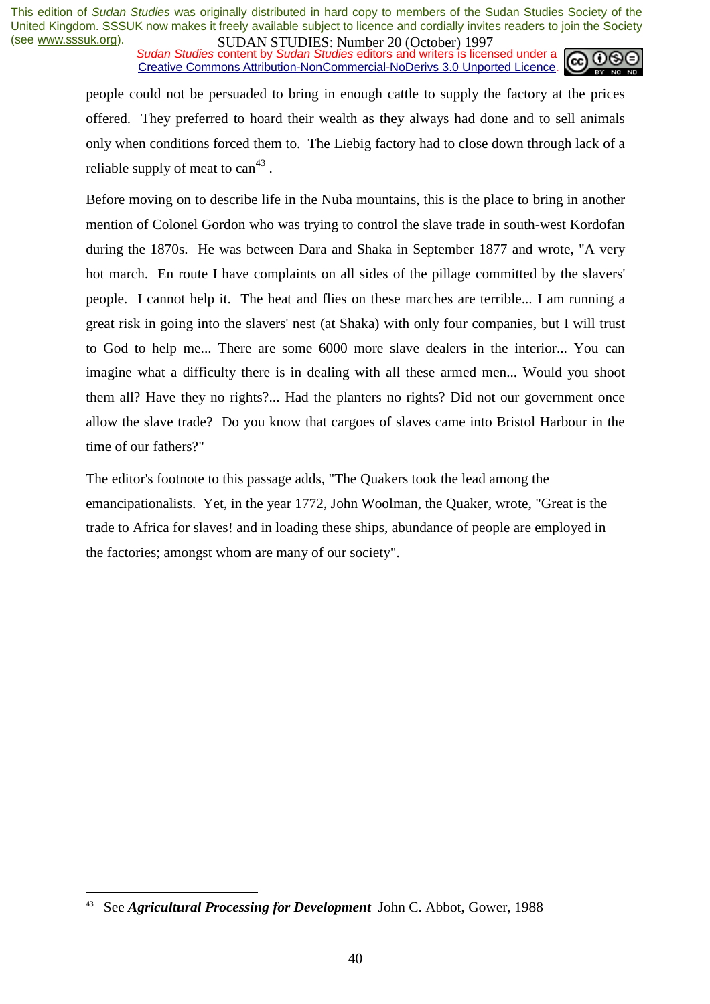**SUDAN STUDIES:** Number 20 (October) 122,<br>Sudan Studies content by Sudan Studies editors and writers is licensed under a Creative Commons Attribution-NonCommercial-NoDerivs 3.0 Unported Licence.



people could not be persuaded to bring in enough cattle to supply the factory at the prices offered. They preferred to hoard their wealth as they always had done and to sell animals only when conditions forced them to. The Liebig factory had to close down through lack of a reliable supply of meat to  $can^{43}$ .

Before moving on to describe life in the Nuba mountains, this is the place to bring in another mention of Colonel Gordon who was trying to control the slave trade in south-west Kordofan during the 1870s. He was between Dara and Shaka in September 1877 and wrote, "A very hot march. En route I have complaints on all sides of the pillage committed by the slavers' people. I cannot help it. The heat and flies on these marches are terrible... I am running a great risk in going into the slavers' nest (at Shaka) with only four companies, but I will trust to God to help me... There are some 6000 more slave dealers in the interior... You can imagine what a difficulty there is in dealing with all these armed men... Would you shoot them all? Have they no rights?... Had the planters no rights? Did not our government once allow the slave trade? Do you know that cargoes of slaves came into Bristol Harbour in the time of our fathers?"

The editor's footnote to this passage adds, "The Quakers took the lead among the emancipationalists. Yet, in the year 1772, John Woolman, the Quaker, wrote, "Great is the trade to Africa for slaves! and in loading these ships, abundance of people are employed in the factories; amongst whom are many of our society".

<sup>43</sup> See *Agricultural Processing for Development* John C. Abbot, Gower, 1988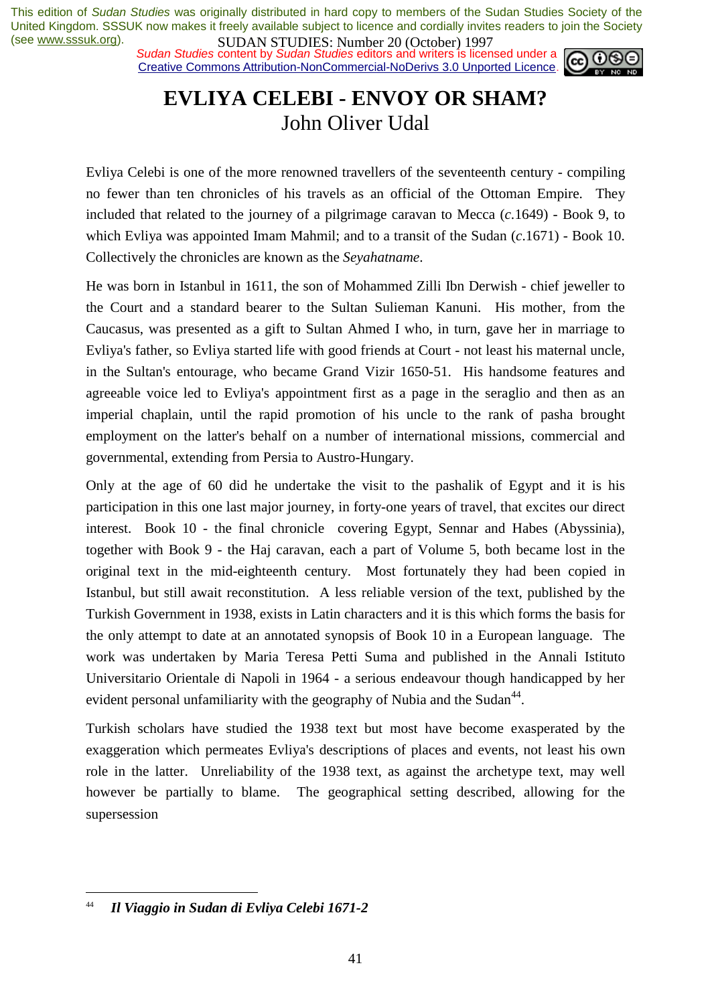*Sudan Studies* content by *Sudan Studies* editors and writers is licensed under a Creative Commons Attribution-NonCommercial-NoDerivs 3.0 Unported Licence.



# **EVLIYA CELEBI - ENVOY OR SHAM?**  John Oliver Udal

Evliya Celebi is one of the more renowned travellers of the seventeenth century - compiling no fewer than ten chronicles of his travels as an official of the Ottoman Empire. They included that related to the journey of a pilgrimage caravan to Mecca (*c*.1649) - Book 9, to which Evliya was appointed Imam Mahmil; and to a transit of the Sudan (*c*.1671) - Book 10. Collectively the chronicles are known as the *Seyahatname*.

He was born in Istanbul in 1611, the son of Mohammed Zilli Ibn Derwish - chief jeweller to the Court and a standard bearer to the Sultan Sulieman Kanuni. His mother, from the Caucasus, was presented as a gift to Sultan Ahmed I who, in turn, gave her in marriage to Evliya's father, so Evliya started life with good friends at Court - not least his maternal uncle, in the Sultan's entourage, who became Grand Vizir 1650-51. His handsome features and agreeable voice led to Evliya's appointment first as a page in the seraglio and then as an imperial chaplain, until the rapid promotion of his uncle to the rank of pasha brought employment on the latter's behalf on a number of international missions, commercial and governmental, extending from Persia to Austro-Hungary.

Only at the age of 60 did he undertake the visit to the pashalik of Egypt and it is his participation in this one last major journey, in forty-one years of travel, that excites our direct interest. Book 10 - the final chronicle covering Egypt, Sennar and Habes (Abyssinia), together with Book 9 - the Haj caravan, each a part of Volume 5, both became lost in the original text in the mid-eighteenth century. Most fortunately they had been copied in Istanbul, but still await reconstitution. A less reliable version of the text, published by the Turkish Government in 1938, exists in Latin characters and it is this which forms the basis for the only attempt to date at an annotated synopsis of Book 10 in a European language. The work was undertaken by Maria Teresa Petti Suma and published in the Annali Istituto Universitario Orientale di Napoli in 1964 - a serious endeavour though handicapped by her evident personal unfamiliarity with the geography of Nubia and the Sudan<sup>44</sup>.

Turkish scholars have studied the 1938 text but most have become exasperated by the exaggeration which permeates Evliya's descriptions of places and events, not least his own role in the latter. Unreliability of the 1938 text, as against the archetype text, may well however be partially to blame. The geographical setting described, allowing for the supersession

<sup>44</sup> *Il Viaggio in Sudan di Evliya Celebi 1671-2*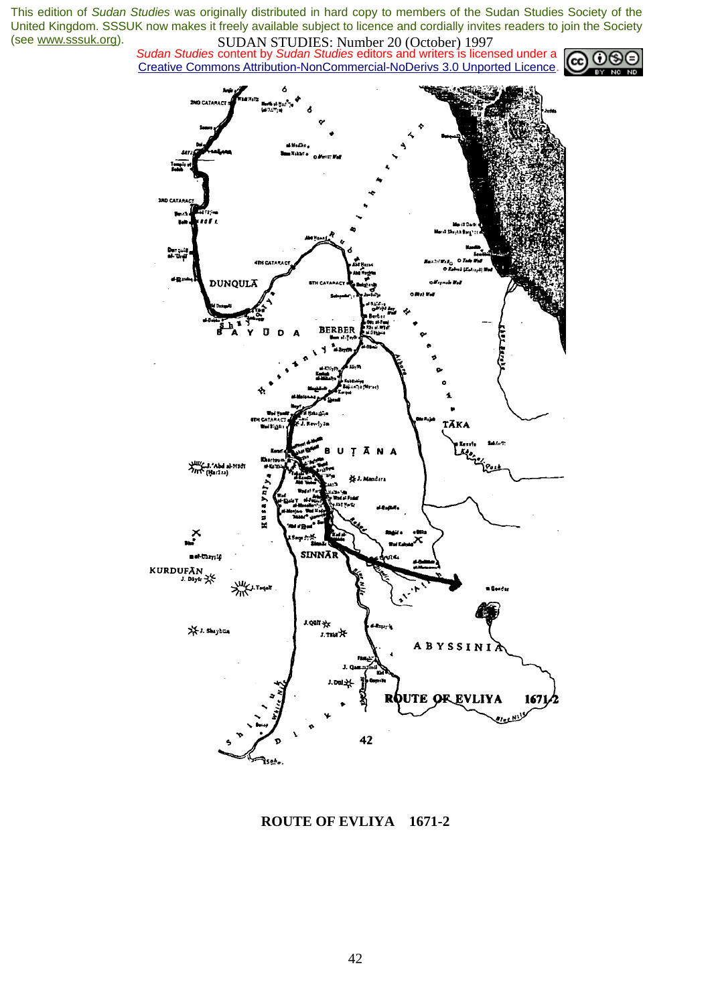*Sudan Studies* content by *Sudan Studies* editors and writers is licensed under a Creative Commons Attribution-NonCommercial-NoDerivs 3.0 Unported Licence.





**ROUTE OF EVLIYA 1671-2**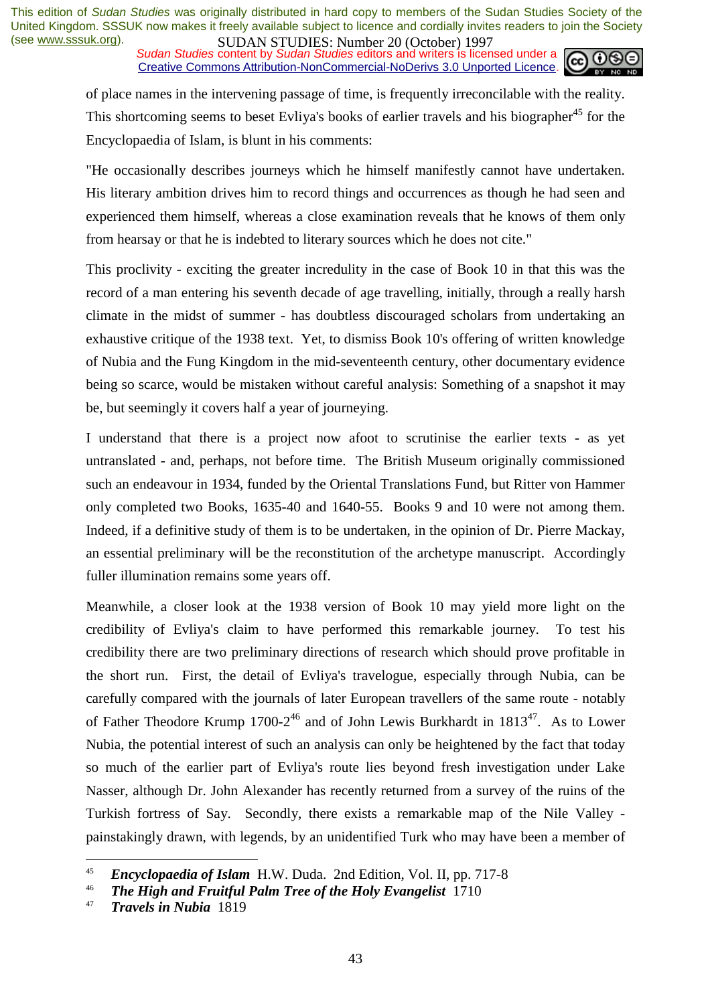*Sudan Studies* content by *Sudan Studies* editors and writers is licensed under a Creative Commons Attribution-NonCommercial-NoDerivs 3.0 Unported Licence.



of place names in the intervening passage of time, is frequently irreconcilable with the reality. This shortcoming seems to beset Evliya's books of earlier travels and his biographer<sup>45</sup> for the Encyclopaedia of Islam, is blunt in his comments:

"He occasionally describes journeys which he himself manifestly cannot have undertaken. His literary ambition drives him to record things and occurrences as though he had seen and experienced them himself, whereas a close examination reveals that he knows of them only from hearsay or that he is indebted to literary sources which he does not cite."

This proclivity - exciting the greater incredulity in the case of Book 10 in that this was the record of a man entering his seventh decade of age travelling, initially, through a really harsh climate in the midst of summer - has doubtless discouraged scholars from undertaking an exhaustive critique of the 1938 text. Yet, to dismiss Book 10's offering of written knowledge of Nubia and the Fung Kingdom in the mid-seventeenth century, other documentary evidence being so scarce, would be mistaken without careful analysis: Something of a snapshot it may be, but seemingly it covers half a year of journeying.

I understand that there is a project now afoot to scrutinise the earlier texts - as yet untranslated - and, perhaps, not before time. The British Museum originally commissioned such an endeavour in 1934, funded by the Oriental Translations Fund, but Ritter von Hammer only completed two Books, 1635-40 and 1640-55. Books 9 and 10 were not among them. Indeed, if a definitive study of them is to be undertaken, in the opinion of Dr. Pierre Mackay, an essential preliminary will be the reconstitution of the archetype manuscript. Accordingly fuller illumination remains some years off.

Meanwhile, a closer look at the 1938 version of Book 10 may yield more light on the credibility of Evliya's claim to have performed this remarkable journey. To test his credibility there are two preliminary directions of research which should prove profitable in the short run. First, the detail of Evliya's travelogue, especially through Nubia, can be carefully compared with the journals of later European travellers of the same route - notably of Father Theodore Krump  $1700-2^{46}$  and of John Lewis Burkhardt in  $1813^{47}$ . As to Lower Nubia, the potential interest of such an analysis can only be heightened by the fact that today so much of the earlier part of Evliya's route lies beyond fresh investigation under Lake Nasser, although Dr. John Alexander has recently returned from a survey of the ruins of the Turkish fortress of Say. Secondly, there exists a remarkable map of the Nile Valley painstakingly drawn, with legends, by an unidentified Turk who may have been a member of

<sup>45</sup>*Encyclopaedia of Islam* H.W. Duda. 2nd Edition, Vol. II, pp. 717-8 46 *The High and Fruitful Palm Tree of the Holy Evangelist* 1710 47 *Travels in Nubia*<sup>1819</sup>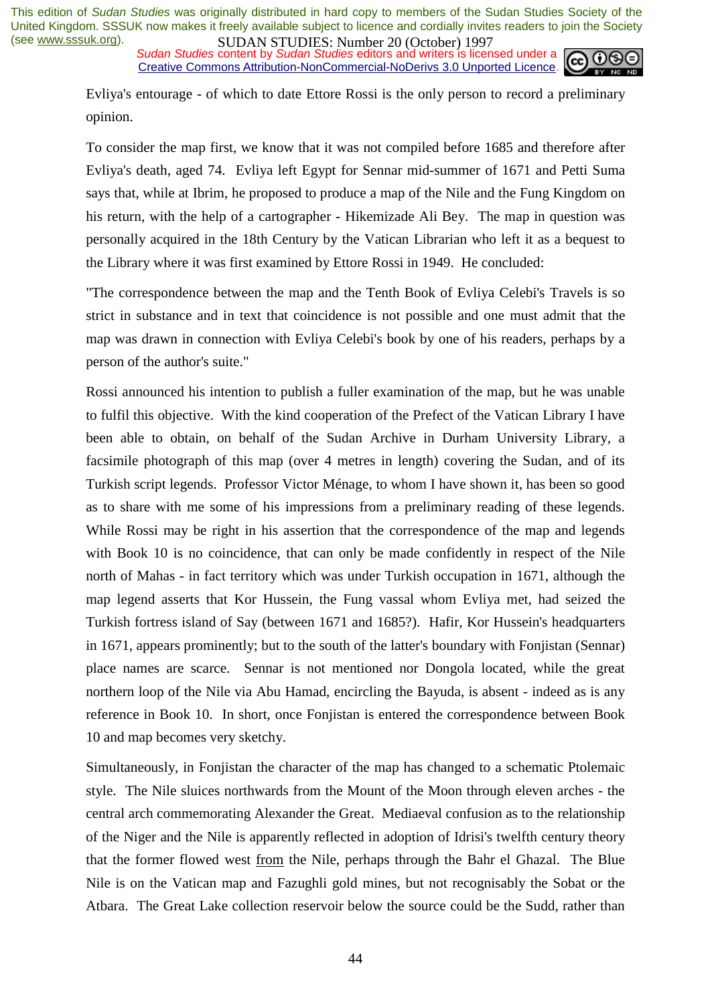**SUDAN STUDIES:** Number 20 (October) 122,<br>Sudan Studies content by Sudan Studies editors and writers is licensed under a Creative Commons Attribution-NonCommercial-NoDerivs 3.0 Unported Licence.



Evliya's entourage - of which to date Ettore Rossi is the only person to record a preliminary opinion.

To consider the map first, we know that it was not compiled before 1685 and therefore after Evliya's death, aged 74. Evliya left Egypt for Sennar mid-summer of 1671 and Petti Suma says that, while at Ibrim, he proposed to produce a map of the Nile and the Fung Kingdom on his return, with the help of a cartographer - Hikemizade Ali Bey. The map in question was personally acquired in the 18th Century by the Vatican Librarian who left it as a bequest to the Library where it was first examined by Ettore Rossi in 1949. He concluded:

"The correspondence between the map and the Tenth Book of Evliya Celebi's Travels is so strict in substance and in text that coincidence is not possible and one must admit that the map was drawn in connection with Evliya Celebi's book by one of his readers, perhaps by a person of the author's suite."

Rossi announced his intention to publish a fuller examination of the map, but he was unable to fulfil this objective. With the kind cooperation of the Prefect of the Vatican Library I have been able to obtain, on behalf of the Sudan Archive in Durham University Library, a facsimile photograph of this map (over 4 metres in length) covering the Sudan, and of its Turkish script legends. Professor Victor Ménage, to whom I have shown it, has been so good as to share with me some of his impressions from a preliminary reading of these legends. While Rossi may be right in his assertion that the correspondence of the map and legends with Book 10 is no coincidence, that can only be made confidently in respect of the Nile north of Mahas - in fact territory which was under Turkish occupation in 1671, although the map legend asserts that Kor Hussein, the Fung vassal whom Evliya met, had seized the Turkish fortress island of Say (between 1671 and 1685?). Hafir, Kor Hussein's headquarters in 1671, appears prominently; but to the south of the latter's boundary with Fonjistan (Sennar) place names are scarce. Sennar is not mentioned nor Dongola located, while the great northern loop of the Nile via Abu Hamad, encircling the Bayuda, is absent - indeed as is any reference in Book 10. In short, once Fonjistan is entered the correspondence between Book 10 and map becomes very sketchy.

Simultaneously, in Fonjistan the character of the map has changed to a schematic Ptolemaic style. The Nile sluices northwards from the Mount of the Moon through eleven arches - the central arch commemorating Alexander the Great. Mediaeval confusion as to the relationship of the Niger and the Nile is apparently reflected in adoption of Idrisi's twelfth century theory that the former flowed west from the Nile, perhaps through the Bahr el Ghazal. The Blue Nile is on the Vatican map and Fazughli gold mines, but not recognisably the Sobat or the Atbara. The Great Lake collection reservoir below the source could be the Sudd, rather than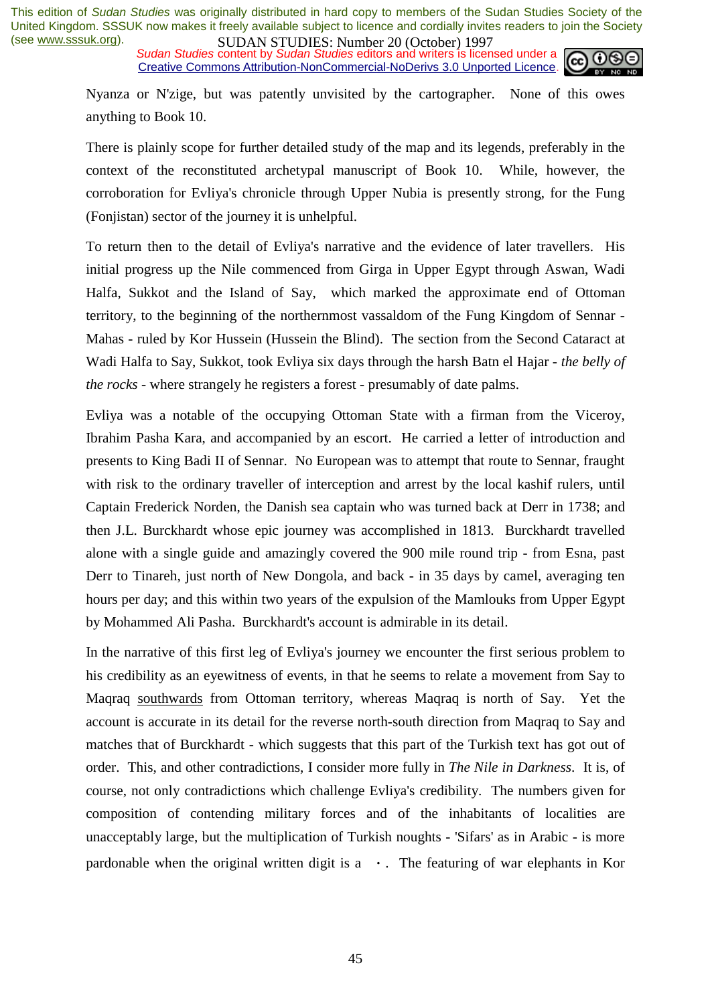*Sudan Studies* content by *Sudan Studies* editors and writers is licensed under a Creative Commons Attribution-NonCommercial-NoDerivs 3.0 Unported Licence.



Nyanza or N'zige, but was patently unvisited by the cartographer. None of this owes anything to Book 10.

There is plainly scope for further detailed study of the map and its legends, preferably in the context of the reconstituted archetypal manuscript of Book 10. While, however, the corroboration for Evliya's chronicle through Upper Nubia is presently strong, for the Fung (Fonjistan) sector of the journey it is unhelpful.

To return then to the detail of Evliya's narrative and the evidence of later travellers. His initial progress up the Nile commenced from Girga in Upper Egypt through Aswan, Wadi Halfa, Sukkot and the Island of Say, which marked the approximate end of Ottoman territory, to the beginning of the northernmost vassaldom of the Fung Kingdom of Sennar - Mahas - ruled by Kor Hussein (Hussein the Blind). The section from the Second Cataract at Wadi Halfa to Say, Sukkot, took Evliya six days through the harsh Batn el Hajar - *the belly of the rocks* - where strangely he registers a forest - presumably of date palms.

Evliya was a notable of the occupying Ottoman State with a firman from the Viceroy, Ibrahim Pasha Kara, and accompanied by an escort. He carried a letter of introduction and presents to King Badi II of Sennar. No European was to attempt that route to Sennar, fraught with risk to the ordinary traveller of interception and arrest by the local kashif rulers, until Captain Frederick Norden, the Danish sea captain who was turned back at Derr in 1738; and then J.L. Burckhardt whose epic journey was accomplished in 1813. Burckhardt travelled alone with a single guide and amazingly covered the 900 mile round trip - from Esna, past Derr to Tinareh, just north of New Dongola, and back - in 35 days by camel, averaging ten hours per day; and this within two years of the expulsion of the Mamlouks from Upper Egypt by Mohammed Ali Pasha. Burckhardt's account is admirable in its detail.

In the narrative of this first leg of Evliya's journey we encounter the first serious problem to his credibility as an eyewitness of events, in that he seems to relate a movement from Say to Maqraq southwards from Ottoman territory, whereas Maqraq is north of Say. Yet the account is accurate in its detail for the reverse north-south direction from Maqraq to Say and matches that of Burckhardt - which suggests that this part of the Turkish text has got out of order. This, and other contradictions, I consider more fully in *The Nile in Darkness*. It is, of course, not only contradictions which challenge Evliya's credibility. The numbers given for composition of contending military forces and of the inhabitants of localities are unacceptably large, but the multiplication of Turkish noughts - 'Sifars' as in Arabic - is more pardonable when the original written digit is  $a \cdot$ . The featuring of war elephants in Kor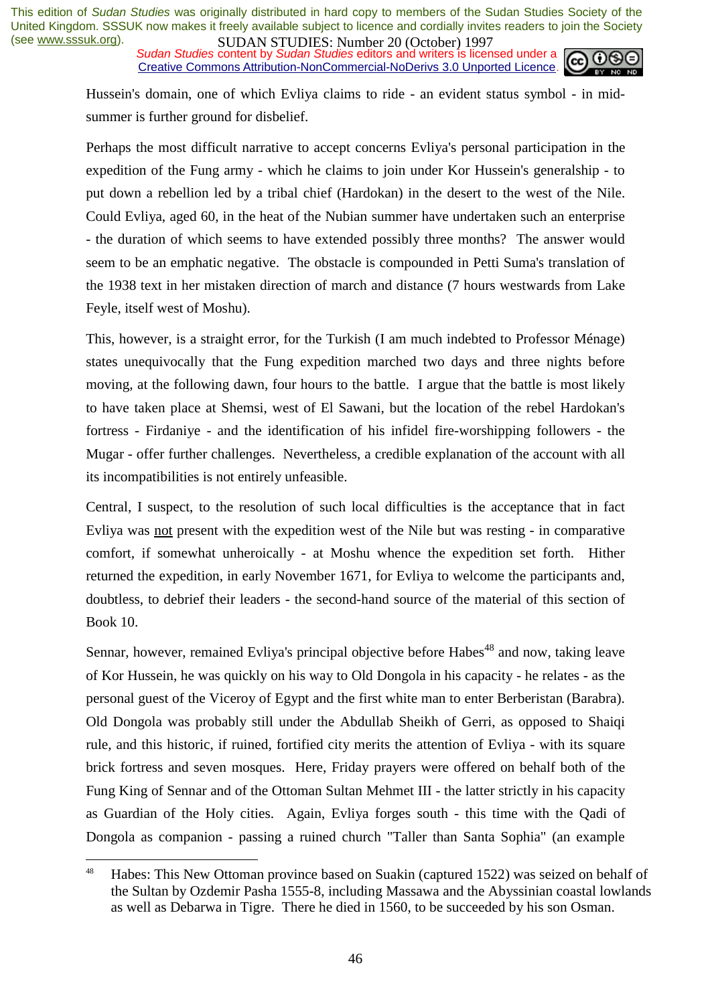*Sudan Studies* content by *Sudan Studies* editors and writers is licensed under a Creative Commons Attribution-NonCommercial-NoDerivs 3.0 Unported Licence.



Hussein's domain, one of which Evliya claims to ride - an evident status symbol - in midsummer is further ground for disbelief.

Perhaps the most difficult narrative to accept concerns Evliya's personal participation in the expedition of the Fung army - which he claims to join under Kor Hussein's generalship - to put down a rebellion led by a tribal chief (Hardokan) in the desert to the west of the Nile. Could Evliya, aged 60, in the heat of the Nubian summer have undertaken such an enterprise - the duration of which seems to have extended possibly three months? The answer would seem to be an emphatic negative. The obstacle is compounded in Petti Suma's translation of the 1938 text in her mistaken direction of march and distance (7 hours westwards from Lake Feyle, itself west of Moshu).

This, however, is a straight error, for the Turkish (I am much indebted to Professor Ménage) states unequivocally that the Fung expedition marched two days and three nights before moving, at the following dawn, four hours to the battle. I argue that the battle is most likely to have taken place at Shemsi, west of El Sawani, but the location of the rebel Hardokan's fortress - Firdaniye - and the identification of his infidel fire-worshipping followers - the Mugar - offer further challenges. Nevertheless, a credible explanation of the account with all its incompatibilities is not entirely unfeasible.

Central, I suspect, to the resolution of such local difficulties is the acceptance that in fact Evliya was not present with the expedition west of the Nile but was resting - in comparative comfort, if somewhat unheroically - at Moshu whence the expedition set forth. Hither returned the expedition, in early November 1671, for Evliya to welcome the participants and, doubtless, to debrief their leaders - the second-hand source of the material of this section of Book 10.

Sennar, however, remained Evliya's principal objective before Habes<sup>48</sup> and now, taking leave of Kor Hussein, he was quickly on his way to Old Dongola in his capacity - he relates - as the personal guest of the Viceroy of Egypt and the first white man to enter Berberistan (Barabra). Old Dongola was probably still under the Abdullab Sheikh of Gerri, as opposed to Shaiqi rule, and this historic, if ruined, fortified city merits the attention of Evliya - with its square brick fortress and seven mosques. Here, Friday prayers were offered on behalf both of the Fung King of Sennar and of the Ottoman Sultan Mehmet III - the latter strictly in his capacity as Guardian of the Holy cities. Again, Evliya forges south - this time with the Qadi of Dongola as companion - passing a ruined church "Taller than Santa Sophia" (an example

<sup>&</sup>lt;sup>48</sup> Habes: This New Ottoman province based on Suakin (captured 1522) was seized on behalf of the Sultan by Ozdemir Pasha 1555-8, including Massawa and the Abyssinian coastal lowlands as well as Debarwa in Tigre. There he died in 1560, to be succeeded by his son Osman.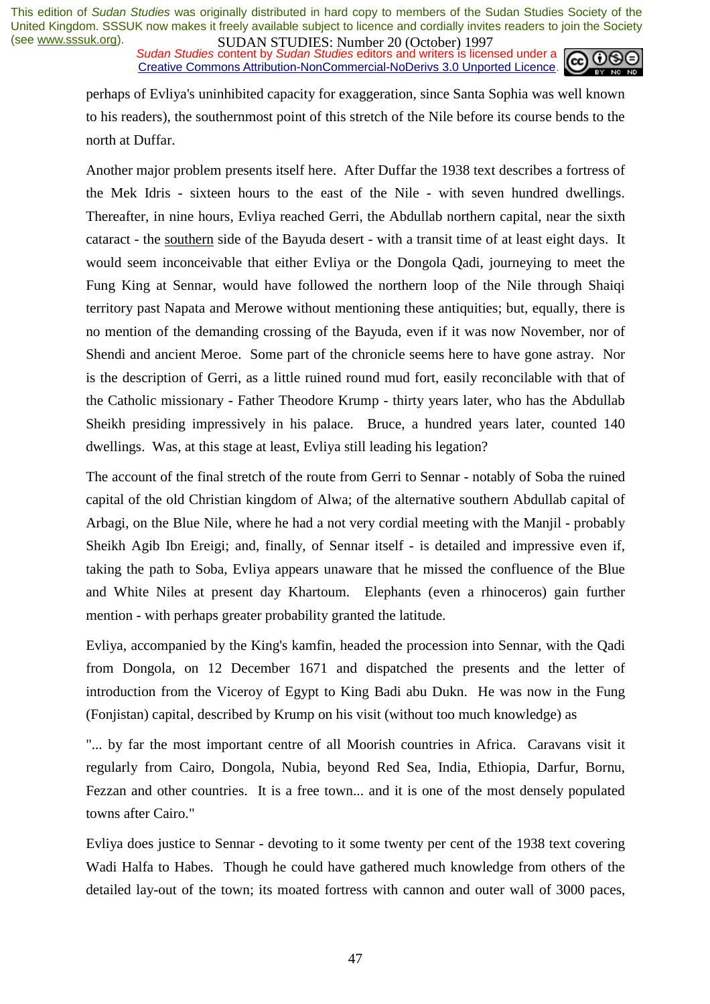*Sudan Studies* content by *Sudan Studies* editors and writers is licensed under a Creative Commons Attribution-NonCommercial-NoDerivs 3.0 Unported Licence.



perhaps of Evliya's uninhibited capacity for exaggeration, since Santa Sophia was well known to his readers), the southernmost point of this stretch of the Nile before its course bends to the north at Duffar.

Another major problem presents itself here. After Duffar the 1938 text describes a fortress of the Mek Idris - sixteen hours to the east of the Nile - with seven hundred dwellings. Thereafter, in nine hours, Evliya reached Gerri, the Abdullab northern capital, near the sixth cataract - the southern side of the Bayuda desert - with a transit time of at least eight days. It would seem inconceivable that either Evliya or the Dongola Qadi, journeying to meet the Fung King at Sennar, would have followed the northern loop of the Nile through Shaiqi territory past Napata and Merowe without mentioning these antiquities; but, equally, there is no mention of the demanding crossing of the Bayuda, even if it was now November, nor of Shendi and ancient Meroe. Some part of the chronicle seems here to have gone astray. Nor is the description of Gerri, as a little ruined round mud fort, easily reconcilable with that of the Catholic missionary - Father Theodore Krump - thirty years later, who has the Abdullab Sheikh presiding impressively in his palace. Bruce, a hundred years later, counted 140 dwellings. Was, at this stage at least, Evliya still leading his legation?

The account of the final stretch of the route from Gerri to Sennar - notably of Soba the ruined capital of the old Christian kingdom of Alwa; of the alternative southern Abdullab capital of Arbagi, on the Blue Nile, where he had a not very cordial meeting with the Manjil - probably Sheikh Agib Ibn Ereigi; and, finally, of Sennar itself - is detailed and impressive even if, taking the path to Soba, Evliya appears unaware that he missed the confluence of the Blue and White Niles at present day Khartoum. Elephants (even a rhinoceros) gain further mention - with perhaps greater probability granted the latitude.

Evliya, accompanied by the King's kamfin, headed the procession into Sennar, with the Qadi from Dongola, on 12 December 1671 and dispatched the presents and the letter of introduction from the Viceroy of Egypt to King Badi abu Dukn. He was now in the Fung (Fonjistan) capital, described by Krump on his visit (without too much knowledge) as

"... by far the most important centre of all Moorish countries in Africa. Caravans visit it regularly from Cairo, Dongola, Nubia, beyond Red Sea, India, Ethiopia, Darfur, Bornu, Fezzan and other countries. It is a free town... and it is one of the most densely populated towns after Cairo."

Evliya does justice to Sennar - devoting to it some twenty per cent of the 1938 text covering Wadi Halfa to Habes. Though he could have gathered much knowledge from others of the detailed lay-out of the town; its moated fortress with cannon and outer wall of 3000 paces,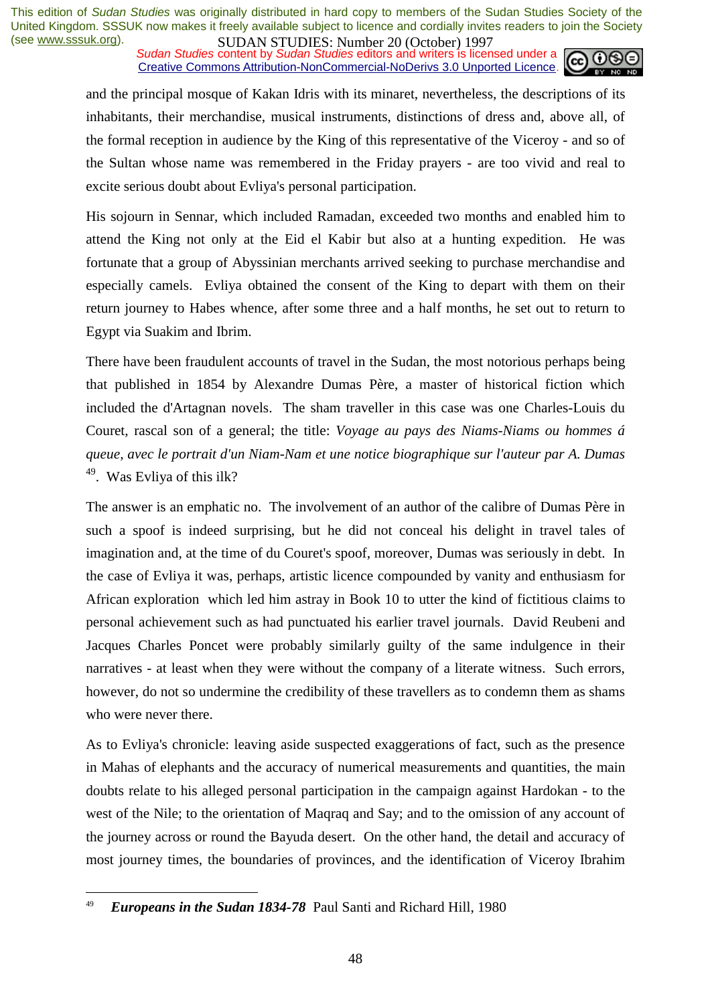**SUDAN STUDIES:** Number 20 (October) 122,<br>Sudan Studies content by Sudan Studies editors and writers is licensed under a Creative Commons Attribution-NonCommercial-NoDerivs 3.0 Unported Licence.



and the principal mosque of Kakan Idris with its minaret, nevertheless, the descriptions of its inhabitants, their merchandise, musical instruments, distinctions of dress and, above all, of the formal reception in audience by the King of this representative of the Viceroy - and so of the Sultan whose name was remembered in the Friday prayers - are too vivid and real to excite serious doubt about Evliya's personal participation.

His sojourn in Sennar, which included Ramadan, exceeded two months and enabled him to attend the King not only at the Eid el Kabir but also at a hunting expedition. He was fortunate that a group of Abyssinian merchants arrived seeking to purchase merchandise and especially camels. Evliya obtained the consent of the King to depart with them on their return journey to Habes whence, after some three and a half months, he set out to return to Egypt via Suakim and Ibrim.

There have been fraudulent accounts of travel in the Sudan, the most notorious perhaps being that published in 1854 by Alexandre Dumas Père, a master of historical fiction which included the d'Artagnan novels. The sham traveller in this case was one Charles-Louis du Couret, rascal son of a general; the title: *Voyage au pays des Niams-Niams ou hommes á queue, avec le portrait d'un Niam-Nam et une notice biographique sur l'auteur par A. Dumas*  49. Was Evliya of this ilk?

The answer is an emphatic no. The involvement of an author of the calibre of Dumas Père in such a spoof is indeed surprising, but he did not conceal his delight in travel tales of imagination and, at the time of du Couret's spoof, moreover, Dumas was seriously in debt. In the case of Evliya it was, perhaps, artistic licence compounded by vanity and enthusiasm for African exploration which led him astray in Book 10 to utter the kind of fictitious claims to personal achievement such as had punctuated his earlier travel journals. David Reubeni and Jacques Charles Poncet were probably similarly guilty of the same indulgence in their narratives - at least when they were without the company of a literate witness. Such errors, however, do not so undermine the credibility of these travellers as to condemn them as shams who were never there.

As to Evliya's chronicle: leaving aside suspected exaggerations of fact, such as the presence in Mahas of elephants and the accuracy of numerical measurements and quantities, the main doubts relate to his alleged personal participation in the campaign against Hardokan - to the west of the Nile; to the orientation of Maqraq and Say; and to the omission of any account of the journey across or round the Bayuda desert. On the other hand, the detail and accuracy of most journey times, the boundaries of provinces, and the identification of Viceroy Ibrahim

<sup>49</sup> *Europeans in the Sudan 1834-78* Paul Santi and Richard Hill, 1980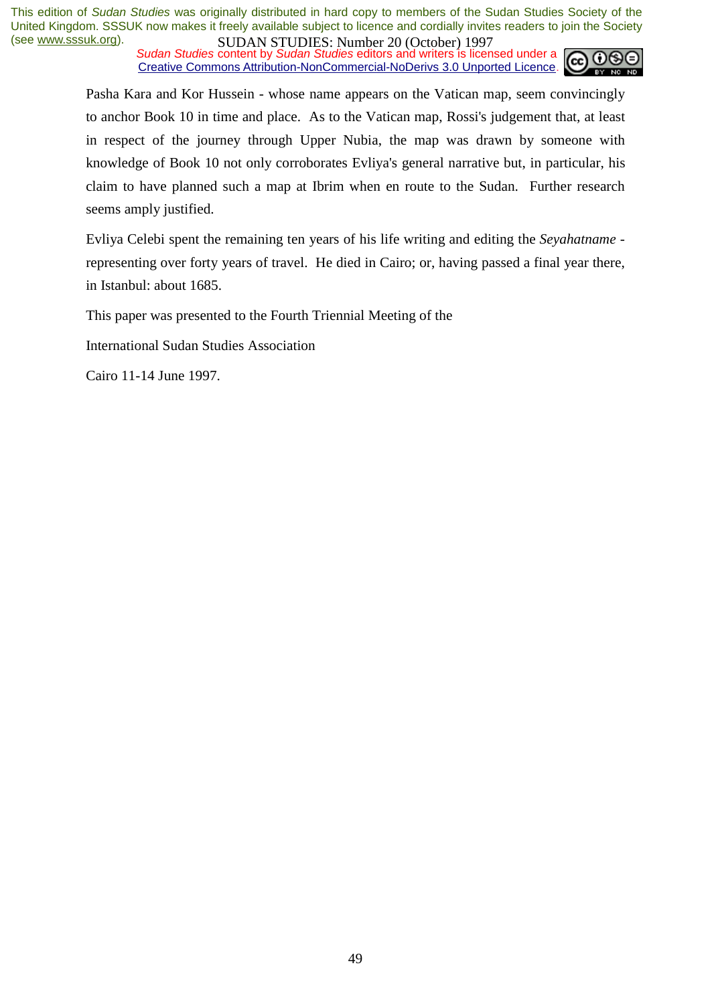*Sudan Studies* content by *Sudan Studies* editors and writers is licensed under a Creative Commons Attribution-NonCommercial-NoDerivs 3.0 Unported Licence.



Pasha Kara and Kor Hussein - whose name appears on the Vatican map, seem convincingly to anchor Book 10 in time and place. As to the Vatican map, Rossi's judgement that, at least in respect of the journey through Upper Nubia, the map was drawn by someone with knowledge of Book 10 not only corroborates Evliya's general narrative but, in particular, his claim to have planned such a map at Ibrim when en route to the Sudan. Further research seems amply justified.

Evliya Celebi spent the remaining ten years of his life writing and editing the *Seyahatname* representing over forty years of travel. He died in Cairo; or, having passed a final year there, in Istanbul: about 1685.

This paper was presented to the Fourth Triennial Meeting of the

International Sudan Studies Association

Cairo 11-14 June 1997.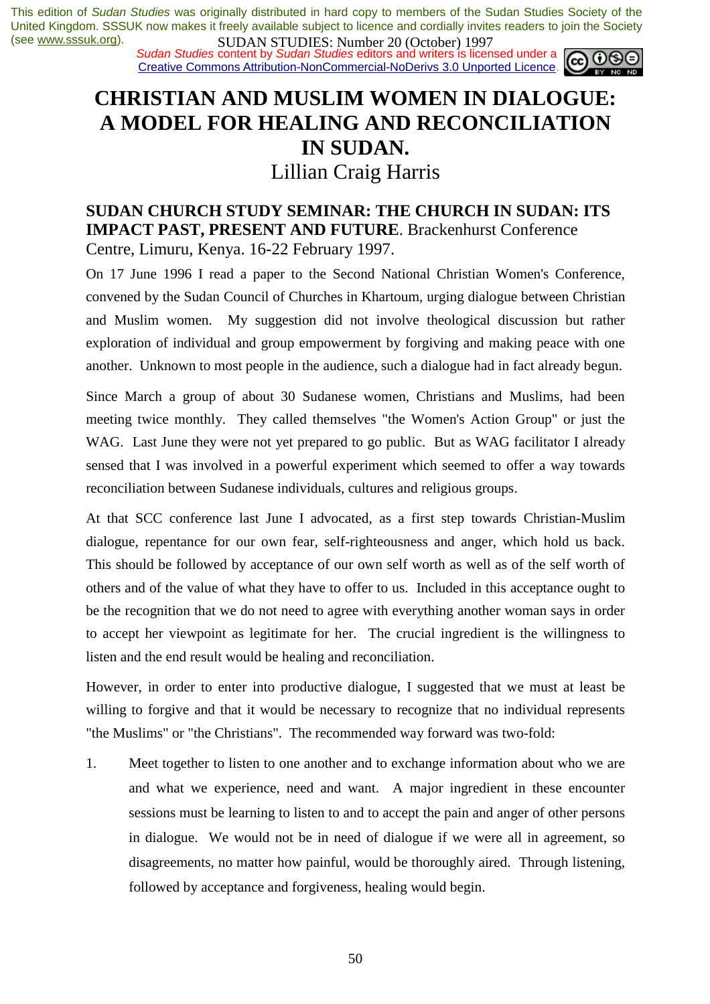*Sudan Studies* content by *Sudan Studies* editors and writers is licensed under a Creative Commons Attribution-NonCommercial-NoDerivs 3.0 Unported Licence.

## **CHRISTIAN AND MUSLIM WOMEN IN DIALOGUE: A MODEL FOR HEALING AND RECONCILIATION IN SUDAN.**

### Lillian Craig Harris

### **SUDAN CHURCH STUDY SEMINAR: THE CHURCH IN SUDAN: ITS IMPACT PAST, PRESENT AND FUTURE**. Brackenhurst Conference Centre, Limuru, Kenya. 16-22 February 1997.

On 17 June 1996 I read a paper to the Second National Christian Women's Conference, convened by the Sudan Council of Churches in Khartoum, urging dialogue between Christian and Muslim women. My suggestion did not involve theological discussion but rather exploration of individual and group empowerment by forgiving and making peace with one another. Unknown to most people in the audience, such a dialogue had in fact already begun.

Since March a group of about 30 Sudanese women, Christians and Muslims, had been meeting twice monthly. They called themselves "the Women's Action Group" or just the WAG. Last June they were not yet prepared to go public. But as WAG facilitator I already sensed that I was involved in a powerful experiment which seemed to offer a way towards reconciliation between Sudanese individuals, cultures and religious groups.

At that SCC conference last June I advocated, as a first step towards Christian-Muslim dialogue, repentance for our own fear, self-righteousness and anger, which hold us back. This should be followed by acceptance of our own self worth as well as of the self worth of others and of the value of what they have to offer to us. Included in this acceptance ought to be the recognition that we do not need to agree with everything another woman says in order to accept her viewpoint as legitimate for her. The crucial ingredient is the willingness to listen and the end result would be healing and reconciliation.

However, in order to enter into productive dialogue, I suggested that we must at least be willing to forgive and that it would be necessary to recognize that no individual represents "the Muslims" or "the Christians". The recommended way forward was two-fold:

1. Meet together to listen to one another and to exchange information about who we are and what we experience, need and want. A major ingredient in these encounter sessions must be learning to listen to and to accept the pain and anger of other persons in dialogue. We would not be in need of dialogue if we were all in agreement, so disagreements, no matter how painful, would be thoroughly aired. Through listening, followed by acceptance and forgiveness, healing would begin.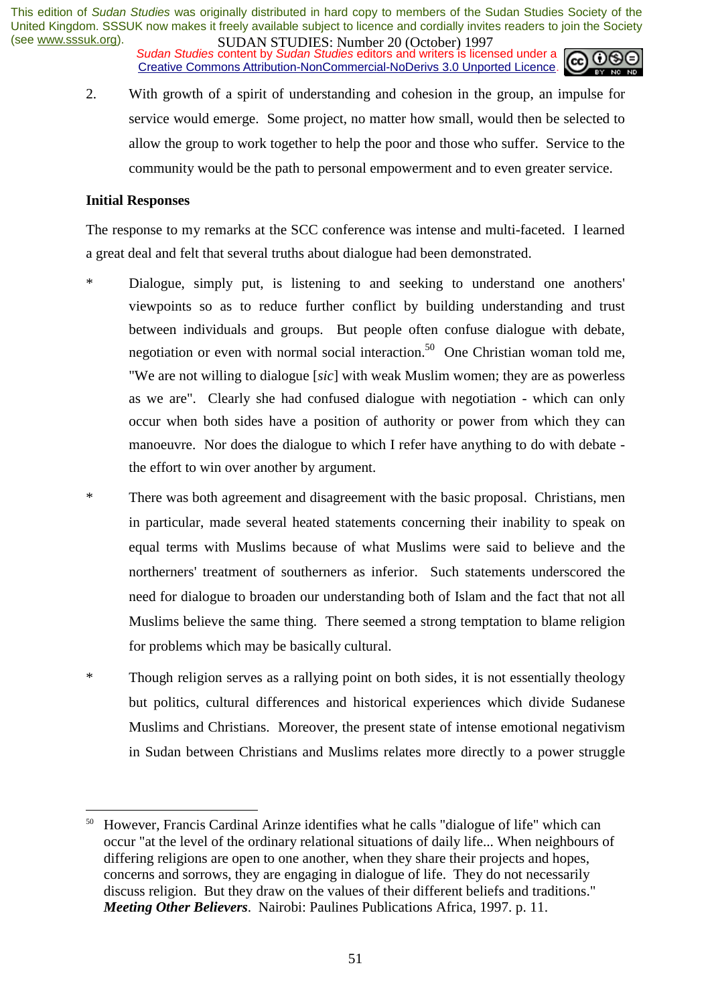*Sudan Studies* content by *Sudan Studies* editors and writers is licensed under a Creative Commons Attribution-NonCommercial-NoDerivs 3.0 Unported Licence.



2. With growth of a spirit of understanding and cohesion in the group, an impulse for service would emerge. Some project, no matter how small, would then be selected to allow the group to work together to help the poor and those who suffer. Service to the community would be the path to personal empowerment and to even greater service.

### **Initial Responses**

 $\overline{a}$ 

The response to my remarks at the SCC conference was intense and multi-faceted. I learned a great deal and felt that several truths about dialogue had been demonstrated.

- \* Dialogue, simply put, is listening to and seeking to understand one anothers' viewpoints so as to reduce further conflict by building understanding and trust between individuals and groups. But people often confuse dialogue with debate, negotiation or even with normal social interaction.<sup>50</sup> One Christian woman told me, "We are not willing to dialogue [*sic*] with weak Muslim women; they are as powerless as we are". Clearly she had confused dialogue with negotiation - which can only occur when both sides have a position of authority or power from which they can manoeuvre. Nor does the dialogue to which I refer have anything to do with debate the effort to win over another by argument.
- \* There was both agreement and disagreement with the basic proposal. Christians, men in particular, made several heated statements concerning their inability to speak on equal terms with Muslims because of what Muslims were said to believe and the northerners' treatment of southerners as inferior. Such statements underscored the need for dialogue to broaden our understanding both of Islam and the fact that not all Muslims believe the same thing. There seemed a strong temptation to blame religion for problems which may be basically cultural.
- \* Though religion serves as a rallying point on both sides, it is not essentially theology but politics, cultural differences and historical experiences which divide Sudanese Muslims and Christians. Moreover, the present state of intense emotional negativism in Sudan between Christians and Muslims relates more directly to a power struggle

<sup>&</sup>lt;sup>50</sup> However, Francis Cardinal Arinze identifies what he calls "dialogue of life" which can occur "at the level of the ordinary relational situations of daily life... When neighbours of differing religions are open to one another, when they share their projects and hopes, concerns and sorrows, they are engaging in dialogue of life. They do not necessarily discuss religion. But they draw on the values of their different beliefs and traditions." *Meeting Other Believers*. Nairobi: Paulines Publications Africa, 1997. p. 11.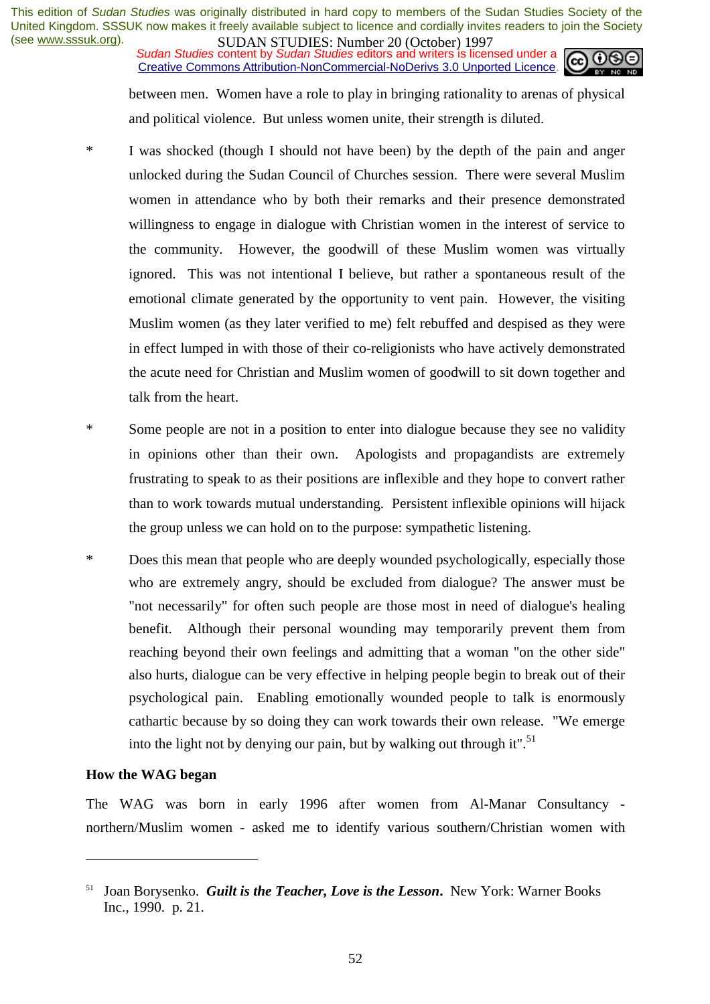**SUDAN STUDIES:** Number 20 (October) 122,<br>Sudan Studies content by Sudan Studies editors and writers is licensed under a Creative Commons Attribution-NonCommercial-NoDerivs 3.0 Unported Licence.



between men. Women have a role to play in bringing rationality to arenas of physical and political violence. But unless women unite, their strength is diluted.

- \* I was shocked (though I should not have been) by the depth of the pain and anger unlocked during the Sudan Council of Churches session. There were several Muslim women in attendance who by both their remarks and their presence demonstrated willingness to engage in dialogue with Christian women in the interest of service to the community. However, the goodwill of these Muslim women was virtually ignored. This was not intentional I believe, but rather a spontaneous result of the emotional climate generated by the opportunity to vent pain. However, the visiting Muslim women (as they later verified to me) felt rebuffed and despised as they were in effect lumped in with those of their co-religionists who have actively demonstrated the acute need for Christian and Muslim women of goodwill to sit down together and talk from the heart.
- \* Some people are not in a position to enter into dialogue because they see no validity in opinions other than their own. Apologists and propagandists are extremely frustrating to speak to as their positions are inflexible and they hope to convert rather than to work towards mutual understanding. Persistent inflexible opinions will hijack the group unless we can hold on to the purpose: sympathetic listening.
- \* Does this mean that people who are deeply wounded psychologically, especially those who are extremely angry, should be excluded from dialogue? The answer must be "not necessarily" for often such people are those most in need of dialogue's healing benefit. Although their personal wounding may temporarily prevent them from reaching beyond their own feelings and admitting that a woman "on the other side" also hurts, dialogue can be very effective in helping people begin to break out of their psychological pain. Enabling emotionally wounded people to talk is enormously cathartic because by so doing they can work towards their own release. "We emerge into the light not by denying our pain, but by walking out through it".<sup>51</sup>

#### **How the WAG began**

 $\overline{a}$ 

The WAG was born in early 1996 after women from Al-Manar Consultancy northern/Muslim women - asked me to identify various southern/Christian women with

<sup>51</sup> Joan Borysenko. *Guilt is the Teacher, Love is the Lesson***.** New York: Warner Books Inc., 1990. p. 21.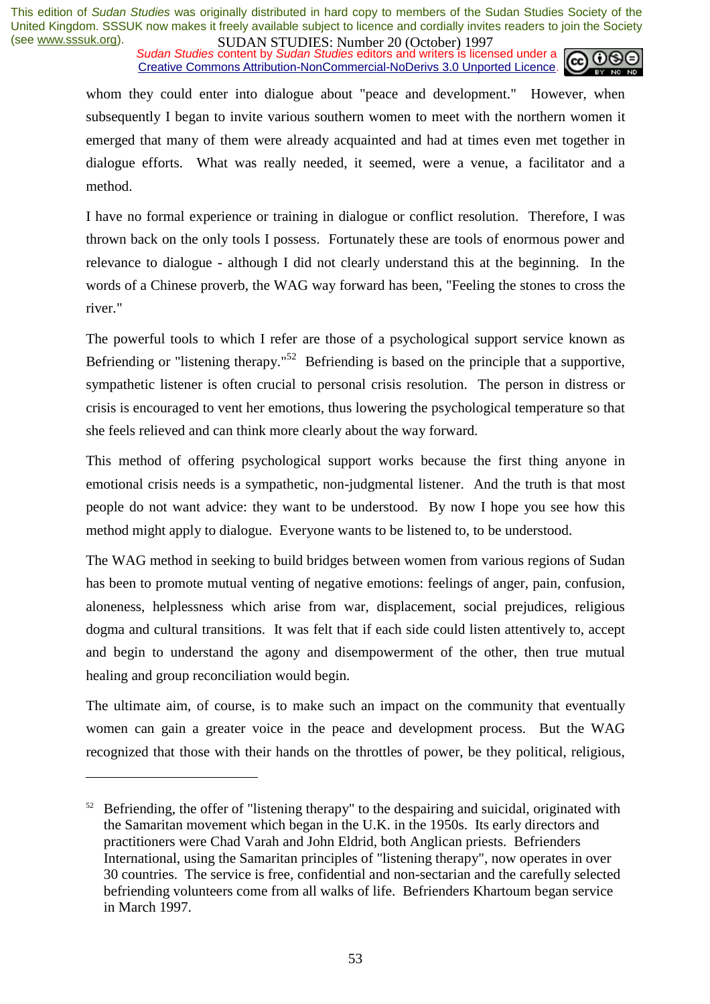*Sudan Studies* content by *Sudan Studies* editors and writers is licensed under a Creative Commons Attribution-NonCommercial-NoDerivs 3.0 Unported Licence.



whom they could enter into dialogue about "peace and development." However, when subsequently I began to invite various southern women to meet with the northern women it emerged that many of them were already acquainted and had at times even met together in dialogue efforts. What was really needed, it seemed, were a venue, a facilitator and a method.

I have no formal experience or training in dialogue or conflict resolution. Therefore, I was thrown back on the only tools I possess. Fortunately these are tools of enormous power and relevance to dialogue - although I did not clearly understand this at the beginning. In the words of a Chinese proverb, the WAG way forward has been, "Feeling the stones to cross the river."

The powerful tools to which I refer are those of a psychological support service known as Befriending or "listening therapy."<sup>52</sup> Befriending is based on the principle that a supportive, sympathetic listener is often crucial to personal crisis resolution. The person in distress or crisis is encouraged to vent her emotions, thus lowering the psychological temperature so that she feels relieved and can think more clearly about the way forward.

This method of offering psychological support works because the first thing anyone in emotional crisis needs is a sympathetic, non-judgmental listener. And the truth is that most people do not want advice: they want to be understood. By now I hope you see how this method might apply to dialogue. Everyone wants to be listened to, to be understood.

The WAG method in seeking to build bridges between women from various regions of Sudan has been to promote mutual venting of negative emotions: feelings of anger, pain, confusion, aloneness, helplessness which arise from war, displacement, social prejudices, religious dogma and cultural transitions. It was felt that if each side could listen attentively to, accept and begin to understand the agony and disempowerment of the other, then true mutual healing and group reconciliation would begin.

The ultimate aim, of course, is to make such an impact on the community that eventually women can gain a greater voice in the peace and development process. But the WAG recognized that those with their hands on the throttles of power, be they political, religious,

 $52$  Befriending, the offer of "listening therapy" to the despairing and suicidal, originated with the Samaritan movement which began in the U.K. in the 1950s. Its early directors and practitioners were Chad Varah and John Eldrid, both Anglican priests. Befrienders International, using the Samaritan principles of "listening therapy", now operates in over 30 countries. The service is free, confidential and non-sectarian and the carefully selected befriending volunteers come from all walks of life. Befrienders Khartoum began service in March 1997.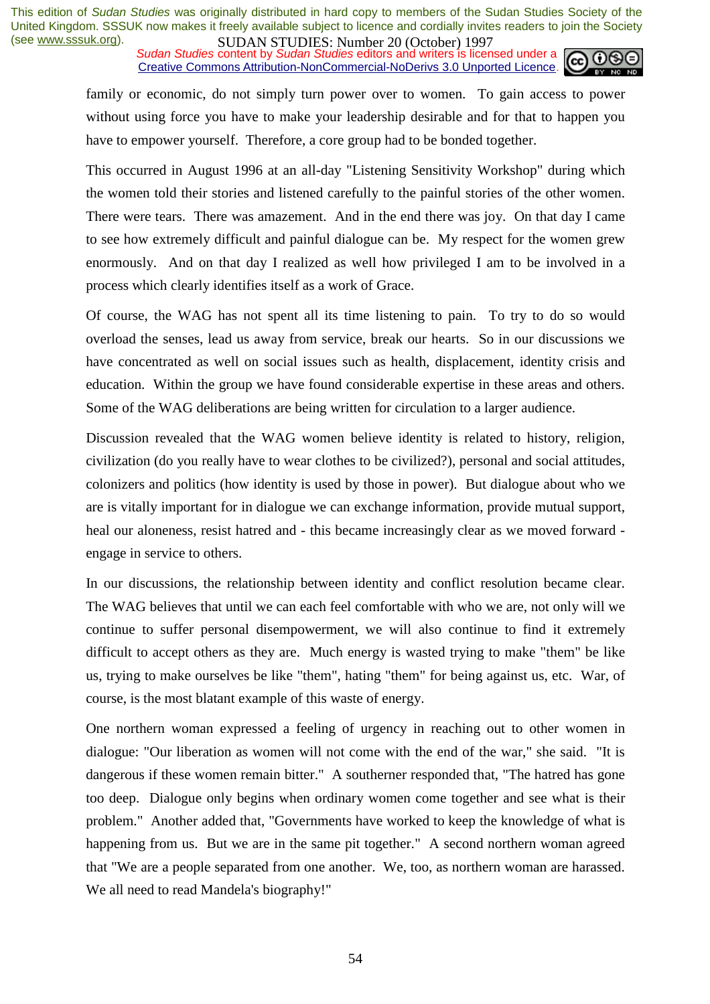*Sudan Studies* content by *Sudan Studies* editors and writers is licensed under a Creative Commons Attribution-NonCommercial-NoDerivs 3.0 Unported Licence.



family or economic, do not simply turn power over to women. To gain access to power without using force you have to make your leadership desirable and for that to happen you have to empower yourself. Therefore, a core group had to be bonded together.

This occurred in August 1996 at an all-day "Listening Sensitivity Workshop" during which the women told their stories and listened carefully to the painful stories of the other women. There were tears. There was amazement. And in the end there was joy. On that day I came to see how extremely difficult and painful dialogue can be. My respect for the women grew enormously. And on that day I realized as well how privileged I am to be involved in a process which clearly identifies itself as a work of Grace.

Of course, the WAG has not spent all its time listening to pain. To try to do so would overload the senses, lead us away from service, break our hearts. So in our discussions we have concentrated as well on social issues such as health, displacement, identity crisis and education. Within the group we have found considerable expertise in these areas and others. Some of the WAG deliberations are being written for circulation to a larger audience.

Discussion revealed that the WAG women believe identity is related to history, religion, civilization (do you really have to wear clothes to be civilized?), personal and social attitudes, colonizers and politics (how identity is used by those in power). But dialogue about who we are is vitally important for in dialogue we can exchange information, provide mutual support, heal our aloneness, resist hatred and - this became increasingly clear as we moved forward engage in service to others.

In our discussions, the relationship between identity and conflict resolution became clear. The WAG believes that until we can each feel comfortable with who we are, not only will we continue to suffer personal disempowerment, we will also continue to find it extremely difficult to accept others as they are. Much energy is wasted trying to make "them" be like us, trying to make ourselves be like "them", hating "them" for being against us, etc. War, of course, is the most blatant example of this waste of energy.

One northern woman expressed a feeling of urgency in reaching out to other women in dialogue: "Our liberation as women will not come with the end of the war," she said. "It is dangerous if these women remain bitter." A southerner responded that, "The hatred has gone too deep. Dialogue only begins when ordinary women come together and see what is their problem." Another added that, "Governments have worked to keep the knowledge of what is happening from us. But we are in the same pit together." A second northern woman agreed that "We are a people separated from one another. We, too, as northern woman are harassed. We all need to read Mandela's biography!"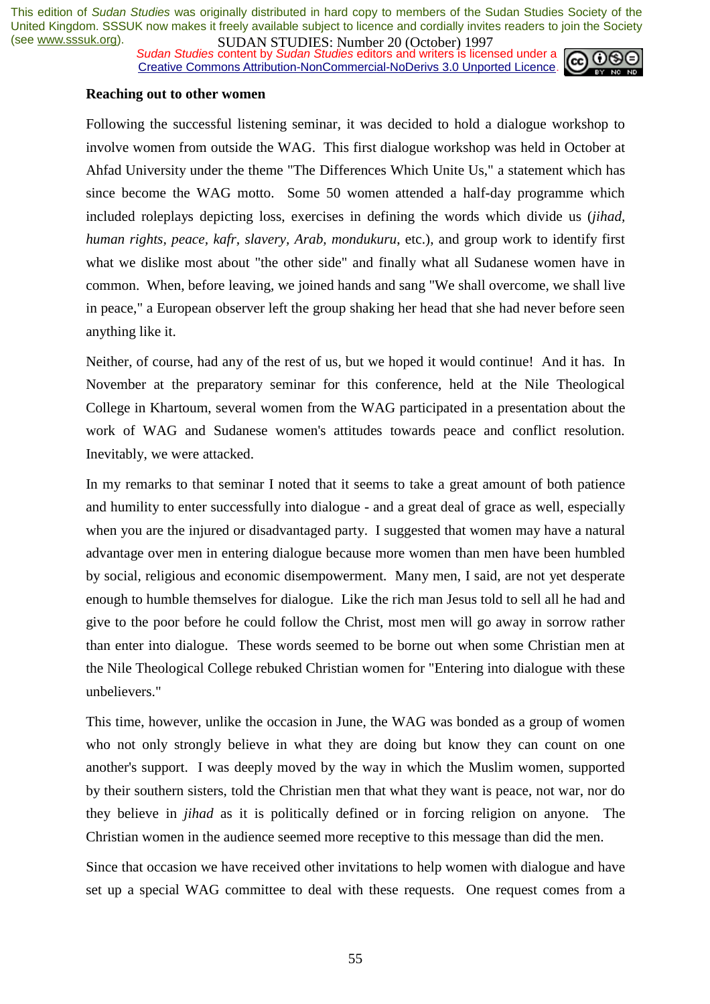*Sudan Studies* content by *Sudan Studies* editors and writers is licensed under a Creative Commons Attribution-NonCommercial-NoDerivs 3.0 Unported Licence.



#### **Reaching out to other women**

Following the successful listening seminar, it was decided to hold a dialogue workshop to involve women from outside the WAG. This first dialogue workshop was held in October at Ahfad University under the theme "The Differences Which Unite Us," a statement which has since become the WAG motto. Some 50 women attended a half-day programme which included roleplays depicting loss, exercises in defining the words which divide us (*jihad, human rights, peace, kafr, slavery, Arab, mondukuru*, etc.), and group work to identify first what we dislike most about "the other side" and finally what all Sudanese women have in common. When, before leaving, we joined hands and sang "We shall overcome, we shall live in peace," a European observer left the group shaking her head that she had never before seen anything like it.

Neither, of course, had any of the rest of us, but we hoped it would continue! And it has. In November at the preparatory seminar for this conference, held at the Nile Theological College in Khartoum, several women from the WAG participated in a presentation about the work of WAG and Sudanese women's attitudes towards peace and conflict resolution. Inevitably, we were attacked.

In my remarks to that seminar I noted that it seems to take a great amount of both patience and humility to enter successfully into dialogue - and a great deal of grace as well, especially when you are the injured or disadvantaged party. I suggested that women may have a natural advantage over men in entering dialogue because more women than men have been humbled by social, religious and economic disempowerment. Many men, I said, are not yet desperate enough to humble themselves for dialogue. Like the rich man Jesus told to sell all he had and give to the poor before he could follow the Christ, most men will go away in sorrow rather than enter into dialogue. These words seemed to be borne out when some Christian men at the Nile Theological College rebuked Christian women for "Entering into dialogue with these unbelievers."

This time, however, unlike the occasion in June, the WAG was bonded as a group of women who not only strongly believe in what they are doing but know they can count on one another's support. I was deeply moved by the way in which the Muslim women, supported by their southern sisters, told the Christian men that what they want is peace, not war, nor do they believe in *jihad* as it is politically defined or in forcing religion on anyone. The Christian women in the audience seemed more receptive to this message than did the men.

Since that occasion we have received other invitations to help women with dialogue and have set up a special WAG committee to deal with these requests. One request comes from a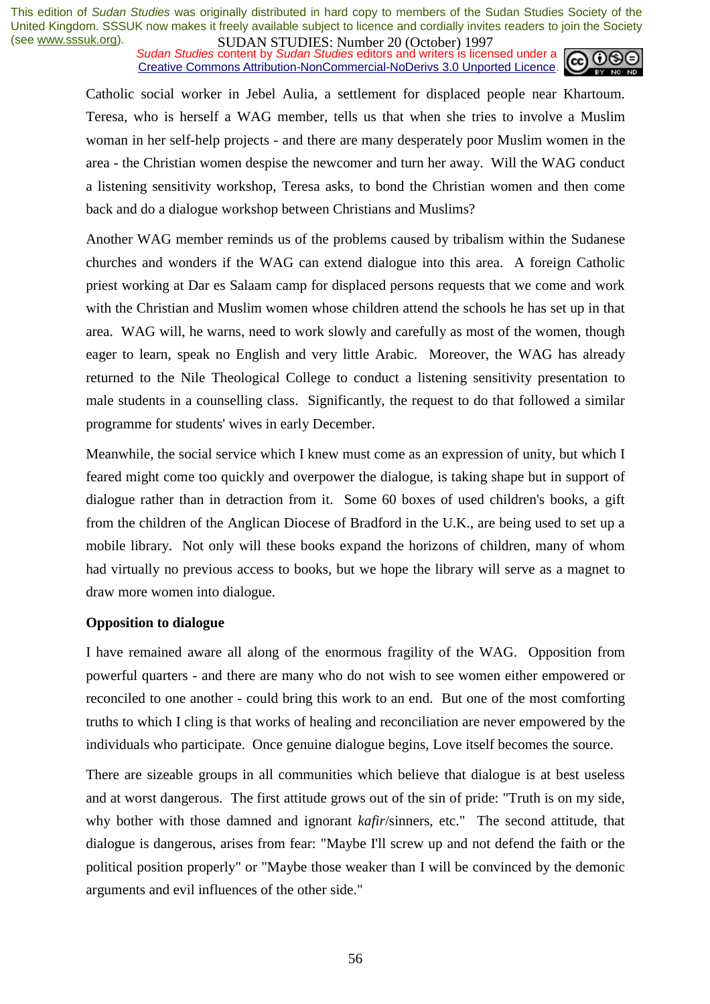*Sudan Studies* content by *Sudan Studies* editors and writers is licensed under a Creative Commons Attribution-NonCommercial-NoDerivs 3.0 Unported Licence.



Catholic social worker in Jebel Aulia, a settlement for displaced people near Khartoum. Teresa, who is herself a WAG member, tells us that when she tries to involve a Muslim woman in her self-help projects - and there are many desperately poor Muslim women in the area - the Christian women despise the newcomer and turn her away. Will the WAG conduct a listening sensitivity workshop, Teresa asks, to bond the Christian women and then come back and do a dialogue workshop between Christians and Muslims?

Another WAG member reminds us of the problems caused by tribalism within the Sudanese churches and wonders if the WAG can extend dialogue into this area. A foreign Catholic priest working at Dar es Salaam camp for displaced persons requests that we come and work with the Christian and Muslim women whose children attend the schools he has set up in that area. WAG will, he warns, need to work slowly and carefully as most of the women, though eager to learn, speak no English and very little Arabic. Moreover, the WAG has already returned to the Nile Theological College to conduct a listening sensitivity presentation to male students in a counselling class. Significantly, the request to do that followed a similar programme for students' wives in early December.

Meanwhile, the social service which I knew must come as an expression of unity, but which I feared might come too quickly and overpower the dialogue, is taking shape but in support of dialogue rather than in detraction from it. Some 60 boxes of used children's books, a gift from the children of the Anglican Diocese of Bradford in the U.K., are being used to set up a mobile library. Not only will these books expand the horizons of children, many of whom had virtually no previous access to books, but we hope the library will serve as a magnet to draw more women into dialogue.

#### **Opposition to dialogue**

I have remained aware all along of the enormous fragility of the WAG. Opposition from powerful quarters - and there are many who do not wish to see women either empowered or reconciled to one another - could bring this work to an end. But one of the most comforting truths to which I cling is that works of healing and reconciliation are never empowered by the individuals who participate. Once genuine dialogue begins, Love itself becomes the source.

There are sizeable groups in all communities which believe that dialogue is at best useless and at worst dangerous. The first attitude grows out of the sin of pride: "Truth is on my side, why bother with those damned and ignorant *kafir*/sinners, etc." The second attitude, that dialogue is dangerous, arises from fear: "Maybe I'll screw up and not defend the faith or the political position properly" or "Maybe those weaker than I will be convinced by the demonic arguments and evil influences of the other side."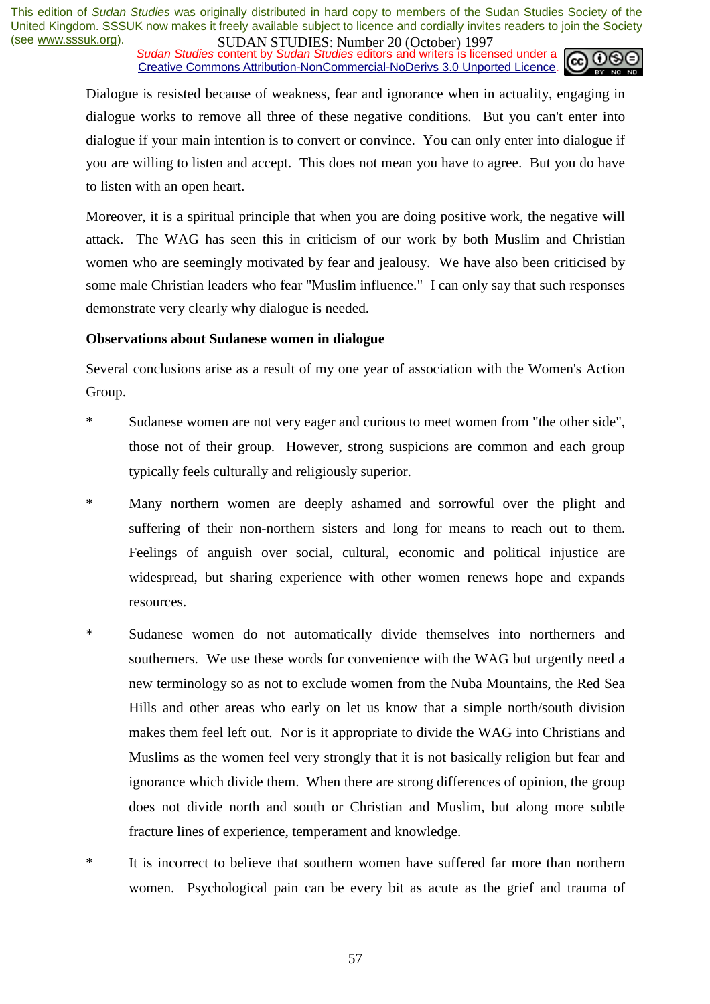*Sudan Studies* content by *Sudan Studies* editors and writers is licensed under a Creative Commons Attribution-NonCommercial-NoDerivs 3.0 Unported Licence.



Dialogue is resisted because of weakness, fear and ignorance when in actuality, engaging in dialogue works to remove all three of these negative conditions. But you can't enter into dialogue if your main intention is to convert or convince. You can only enter into dialogue if you are willing to listen and accept. This does not mean you have to agree. But you do have to listen with an open heart.

Moreover, it is a spiritual principle that when you are doing positive work, the negative will attack. The WAG has seen this in criticism of our work by both Muslim and Christian women who are seemingly motivated by fear and jealousy. We have also been criticised by some male Christian leaders who fear "Muslim influence." I can only say that such responses demonstrate very clearly why dialogue is needed.

#### **Observations about Sudanese women in dialogue**

Several conclusions arise as a result of my one year of association with the Women's Action Group.

- \* Sudanese women are not very eager and curious to meet women from "the other side", those not of their group. However, strong suspicions are common and each group typically feels culturally and religiously superior.
- \* Many northern women are deeply ashamed and sorrowful over the plight and suffering of their non-northern sisters and long for means to reach out to them. Feelings of anguish over social, cultural, economic and political injustice are widespread, but sharing experience with other women renews hope and expands resources.
- \* Sudanese women do not automatically divide themselves into northerners and southerners. We use these words for convenience with the WAG but urgently need a new terminology so as not to exclude women from the Nuba Mountains, the Red Sea Hills and other areas who early on let us know that a simple north/south division makes them feel left out. Nor is it appropriate to divide the WAG into Christians and Muslims as the women feel very strongly that it is not basically religion but fear and ignorance which divide them. When there are strong differences of opinion, the group does not divide north and south or Christian and Muslim, but along more subtle fracture lines of experience, temperament and knowledge.
- \* It is incorrect to believe that southern women have suffered far more than northern women. Psychological pain can be every bit as acute as the grief and trauma of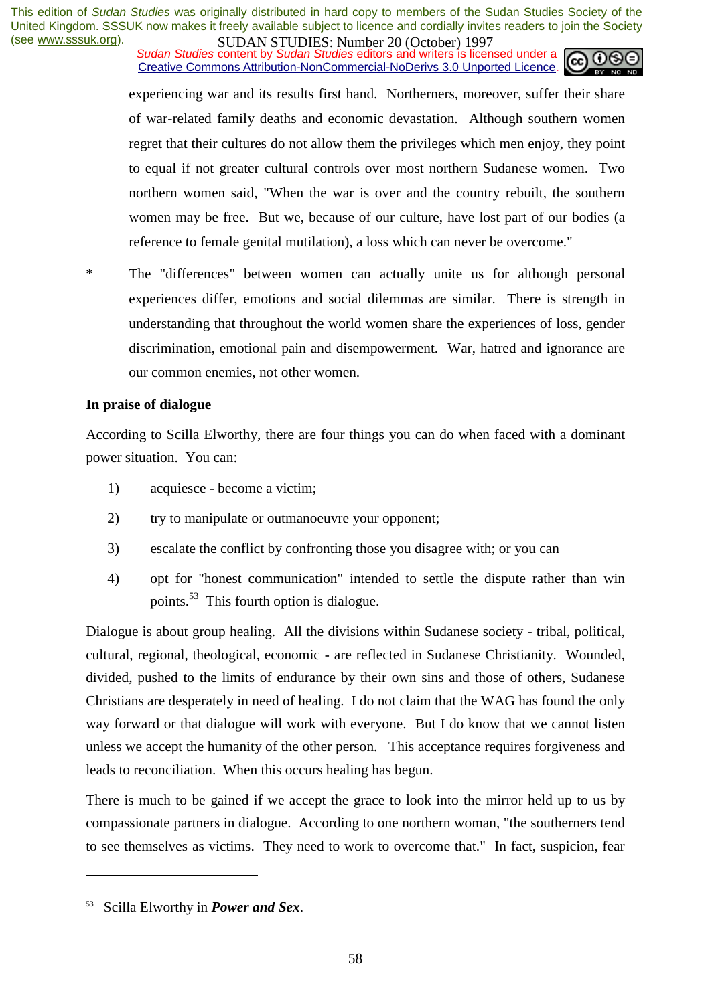*Sudan Studies* content by *Sudan Studies* editors and writers is licensed under a Creative Commons Attribution-NonCommercial-NoDerivs 3.0 Unported Licence.



experiencing war and its results first hand. Northerners, moreover, suffer their share of war-related family deaths and economic devastation. Although southern women regret that their cultures do not allow them the privileges which men enjoy, they point to equal if not greater cultural controls over most northern Sudanese women. Two northern women said, "When the war is over and the country rebuilt, the southern women may be free. But we, because of our culture, have lost part of our bodies (a reference to female genital mutilation), a loss which can never be overcome."

\* The "differences" between women can actually unite us for although personal experiences differ, emotions and social dilemmas are similar. There is strength in understanding that throughout the world women share the experiences of loss, gender discrimination, emotional pain and disempowerment. War, hatred and ignorance are our common enemies, not other women.

#### **In praise of dialogue**

According to Scilla Elworthy, there are four things you can do when faced with a dominant power situation. You can:

- 1) acquiesce become a victim;
- 2) try to manipulate or outmanoeuvre your opponent;
- 3) escalate the conflict by confronting those you disagree with; or you can
- 4) opt for "honest communication" intended to settle the dispute rather than win points.53 This fourth option is dialogue.

Dialogue is about group healing. All the divisions within Sudanese society - tribal, political, cultural, regional, theological, economic - are reflected in Sudanese Christianity. Wounded, divided, pushed to the limits of endurance by their own sins and those of others, Sudanese Christians are desperately in need of healing. I do not claim that the WAG has found the only way forward or that dialogue will work with everyone. But I do know that we cannot listen unless we accept the humanity of the other person. This acceptance requires forgiveness and leads to reconciliation. When this occurs healing has begun.

There is much to be gained if we accept the grace to look into the mirror held up to us by compassionate partners in dialogue. According to one northern woman, "the southerners tend to see themselves as victims. They need to work to overcome that." In fact, suspicion, fear

<sup>53</sup> Scilla Elworthy in *Power and Sex*.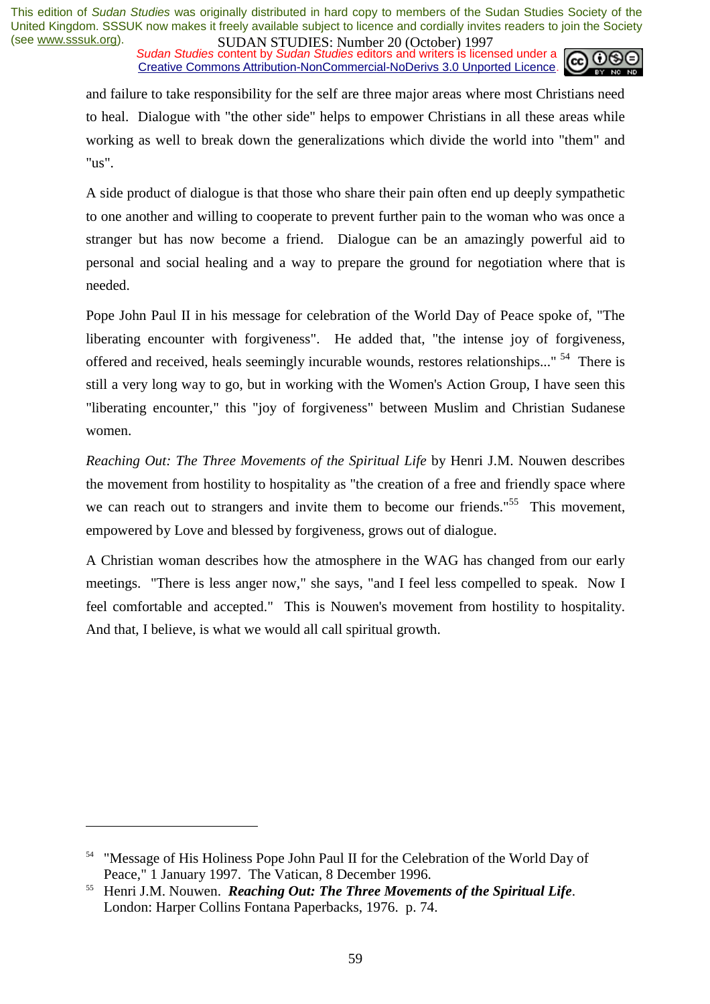*Sudan Studies* content by *Sudan Studies* editors and writers is licensed under a Creative Commons Attribution-NonCommercial-NoDerivs 3.0 Unported Licence.



and failure to take responsibility for the self are three major areas where most Christians need to heal. Dialogue with "the other side" helps to empower Christians in all these areas while working as well to break down the generalizations which divide the world into "them" and "us".

A side product of dialogue is that those who share their pain often end up deeply sympathetic to one another and willing to cooperate to prevent further pain to the woman who was once a stranger but has now become a friend. Dialogue can be an amazingly powerful aid to personal and social healing and a way to prepare the ground for negotiation where that is needed.

Pope John Paul II in his message for celebration of the World Day of Peace spoke of, "The liberating encounter with forgiveness". He added that, "the intense joy of forgiveness, offered and received, heals seemingly incurable wounds, restores relationships..." <sup>54</sup> There is still a very long way to go, but in working with the Women's Action Group, I have seen this "liberating encounter," this "joy of forgiveness" between Muslim and Christian Sudanese women.

*Reaching Out: The Three Movements of the Spiritual Life* by Henri J.M. Nouwen describes the movement from hostility to hospitality as "the creation of a free and friendly space where we can reach out to strangers and invite them to become our friends."<sup>55</sup> This movement, empowered by Love and blessed by forgiveness, grows out of dialogue.

A Christian woman describes how the atmosphere in the WAG has changed from our early meetings. "There is less anger now," she says, "and I feel less compelled to speak. Now I feel comfortable and accepted." This is Nouwen's movement from hostility to hospitality. And that, I believe, is what we would all call spiritual growth.

<sup>&</sup>lt;sup>54</sup> "Message of His Holiness Pope John Paul II for the Celebration of the World Day of Peace," 1 January 1997. The Vatican, 8 December 1996.<br><sup>55</sup> Henri J.M. Nouwen. *Reaching Out: The Three Movements of the Spiritual Life*.

London: Harper Collins Fontana Paperbacks, 1976. p. 74.